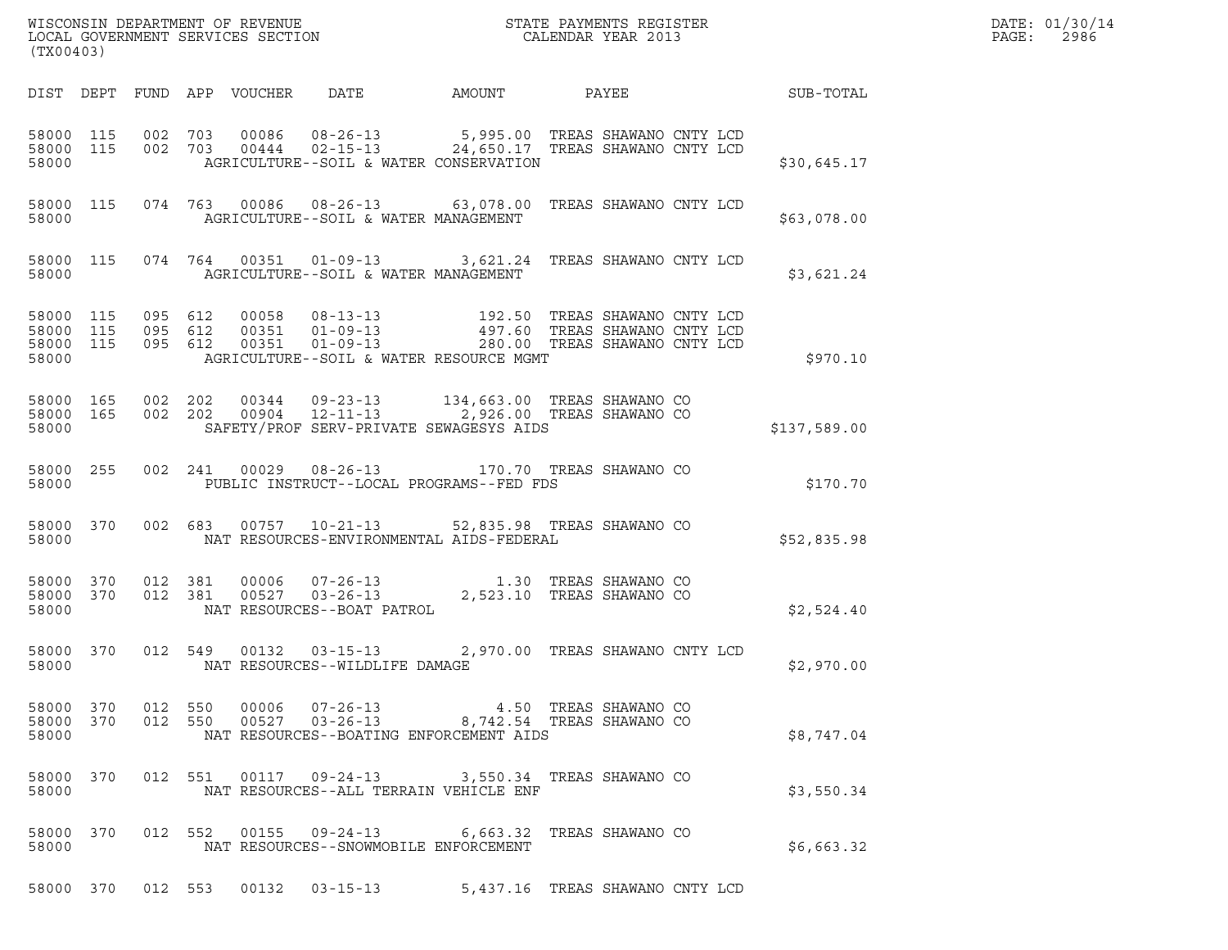| (TX00403)                                    |                        |  |                                                          |                                                                                                                                                                      | WISCONSIN DEPARTMENT OF REVENUE<br>LOCAL GOVERNMENT SERVICES SECTION<br>CALENDAR YEAR 2013 | DATE: 01/30/14<br>$\mathtt{PAGE}$ :<br>2986 |
|----------------------------------------------|------------------------|--|----------------------------------------------------------|----------------------------------------------------------------------------------------------------------------------------------------------------------------------|--------------------------------------------------------------------------------------------|---------------------------------------------|
|                                              |                        |  |                                                          |                                                                                                                                                                      | DIST DEPT FUND APP VOUCHER DATE AMOUNT PAYEE THE SUB-TOTAL                                 |                                             |
| 58000                                        | 58000 115<br>58000 115 |  | AGRICULTURE--SOIL & WATER CONSERVATION                   | 002 703 00086 08-26-13 5,995.00 TREAS SHAWANO CNTY LCD<br>002 703 00444 02-15-13 24,650.17 TREAS SHAWANO CNTY LCD                                                    | \$30,645.17                                                                                |                                             |
|                                              | 58000 115              |  | 58000 AGRICULTURE--SOIL & WATER MANAGEMENT               | 074 763 00086 08-26-13 63,078.00 TREAS SHAWANO CNTY LCD                                                                                                              | \$63,078.00                                                                                |                                             |
|                                              |                        |  | 58000   AGRICULTURE--SOIL & WATER MANAGEMENT             | 58000 115 074 764 00351 01-09-13 3,621.24 TREAS SHAWANO CNTY LCD                                                                                                     | \$3,621.24                                                                                 |                                             |
| 58000 115<br>58000 115<br>58000 115<br>58000 |                        |  | AGRICULTURE--SOIL & WATER RESOURCE MGMT                  | 095 612 00058 08-13-13 192.50 TREAS SHAWANO CNTY LCD<br>095 612 00351 01-09-13 497.60 TREAS SHAWANO CNTY LCD<br>095 612 00351 01-09-13 280.00 TREAS SHAWANO CNTY LCD | \$970.10                                                                                   |                                             |
| 58000                                        | 58000 165<br>58000 165 |  | SAFETY/PROF SERV-PRIVATE SEWAGESYS AIDS                  | 002  202  00344  09-23-13  134,663.00 TREAS SHAWANO CO<br>002  202  00904  12-11-13  2,926.00 TREAS SHAWANO CO                                                       | \$137,589.00                                                                               |                                             |
| 58000                                        | 58000 255              |  |                                                          | 002 241 00029 08-26-13 170.70 TREAS SHAWANO CO<br>PUBLIC INSTRUCT--LOCAL PROGRAMS--FED FDS                                                                           | \$170.70                                                                                   |                                             |
| 58000                                        | 58000 370              |  |                                                          | 002 683 00757 10-21-13 52,835.98 TREAS SHAWANO CO<br>NAT RESOURCES-ENVIRONMENTAL AIDS-FEDERAL                                                                        | \$52,835.98                                                                                |                                             |
| 58000                                        | 58000 370<br>58000 370 |  | NAT RESOURCES--BOAT PATROL                               | 012 381 00006 07-26-13 1.30 TREAS SHAWANO CO<br>012 381 00527 03-26-13 2,523.10 TREAS SHAWANO CO                                                                     | \$2,524.40                                                                                 |                                             |
| 58000                                        | 58000 370              |  | 012 549 00132 03-15-13<br>NAT RESOURCES--WILDLIFE DAMAGE | 2,970.00 TREAS SHAWANO CNTY LCD                                                                                                                                      | \$2,970.00                                                                                 |                                             |
| 58000                                        | 58000 370<br>58000 370 |  | NAT RESOURCES--BOATING ENFORCEMENT AIDS                  | 012 550 00006 07-26-13 4.50 TREAS SHAWANO CO 012 550 00527 03-26-13 8,742.54 TREAS SHAWANO CO                                                                        | \$8,747.04                                                                                 |                                             |
| 58000 370<br>58000                           |                        |  | NAT RESOURCES--ALL TERRAIN VEHICLE ENF                   | 012 551 00117 09-24-13 3,550.34 TREAS SHAWANO CO                                                                                                                     | \$3,550.34                                                                                 |                                             |
| 58000                                        | 58000 370              |  | NAT RESOURCES--SNOWMOBILE ENFORCEMENT                    | 012 552 00155 09-24-13 6,663.32 TREAS SHAWANO CO                                                                                                                     | \$6,663.32                                                                                 |                                             |
|                                              | 58000 370              |  |                                                          | 012 553 00132 03-15-13 5,437.16 TREAS SHAWANO CNTY LCD                                                                                                               |                                                                                            |                                             |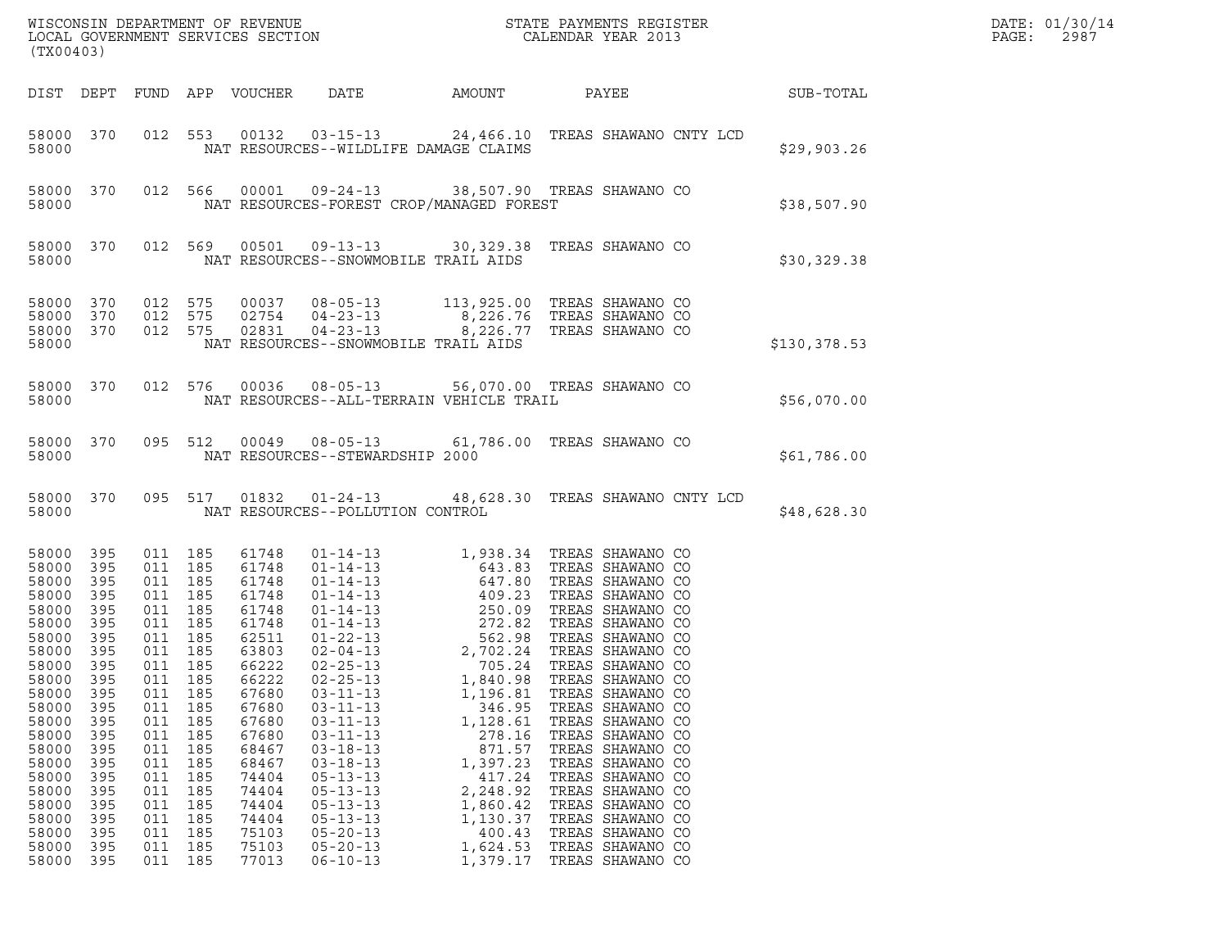| (TX00403)                                                                                                                                                                                                                                                                                                                                                                 |                                                                                                |                                                                                                                                                                                                   |                                                                                                                                                                                                             |                                                                                                                                                                                                                                                                            |                                                                                                                                                            |                                                                                                                                                                                                                                                                                                                 |              | DATE: 01/30/14<br>PAGE:<br>2987 |
|---------------------------------------------------------------------------------------------------------------------------------------------------------------------------------------------------------------------------------------------------------------------------------------------------------------------------------------------------------------------------|------------------------------------------------------------------------------------------------|---------------------------------------------------------------------------------------------------------------------------------------------------------------------------------------------------|-------------------------------------------------------------------------------------------------------------------------------------------------------------------------------------------------------------|----------------------------------------------------------------------------------------------------------------------------------------------------------------------------------------------------------------------------------------------------------------------------|------------------------------------------------------------------------------------------------------------------------------------------------------------|-----------------------------------------------------------------------------------------------------------------------------------------------------------------------------------------------------------------------------------------------------------------------------------------------------------------|--------------|---------------------------------|
| DIST DEPT                                                                                                                                                                                                                                                                                                                                                                 |                                                                                                |                                                                                                                                                                                                   | FUND APP VOUCHER                                                                                                                                                                                            | DATE                                                                                                                                                                                                                                                                       | AMOUNT                                                                                                                                                     | PAYEE SUB-TOTAL                                                                                                                                                                                                                                                                                                 |              |                                 |
| 58000 370<br>58000                                                                                                                                                                                                                                                                                                                                                        |                                                                                                |                                                                                                                                                                                                   |                                                                                                                                                                                                             | NAT RESOURCES--WILDLIFE DAMAGE CLAIMS                                                                                                                                                                                                                                      |                                                                                                                                                            | 012 553 00132 03-15-13 24,466.10 TREAS SHAWANO CNTY LCD                                                                                                                                                                                                                                                         | \$29,903.26  |                                 |
| 58000 370<br>58000                                                                                                                                                                                                                                                                                                                                                        |                                                                                                |                                                                                                                                                                                                   |                                                                                                                                                                                                             | NAT RESOURCES-FOREST CROP/MANAGED FOREST                                                                                                                                                                                                                                   |                                                                                                                                                            | 012 566 00001 09-24-13 38,507.90 TREAS SHAWANO CO                                                                                                                                                                                                                                                               | \$38,507.90  |                                 |
| 58000 370<br>58000                                                                                                                                                                                                                                                                                                                                                        |                                                                                                | 012 569                                                                                                                                                                                           |                                                                                                                                                                                                             | NAT RESOURCES--SNOWMOBILE TRAIL AIDS                                                                                                                                                                                                                                       |                                                                                                                                                            | 00501  09-13-13  30,329.38  TREAS SHAWANO CO                                                                                                                                                                                                                                                                    | \$30,329.38  |                                 |
| 58000<br>370<br>58000<br>370<br>58000 370<br>58000                                                                                                                                                                                                                                                                                                                        |                                                                                                | 012 575<br>012 575                                                                                                                                                                                | 02754                                                                                                                                                                                                       | NAT RESOURCES--SNOWMOBILE TRAIL AIDS                                                                                                                                                                                                                                       |                                                                                                                                                            | 00037  08-05-13   113,925.00   TREAS SHAWANO CO<br>04-23-13 8,226.76 TREAS SHAWANO CO<br>012 575 02831 04-23-13 8,226.77 TREAS SHAWANO CO                                                                                                                                                                       | \$130,378.53 |                                 |
| 58000 370<br>58000                                                                                                                                                                                                                                                                                                                                                        |                                                                                                |                                                                                                                                                                                                   |                                                                                                                                                                                                             | NAT RESOURCES--ALL-TERRAIN VEHICLE TRAIL                                                                                                                                                                                                                                   |                                                                                                                                                            | 012 576 00036 08-05-13 56,070.00 TREAS SHAWANO CO                                                                                                                                                                                                                                                               | \$56,070.00  |                                 |
| 58000 370<br>58000                                                                                                                                                                                                                                                                                                                                                        |                                                                                                |                                                                                                                                                                                                   |                                                                                                                                                                                                             | NAT RESOURCES--STEWARDSHIP 2000                                                                                                                                                                                                                                            |                                                                                                                                                            | 095 512 00049 08-05-13 61,786.00 TREAS SHAWANO CO                                                                                                                                                                                                                                                               | \$61,786.00  |                                 |
| 58000 370<br>58000                                                                                                                                                                                                                                                                                                                                                        |                                                                                                |                                                                                                                                                                                                   |                                                                                                                                                                                                             | NAT RESOURCES--POLLUTION CONTROL                                                                                                                                                                                                                                           |                                                                                                                                                            | 095 517 01832 01-24-13 48,628.30 TREAS SHAWANO CNTY LCD                                                                                                                                                                                                                                                         | \$48,628.30  |                                 |
| 58000<br>395<br>395<br>58000<br>58000<br>395<br>58000<br>395<br>58000<br>395<br>58000<br>395<br>58000<br>395<br>58000<br>395<br>58000 395<br>58000<br>395<br>58000<br>395<br>58000<br>395<br>58000<br>395<br>58000<br>395<br>58000<br>395<br>58000<br>395<br>58000<br>395<br>58000<br>395<br>58000<br>395<br>58000<br>395<br>58000<br>395<br>58000<br>395<br>58000<br>395 | 011<br>011<br>011<br>011<br>011<br>011<br>011<br>011<br>011<br>011<br>011<br>011<br>011<br>011 | 011 185<br>011 185<br>011 185<br>011 185<br>011 185<br>011 185<br>011 185<br>011 185<br>011 185<br>185<br>185<br>185<br>185<br>185<br>185<br>185<br>185<br>185<br>185<br>185<br>185<br>185<br>185 | 61748<br>61748<br>61748<br>61748<br>61748<br>61748<br>62511<br>63803<br>66222<br>66222<br>67680<br>67680<br>67680<br>67680<br>68467<br>68467<br>74404<br>74404<br>74404<br>74404<br>75103<br>75103<br>77013 | $02 - 25 - 13$<br>$02 - 25 - 13$<br>$03 - 11 - 13$<br>$03 - 11 - 13$<br>$03 - 11 - 13$<br>$03 - 11 - 13$<br>$03 - 18 - 13$<br>$03 - 18 - 13$<br>$05 - 13 - 13$<br>$05 - 13 - 13$<br>$05 - 13 - 13$<br>$05 - 13 - 13$<br>$05 - 20 - 13$<br>$05 - 20 - 13$<br>$06 - 10 - 13$ | 1,840.98<br>1,196.81<br>346.95<br>1,128.61<br>278.16<br>871.57<br>1,397.23<br>417.24<br>2,248.92<br>1,860.42<br>1,130.37<br>400.43<br>1,624.53<br>1,379.17 | 705.24 TREAS SHAWANO CO<br>TREAS SHAWANO CO<br>TREAS SHAWANO CO<br>TREAS SHAWANO CO<br>TREAS SHAWANO CO<br>TREAS SHAWANO CO<br>TREAS SHAWANO CO<br>TREAS SHAWANO CO<br>TREAS SHAWANO CO<br>TREAS SHAWANO CO<br>TREAS SHAWANO CO<br>TREAS SHAWANO CO<br>TREAS SHAWANO CO<br>TREAS SHAWANO CO<br>TREAS SHAWANO CO |              |                                 |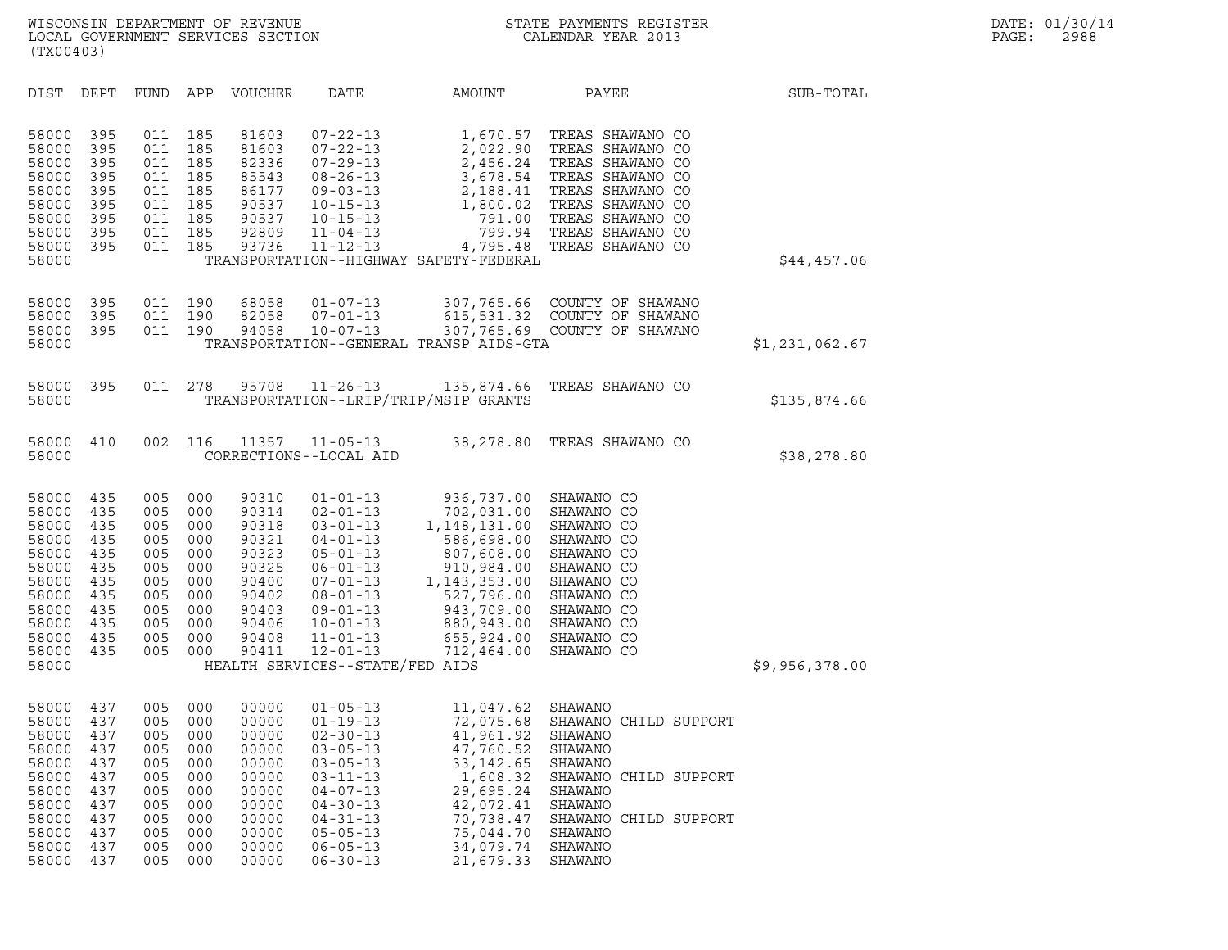| (TX00403)                                                                                                         |                                                                                  |                                                                                  |                                                                                  |                                                                                                          |                                                                                                                                                                                                                                                         |                                                                                                                                                                                                                                                                  |                                                                                                                                                                                  |                |  |
|-------------------------------------------------------------------------------------------------------------------|----------------------------------------------------------------------------------|----------------------------------------------------------------------------------|----------------------------------------------------------------------------------|----------------------------------------------------------------------------------------------------------|---------------------------------------------------------------------------------------------------------------------------------------------------------------------------------------------------------------------------------------------------------|------------------------------------------------------------------------------------------------------------------------------------------------------------------------------------------------------------------------------------------------------------------|----------------------------------------------------------------------------------------------------------------------------------------------------------------------------------|----------------|--|
| DIST                                                                                                              | DEPT                                                                             | <b>FUND</b>                                                                      | APP                                                                              | <b>VOUCHER</b>                                                                                           | DATE                                                                                                                                                                                                                                                    | AMOUNT                                                                                                                                                                                                                                                           | PAYEE                                                                                                                                                                            | SUB-TOTAL      |  |
| 58000<br>58000<br>58000<br>58000<br>58000<br>58000<br>58000<br>58000<br>58000<br>58000                            | 395<br>395<br>395<br>395<br>395<br>395<br>395<br>395<br>395                      | 011<br>011<br>011<br>011<br>011<br>011<br>011<br>011<br>011                      | 185<br>185<br>185<br>185<br>185<br>185<br>185<br>185<br>185                      | 81603<br>81603<br>82336<br>85543<br>86177<br>90537<br>90537<br>92809<br>93736                            | $07 - 22 - 13$<br>$07 - 22 - 13$<br>$07 - 29 - 13$<br>$08 - 26 - 13$<br>$09 - 03 - 13$<br>$10 - 15 - 13$<br>$10 - 15 - 13$<br>$11 - 04 - 13$<br>$11 - 12 - 13$                                                                                          | 1,670.57<br>2,022.90<br>2,456.24<br>3,678.54<br>2,188.41<br>1,800.02<br>791.00<br>799.94<br>4,795.48<br>TRANSPORTATION--HIGHWAY SAFETY-FEDERAL                                                                                                                   | TREAS SHAWANO CO<br>TREAS SHAWANO CO<br>TREAS SHAWANO CO<br>TREAS SHAWANO CO<br>TREAS SHAWANO CO<br>TREAS SHAWANO CO<br>TREAS SHAWANO CO<br>TREAS SHAWANO CO<br>TREAS SHAWANO CO | \$44,457.06    |  |
| 58000<br>58000<br>58000<br>58000                                                                                  | 395<br>395<br>395                                                                | 011<br>011<br>011                                                                | 190<br>190<br>190                                                                | 68058<br>82058<br>94058                                                                                  | $01 - 07 - 13$<br>$07 - 01 - 13$<br>$10 - 07 - 13$                                                                                                                                                                                                      | TRANSPORTATION--GENERAL TRANSP AIDS-GTA                                                                                                                                                                                                                          | 307,765.66 COUNTY OF SHAWANO<br>615,531.32 COUNTY OF SHAWANO<br>307,765.69 COUNTY OF SHAWANO                                                                                     | \$1,231,062.67 |  |
| 58000<br>58000                                                                                                    | 395                                                                              | 011                                                                              | 278                                                                              | 95708                                                                                                    | $11 - 26 - 13$                                                                                                                                                                                                                                          | 135,874.66<br>TRANSPORTATION--LRIP/TRIP/MSIP GRANTS                                                                                                                                                                                                              | TREAS SHAWANO CO                                                                                                                                                                 | \$135,874.66   |  |
| 58000<br>58000                                                                                                    | 410                                                                              | 002                                                                              | 116                                                                              | 11357                                                                                                    | $11 - 05 - 13$<br>CORRECTIONS--LOCAL AID                                                                                                                                                                                                                | 38,278.80                                                                                                                                                                                                                                                        | TREAS SHAWANO CO                                                                                                                                                                 | \$38,278.80    |  |
| 58000<br>58000<br>58000<br>58000<br>58000<br>58000<br>58000<br>58000<br>58000<br>58000<br>58000<br>58000<br>58000 | 435<br>435<br>435<br>435<br>435<br>435<br>435<br>435<br>435<br>435<br>435<br>435 | 005<br>005<br>005<br>005<br>005<br>005<br>005<br>005<br>005<br>005<br>005<br>005 | 000<br>000<br>000<br>000<br>000<br>000<br>000<br>000<br>000<br>000<br>000<br>000 | 90310<br>90314<br>90318<br>90321<br>90323<br>90325<br>90400<br>90402<br>90403<br>90406<br>90408<br>90411 | $01 - 01 - 13$<br>$02 - 01 - 13$<br>$03 - 01 - 13$<br>$04 - 01 - 13$<br>$05 - 01 - 13$<br>$06 - 01 - 13$<br>$07 - 01 - 13$<br>$08 - 01 - 13$<br>$09 - 01 - 13$<br>$10 - 01 - 13$<br>$11 - 01 - 13$<br>$12 - 01 - 13$<br>HEALTH SERVICES--STATE/FED AIDS | 936,737.00 SHAWANO CO<br>702,031.00 SHAWANO CO<br>1,148,131.00<br>586,698.00 SHAWANO CO<br>807,608.00 SHAWANO CO<br>910,984.00 SHAWANO CO<br>1,143,353.00 SHAWANO CO<br>527,796.00 SHAWANO CO<br>943,709.00<br>880,943.00 SHAWANO CO<br>655,924.00<br>712,464.00 | SHAWANO CO<br>SHAWANO CO<br>SHAWANO CO<br>SHAWANO CO                                                                                                                             | \$9,956,378.00 |  |
| 58000<br>58000<br>58000<br>58000<br>58000<br>58000<br>58000<br>58000<br>58000<br>58000<br>58000<br>58000          | 437<br>437<br>437<br>437<br>437<br>437<br>437<br>437<br>437<br>437<br>437<br>437 | 005<br>005<br>005<br>005<br>005<br>005<br>005<br>005<br>005<br>005<br>005<br>005 | 000<br>000<br>000<br>000<br>000<br>000<br>000<br>000<br>000<br>000<br>000<br>000 | 00000<br>00000<br>00000<br>00000<br>00000<br>00000<br>00000<br>00000<br>00000<br>00000<br>00000<br>00000 | $01 - 05 - 13$<br>$01 - 19 - 13$<br>$02 - 30 - 13$<br>$03 - 05 - 13$<br>$03 - 05 - 13$<br>$03 - 11 - 13$<br>$04 - 07 - 13$<br>$04 - 30 - 13$<br>$04 - 31 - 13$<br>$05 - 05 - 13$<br>$06 - 05 - 13$<br>$06 - 30 - 13$                                    | 11,047.62 SHAWANO<br>72,075.68<br>41,961.92<br>47,760.52<br>33, 142.65<br>1,608.32<br>29,695.24<br>42,072.41<br>70,738.47<br>75,044.70<br>34,079.74<br>21,679.33                                                                                                 | SHAWANO CHILD SUPPORT<br>SHAWANO<br>SHAWANO<br>SHAWANO<br>SHAWANO CHILD SUPPORT<br>SHAWANO<br>SHAWANO<br>SHAWANO CHILD SUPPORT<br>SHAWANO<br>SHAWANO<br>SHAWANO                  |                |  |
|                                                                                                                   |                                                                                  |                                                                                  |                                                                                  |                                                                                                          |                                                                                                                                                                                                                                                         |                                                                                                                                                                                                                                                                  |                                                                                                                                                                                  |                |  |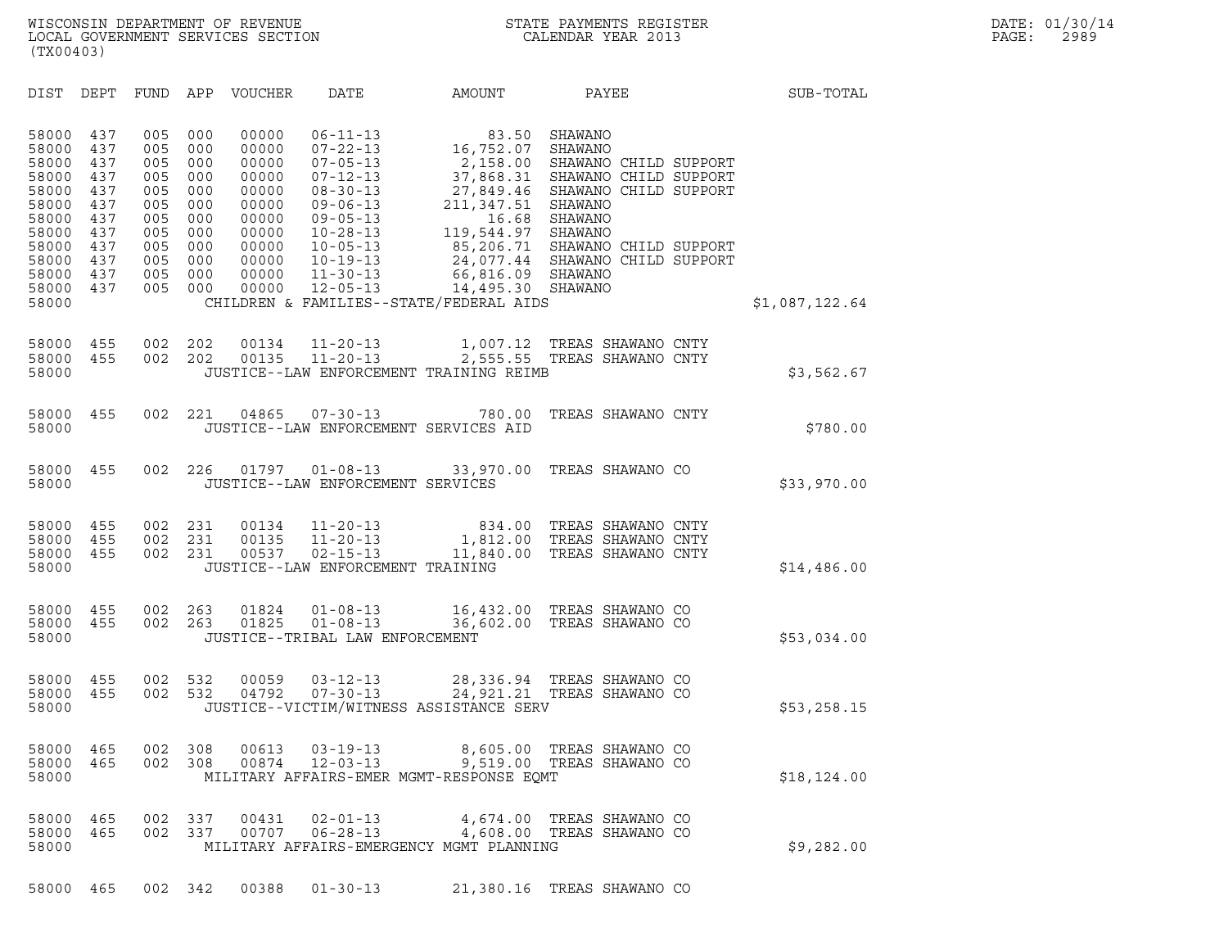| (TX00403)                                                                                                         |                                                                                  |                                                                                  |                                                                                  |                                                                                                          |                                                                                                                                                                                                                      |                                                                                                        |                                                                                                                                                                                                                                                           |                |  |
|-------------------------------------------------------------------------------------------------------------------|----------------------------------------------------------------------------------|----------------------------------------------------------------------------------|----------------------------------------------------------------------------------|----------------------------------------------------------------------------------------------------------|----------------------------------------------------------------------------------------------------------------------------------------------------------------------------------------------------------------------|--------------------------------------------------------------------------------------------------------|-----------------------------------------------------------------------------------------------------------------------------------------------------------------------------------------------------------------------------------------------------------|----------------|--|
| DIST                                                                                                              | DEPT                                                                             | FUND                                                                             | APP                                                                              | <b>VOUCHER</b>                                                                                           | <b>DATE</b>                                                                                                                                                                                                          | AMOUNT                                                                                                 | PAYEE                                                                                                                                                                                                                                                     | SUB-TOTAL      |  |
| 58000<br>58000<br>58000<br>58000<br>58000<br>58000<br>58000<br>58000<br>58000<br>58000<br>58000<br>58000<br>58000 | 437<br>437<br>437<br>437<br>437<br>437<br>437<br>437<br>437<br>437<br>437<br>437 | 005<br>005<br>005<br>005<br>005<br>005<br>005<br>005<br>005<br>005<br>005<br>005 | 000<br>000<br>000<br>000<br>000<br>000<br>000<br>000<br>000<br>000<br>000<br>000 | 00000<br>00000<br>00000<br>00000<br>00000<br>00000<br>00000<br>00000<br>00000<br>00000<br>00000<br>00000 | $06 - 11 - 13$<br>$07 - 22 - 13$<br>$07 - 05 - 13$<br>$07 - 12 - 13$<br>$08 - 30 - 13$<br>$09 - 06 - 13$<br>$09 - 05 - 13$<br>$10 - 28 - 13$<br>$10 - 05 - 13$<br>$10 - 19 - 13$<br>$11 - 30 - 13$<br>$12 - 05 - 13$ | 16,752.07 SHAWANO<br>66,816.09 SHAWANO<br>14,495.30 SHAWANO<br>CHILDREN & FAMILIES--STATE/FEDERAL AIDS | 83.50 SHAWANO<br>2,158.00 SHAWANO CHILD SUPPORT<br>37,868.31 SHAWANO CHILD SUPPORT<br>$27,849.46$ SHAWANO CHILD SUPPORT $211,347.51$ SHAWANO<br>16.68 SHAWANO<br>119,544.97 SHAWANO<br>85,206.71 SHAWANO CHILD SUPPORT<br>24,077.44 SHAWANO CHILD SUPPORT | \$1,087,122.64 |  |
| 58000<br>58000<br>58000                                                                                           | 455<br>455                                                                       | 002<br>002                                                                       | 202<br>202                                                                       | 00134<br>00135                                                                                           | $11 - 20 - 13$<br>$11 - 20 - 13$                                                                                                                                                                                     | 2,555.55<br>JUSTICE--LAW ENFORCEMENT TRAINING REIMB                                                    | 1,007.12 TREAS SHAWANO CNTY<br>TREAS SHAWANO CNTY                                                                                                                                                                                                         | \$3,562.67     |  |
| 58000<br>58000                                                                                                    | 455                                                                              | 002                                                                              | 221                                                                              | 04865                                                                                                    | $07 - 30 - 13$                                                                                                                                                                                                       | 780.00<br>JUSTICE--LAW ENFORCEMENT SERVICES AID                                                        | TREAS SHAWANO CNTY                                                                                                                                                                                                                                        | \$780.00       |  |
| 58000<br>58000                                                                                                    | 455                                                                              | 002                                                                              | 226                                                                              | 01797                                                                                                    | $01 - 08 - 13$<br>JUSTICE--LAW ENFORCEMENT SERVICES                                                                                                                                                                  | 33,970.00                                                                                              | TREAS SHAWANO CO                                                                                                                                                                                                                                          | \$33,970.00    |  |
| 58000<br>58000<br>58000<br>58000                                                                                  | 455<br>455<br>455                                                                | 002<br>002<br>002                                                                | 231<br>231<br>231                                                                | 00134<br>00135<br>00537                                                                                  | $11 - 20 - 13$<br>$11 - 20 - 13$<br>$02 - 15 - 13$<br>JUSTICE--LAW ENFORCEMENT TRAINING                                                                                                                              | 11,840.00                                                                                              | 834.00 TREAS SHAWANO CNTY<br>1,812.00 TREAS SHAWANO CNTY<br>TREAS SHAWANO CNTY                                                                                                                                                                            | \$14,486.00    |  |
| 58000<br>58000<br>58000                                                                                           | 455<br>455                                                                       | 002<br>002                                                                       | 263<br>263                                                                       | 01824<br>01825                                                                                           | $01 - 08 - 13$<br>$01 - 08 - 13$<br>JUSTICE--TRIBAL LAW ENFORCEMENT                                                                                                                                                  |                                                                                                        | 16,432.00 TREAS SHAWANO CO<br>36,602.00 TREAS SHAWANO CO                                                                                                                                                                                                  | \$53,034.00    |  |
| 58000<br>58000<br>58000                                                                                           | 455<br>455                                                                       | 002<br>002                                                                       | 532<br>532                                                                       | 00059<br>04792                                                                                           | $03 - 12 - 13$<br>$07 - 30 - 13$                                                                                                                                                                                     | JUSTICE--VICTIM/WITNESS ASSISTANCE SERV                                                                | 28,336.94 TREAS SHAWANO CO<br>24,921.21 TREAS SHAWANO CO                                                                                                                                                                                                  | \$53,258.15    |  |
| 58000<br>58000<br>58000                                                                                           | 465<br>465                                                                       | 002<br>002                                                                       | 308<br>308                                                                       | 00613<br>00874                                                                                           | $03 - 19 - 13$<br>$12 - 03 - 13$                                                                                                                                                                                     | MILITARY AFFAIRS-EMER MGMT-RESPONSE EQMT                                                               | 8,605.00 TREAS SHAWANO CO<br>9,519.00 TREAS SHAWANO CO                                                                                                                                                                                                    | \$18, 124.00   |  |
| 58000<br>58000<br>58000                                                                                           | 465<br>465                                                                       | 002<br>002                                                                       | 337<br>337                                                                       | 00431<br>00707                                                                                           | $02 - 01 - 13$<br>$06 - 28 - 13$                                                                                                                                                                                     | 4,674.00<br>MILITARY AFFAIRS-EMERGENCY MGMT PLANNING                                                   | TREAS SHAWANO CO<br>4,608.00 TREAS SHAWANO CO                                                                                                                                                                                                             | \$9,282.00     |  |
| 58000                                                                                                             | 465                                                                              |                                                                                  | 002 342                                                                          | 00388                                                                                                    | $01 - 30 - 13$                                                                                                                                                                                                       |                                                                                                        | 21,380.16 TREAS SHAWANO CO                                                                                                                                                                                                                                |                |  |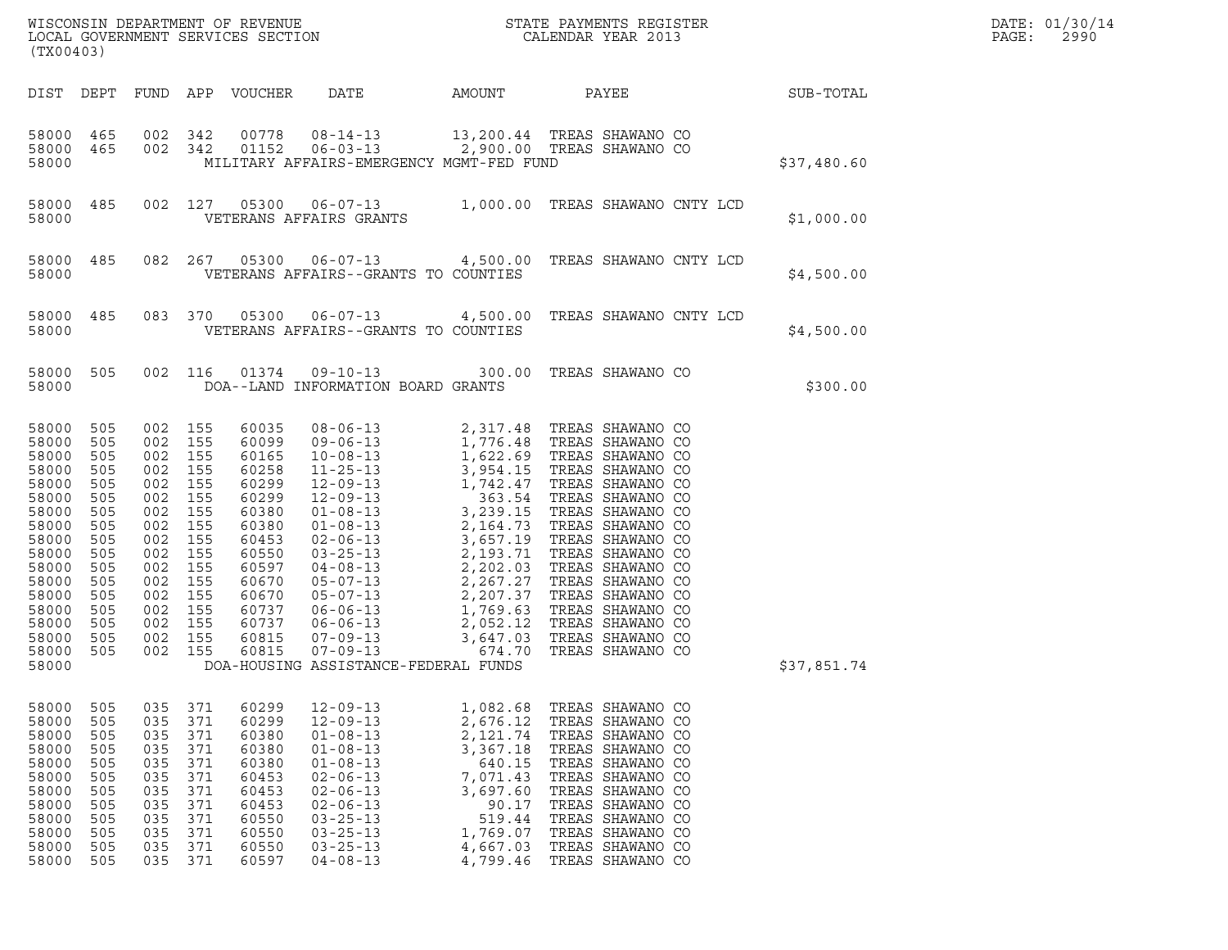| (TX00403)                                                                                                                                                      |                                                                                                                                                                                                                                            |                                                                                                                     |                                                                                                                                                       |                                                                                                                                                                                                                      |                                                                                                                                       | WISCONSIN DEPARTMENT OF REVENUE<br>LOCAL GOVERNMENT SERVICES SECTION<br>CALENDAR YEAR 2013                                                                                                                                                                         |             | DATE: 01/30/14<br>PAGE:<br>2990 |
|----------------------------------------------------------------------------------------------------------------------------------------------------------------|--------------------------------------------------------------------------------------------------------------------------------------------------------------------------------------------------------------------------------------------|---------------------------------------------------------------------------------------------------------------------|-------------------------------------------------------------------------------------------------------------------------------------------------------|----------------------------------------------------------------------------------------------------------------------------------------------------------------------------------------------------------------------|---------------------------------------------------------------------------------------------------------------------------------------|--------------------------------------------------------------------------------------------------------------------------------------------------------------------------------------------------------------------------------------------------------------------|-------------|---------------------------------|
|                                                                                                                                                                |                                                                                                                                                                                                                                            |                                                                                                                     | DIST DEPT FUND APP VOUCHER                                                                                                                            | DATE                                                                                                                                                                                                                 |                                                                                                                                       | AMOUNT PAYEE SUB-TOTAL                                                                                                                                                                                                                                             |             |                                 |
| 58000 465<br>58000 465<br>58000                                                                                                                                |                                                                                                                                                                                                                                            | 002 342<br>002 342                                                                                                  | 00778                                                                                                                                                 | MILITARY AFFAIRS-EMERGENCY MGMT-FED FUND                                                                                                                                                                             |                                                                                                                                       | 08-14-13 13,200.44 TREAS SHAWANO CO<br>01152  06-03-13  2,900.00 TREAS SHAWANO CO                                                                                                                                                                                  | \$37,480.60 |                                 |
| 58000 485<br>58000                                                                                                                                             |                                                                                                                                                                                                                                            |                                                                                                                     |                                                                                                                                                       | VETERANS AFFAIRS GRANTS                                                                                                                                                                                              |                                                                                                                                       | 002 127 05300 06-07-13 1,000.00 TREAS SHAWANO CNTY LCD                                                                                                                                                                                                             | \$1,000.00  |                                 |
| 58000 485<br>58000                                                                                                                                             |                                                                                                                                                                                                                                            |                                                                                                                     |                                                                                                                                                       | VETERANS AFFAIRS--GRANTS TO COUNTIES                                                                                                                                                                                 |                                                                                                                                       | 082  267  05300  06-07-13  4,500.00  TREAS SHAWANO CNTY LCD                                                                                                                                                                                                        | \$4,500.00  |                                 |
| 58000 485<br>58000                                                                                                                                             |                                                                                                                                                                                                                                            |                                                                                                                     |                                                                                                                                                       | VETERANS AFFAIRS--GRANTS TO COUNTIES                                                                                                                                                                                 |                                                                                                                                       | 083 370 05300 06-07-13 4,500.00 TREAS SHAWANO CNTY LCD                                                                                                                                                                                                             | \$4,500.00  |                                 |
| 58000<br>58000                                                                                                                                                 | 505                                                                                                                                                                                                                                        | 002 116                                                                                                             |                                                                                                                                                       | DOA--LAND INFORMATION BOARD GRANTS                                                                                                                                                                                   |                                                                                                                                       | 01374  09-10-13  300.00  TREAS SHAWANO CO                                                                                                                                                                                                                          | \$300.00    |                                 |
| 58000<br>58000<br>58000<br>58000<br>58000<br>58000<br>58000<br>58000<br>58000<br>58000<br>58000<br>58000<br>58000<br>58000<br>58000<br>58000<br>58000<br>58000 | 505<br>002<br>505<br>002<br>505<br>002<br>505<br>002<br>505<br>002<br>505<br>002<br>505<br>002<br>505<br>002<br>505<br>002<br>505<br>002<br>505<br>002<br>505<br>002<br>505<br>002<br>505<br>002<br>505<br>002<br>505<br>002<br>505<br>002 | 155<br>155<br>155<br>155<br>155<br>155<br>155<br>155<br>155<br>155<br>155<br>155<br>155<br>155<br>155<br>155<br>155 | 60035<br>60099<br>60165<br>60258<br>60299<br>60299<br>60380<br>60380<br>60453<br>60550<br>60597<br>60670<br>60670<br>60737<br>60737<br>60815<br>60815 | DOA-HOUSING ASSISTANCE-FEDERAL FUNDS                                                                                                                                                                                 |                                                                                                                                       | 08-06-13<br>09-06-13<br>1,776.48<br>1,776.48<br>TREAS SHAWANO CO<br>10-08-13<br>1,622.69<br>TREAS SHAWANO CO<br>11-25-13<br>3,954.15<br>TREAS SHAWANO CO<br>12-09-13<br>1,742.47<br>TREAS SHAWANO CO<br>12-09-13<br>3,954.15<br>TREAS SHAWANO CO<br>01-08-13<br>3, | \$37,851.74 |                                 |
| 58000<br>58000<br>58000<br>58000<br>58000<br>58000<br>58000<br>58000<br>58000<br>58000<br>58000<br>58000                                                       | 035<br>505<br>505<br>035<br>505<br>035<br>505<br>035<br>505<br>035<br>505<br>035<br>505<br>035<br>505<br>035<br>505<br>035<br>505<br>035<br>505<br>035<br>505<br>035                                                                       | 371<br>371<br>371<br>371<br>371<br>371<br>371<br>371<br>371<br>371<br>371<br>371                                    | 60299<br>60299<br>60380<br>60380<br>60380<br>60453<br>60453<br>60453<br>60550<br>60550<br>60550<br>60597                                              | $12 - 09 - 13$<br>$12 - 09 - 13$<br>$01 - 08 - 13$<br>$01 - 08 - 13$<br>$01 - 08 - 13$<br>$02 - 06 - 13$<br>$02 - 06 - 13$<br>$02 - 06 - 13$<br>$03 - 25 - 13$<br>$03 - 25 - 13$<br>$03 - 25 - 13$<br>$04 - 08 - 13$ | 1,082.68<br>2,676.12<br>2,121.74<br>3,367.18<br>640.15<br>7,071.43<br>3,697.60<br>90.17<br>519.44<br>1,769.07<br>4,667.03<br>4,799.46 | TREAS SHAWANO CO<br>TREAS SHAWANO CO<br>TREAS SHAWANO CO<br>TREAS SHAWANO CO<br>TREAS SHAWANO CO<br>TREAS SHAWANO CO<br>TREAS SHAWANO CO<br>TREAS SHAWANO CO<br>TREAS SHAWANO CO<br>TREAS SHAWANO CO<br>TREAS SHAWANO CO<br>TREAS SHAWANO CO                       |             |                                 |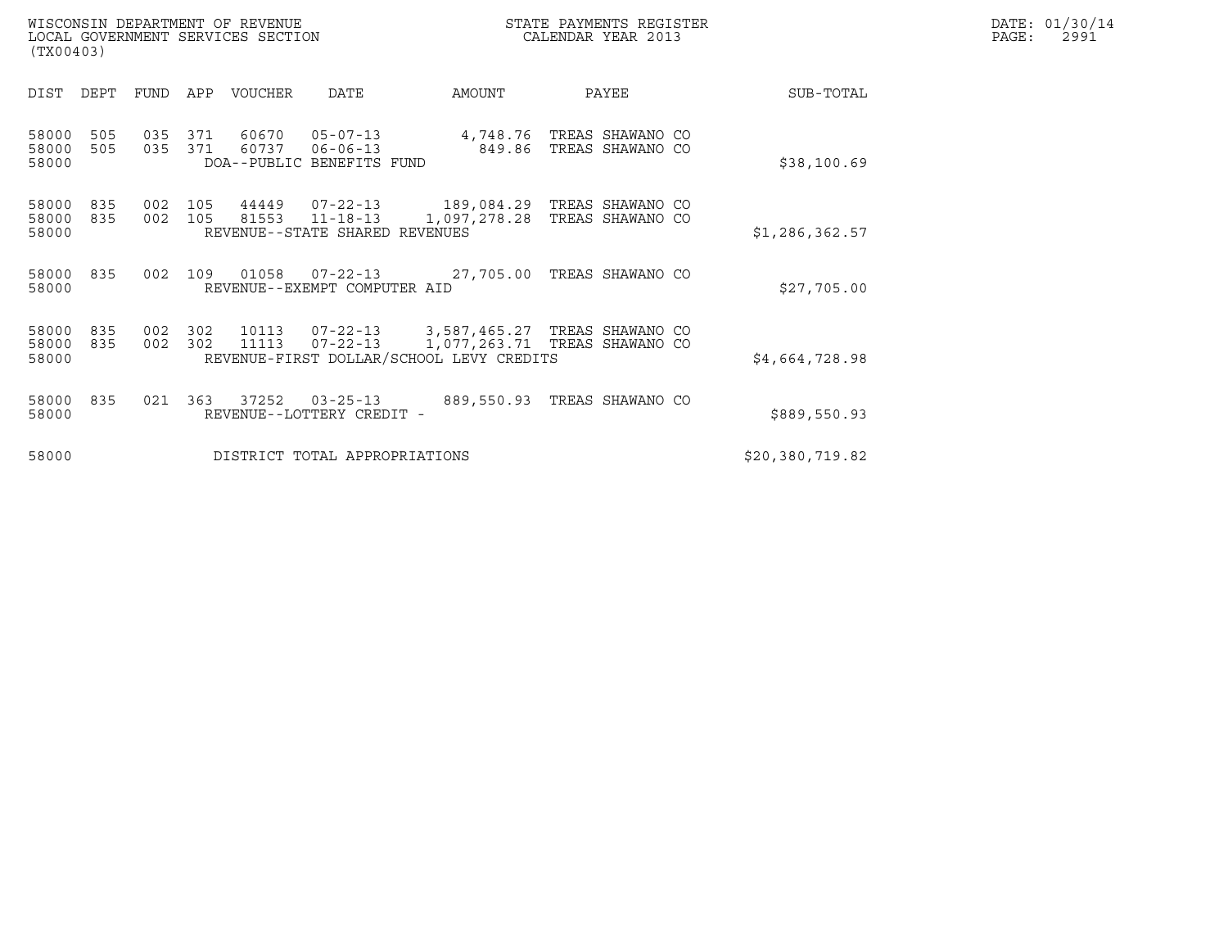|       | DATE: 01/30/14 |
|-------|----------------|
| PAGE: | 2991           |

|                    | STATE PAYMENTS REGISTER |
|--------------------|-------------------------|
| CALENDAR YEAR 2013 |                         |

WISCONSIN DEPARTMENT OF REVENUE<br>LOCAL GOVERNMENT SERVICES SECTION STATE PAYMENTS REGISTER SEGISTER SERVICES OF SAGE: 2991 WISCONSIN DEPARTMENT OF REVENUE<br>LOCAL GOVERNMENT SERVICES SECTION PARA PROPERTY CALENDAR YEAR 2013<br>(TX00403) (TX00403)

| (TX00403)               |            |            |            |                |                                                               |                                                                                             |                                      |                 |  |
|-------------------------|------------|------------|------------|----------------|---------------------------------------------------------------|---------------------------------------------------------------------------------------------|--------------------------------------|-----------------|--|
| DIST                    | DEPT       | FUND       | APP        | VOUCHER        | DATE                                                          | AMOUNT                                                                                      | PAYEE                                | SUB-TOTAL       |  |
| 58000<br>58000<br>58000 | 505<br>505 | 035<br>035 | 371<br>371 | 60670<br>60737 | $05 - 07 - 13$<br>$06 - 06 - 13$<br>DOA--PUBLIC BENEFITS FUND | 4,748.76<br>849.86                                                                          | TREAS SHAWANO CO<br>TREAS SHAWANO CO | \$38,100.69     |  |
| 58000<br>58000<br>58000 | 835<br>835 | 002<br>002 | 105<br>105 | 44449<br>81553 | 07-22-13<br>$11 - 18 - 13$<br>REVENUE--STATE SHARED           | 189,084.29<br>1,097,278.28<br>REVENUES                                                      | TREAS SHAWANO CO<br>TREAS SHAWANO CO | \$1,286,362.57  |  |
| 58000<br>58000          | 835        | 002        | 109        | 01058          | 07-22-13<br>REVENUE--EXEMPT COMPUTER AID                      | 27,705.00                                                                                   | TREAS SHAWANO CO                     | \$27,705.00     |  |
| 58000<br>58000<br>58000 | 835<br>835 | 002<br>002 | 302<br>302 | 10113<br>11113 | $07 - 22 - 13$<br>$07 - 22 - 13$                              | 3,587,465.27<br>1,077,263.71   TREAS SHAWANO CO<br>REVENUE-FIRST DOLLAR/SCHOOL LEVY CREDITS | TREAS SHAWANO CO                     | \$4,664,728.98  |  |
| 58000<br>58000          | 835        | 021        | 363        | 37252          | $03 - 25 - 13$<br>REVENUE--LOTTERY CREDIT -                   | 889,550.93                                                                                  | TREAS SHAWANO CO                     | \$889,550.93    |  |
| 58000                   |            |            |            |                | DISTRICT TOTAL APPROPRIATIONS                                 |                                                                                             |                                      | \$20,380,719.82 |  |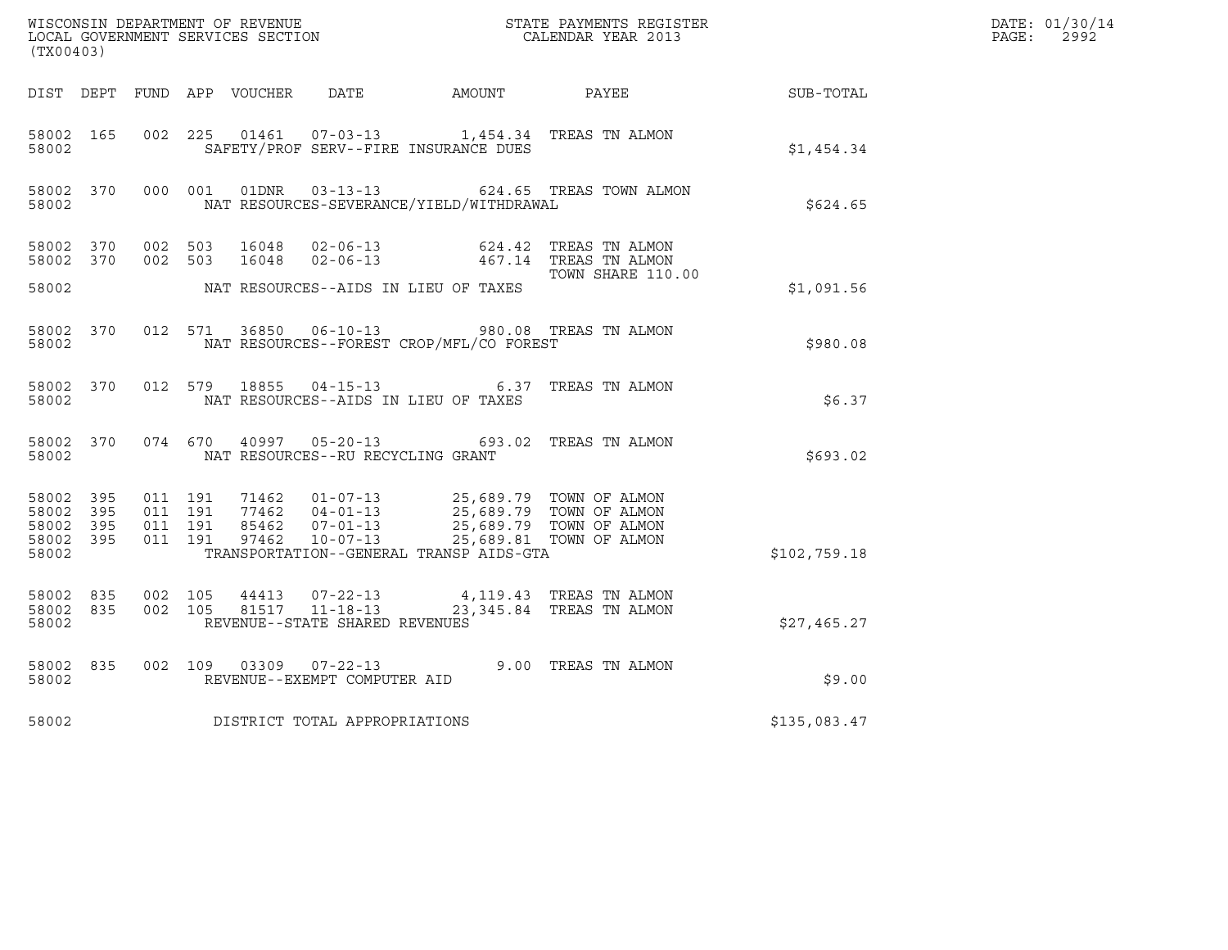| (TX00403)                                             |           |                                          |         |               |                                                  |                                                                                                                                   |                                                                |                  | DATE: 01/30/14<br>$\mathtt{PAGE}$ :<br>2992 |
|-------------------------------------------------------|-----------|------------------------------------------|---------|---------------|--------------------------------------------------|-----------------------------------------------------------------------------------------------------------------------------------|----------------------------------------------------------------|------------------|---------------------------------------------|
|                                                       |           |                                          |         |               |                                                  | DIST DEPT FUND APP VOUCHER DATE AMOUNT PAYEE                                                                                      |                                                                | <b>SUB-TOTAL</b> |                                             |
| 58002 165<br>58002                                    |           | 002 225                                  |         |               |                                                  | 01461  07-03-13  1,454.34  TREAS TN ALMON<br>SAFETY/PROF SERV--FIRE INSURANCE DUES                                                |                                                                | \$1,454.34       |                                             |
| 58002                                                 | 58002 370 |                                          | 000 001 |               |                                                  | NAT RESOURCES-SEVERANCE/YIELD/WITHDRAWAL                                                                                          | 01DNR  03-13-13  624.65  TREAS TOWN ALMON                      | \$624.65         |                                             |
| 58002 370<br>58002 370                                |           | 002 503<br>002 503                       |         | 16048         | $\frac{10048}{16048}$ 02-06-13                   | $02 - 06 - 13$ 624.42                                                                                                             | TREAS TN ALMON<br>467.14   TREAS TN ALMON<br>TOWN SHARE 110.00 |                  |                                             |
| 58002                                                 |           |                                          |         |               |                                                  | NAT RESOURCES--AIDS IN LIEU OF TAXES                                                                                              |                                                                | \$1,091.56       |                                             |
| 58002                                                 | 58002 370 |                                          | 012 571 |               |                                                  | NAT RESOURCES--FOREST CROP/MFL/CO FOREST                                                                                          | 36850  06-10-13  980.08  TREAS TN ALMON                        | \$980.08         |                                             |
| 58002                                                 | 58002 370 |                                          |         | 012 579 18855 |                                                  | NAT RESOURCES--AIDS IN LIEU OF TAXES                                                                                              | 04-15-13 6.37 TREAS TN ALMON                                   | \$6.37           |                                             |
| 58002 370<br>58002                                    |           |                                          | 074 670 | 40997         | NAT RESOURCES--RU RECYCLING GRANT                |                                                                                                                                   | 05-20-13 693.02 TREAS TN ALMON                                 | \$693.02         |                                             |
| 58002 395<br>58002<br>58002 395<br>58002 395<br>58002 | - 395     | 011 191<br>011 191<br>011 191<br>011 191 |         |               |                                                  | 71462  01-07-13  25,689.79  TOWN OF ALMON<br>77462  04-01-13  25,689.79  TOWN OF ALMON<br>TRANSPORTATION--GENERAL TRANSP AIDS-GTA | 25,689.79 TOWN OF ALMON<br>25,689.81 TOWN OF ALMON             | \$102,759.18     |                                             |
| 58002 835<br>58002 835<br>58002                       |           | 002 105<br>002 105                       |         | 44413         | 81517 11-18-13<br>REVENUE--STATE SHARED REVENUES | 07-22-13 4,119.43 TREAS TN ALMON                                                                                                  | 23,345.84 TREAS TN ALMON                                       | \$27,465.27      |                                             |
| 58002 835<br>58002                                    |           | 002 109                                  |         | 03309         | REVENUE--EXEMPT COMPUTER AID                     |                                                                                                                                   | 07-22-13 9.00 TREAS TN ALMON                                   | \$9.00           |                                             |
| 58002                                                 |           |                                          |         |               | DISTRICT TOTAL APPROPRIATIONS                    |                                                                                                                                   |                                                                | \$135,083.47     |                                             |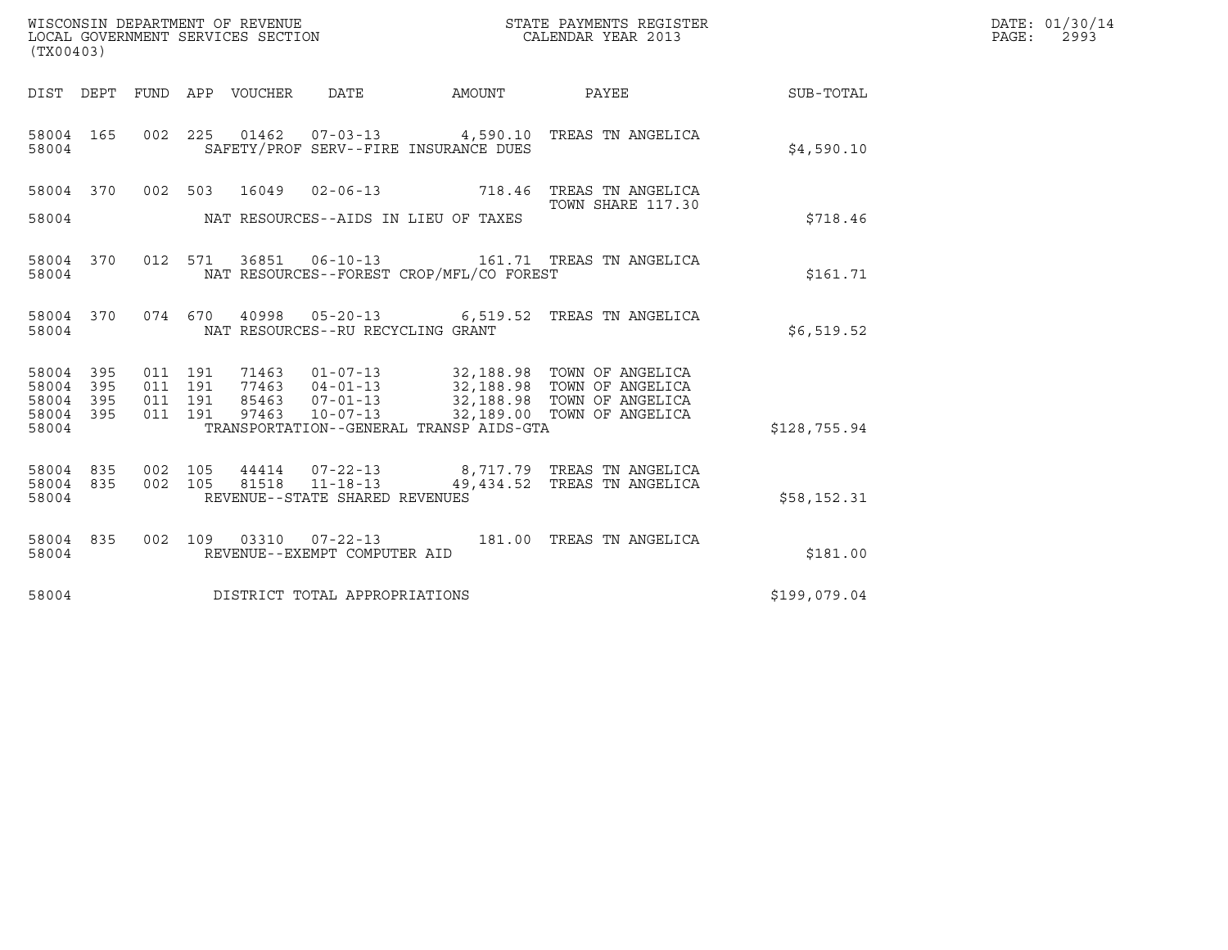| (TX00403)                                 |                          |                                          |         | WISCONSIN DEPARTMENT OF REVENUE<br>LOCAL GOVERNMENT SERVICES SECTION |                                                                    |                                          | STATE PAYMENTS REGISTER<br>CALENDAR YEAR 2013                                                                                                                              |              | DATE: 01/30/14<br>$\mathtt{PAGE}$ :<br>2993 |
|-------------------------------------------|--------------------------|------------------------------------------|---------|----------------------------------------------------------------------|--------------------------------------------------------------------|------------------------------------------|----------------------------------------------------------------------------------------------------------------------------------------------------------------------------|--------------|---------------------------------------------|
|                                           |                          |                                          |         | DIST DEPT FUND APP VOUCHER DATE                                      |                                                                    | AMOUNT                                   | <b>PAYEE</b>                                                                                                                                                               | SUB-TOTAL    |                                             |
| 58004 165<br>58004                        |                          |                                          |         |                                                                      |                                                                    | SAFETY/PROF SERV--FIRE INSURANCE DUES    | 002 225 01462 07-03-13 4,590.10 TREAS TN ANGELICA                                                                                                                          | \$4,590.10   |                                             |
| 58004                                     |                          |                                          |         |                                                                      |                                                                    | NAT RESOURCES--AIDS IN LIEU OF TAXES     | 58004 370 002 503 16049 02-06-13 718.46 TREAS TN ANGELICA<br>TOWN SHARE 117.30                                                                                             | \$718.46     |                                             |
| 58004 370<br>58004                        |                          |                                          | 012 571 |                                                                      |                                                                    | NAT RESOURCES--FOREST CROP/MFL/CO FOREST |                                                                                                                                                                            | \$161.71     |                                             |
| 58004                                     | 58004 370                |                                          |         |                                                                      | NAT RESOURCES--RU RECYCLING GRANT                                  |                                          | 074  670  40998  05-20-13   6,519.52  TREAS TN ANGELICA                                                                                                                    | \$6,519.52   |                                             |
| 58004<br>58004<br>58004<br>58004<br>58004 | 395<br>395<br>395<br>395 | 011 191<br>011 191<br>011 191<br>011 191 |         | 97463                                                                | $10 - 07 - 13$                                                     | TRANSPORTATION--GENERAL TRANSP AIDS-GTA  | 71463  01-07-13  32,188.98  TOWN OF ANGELICA<br>77463  04-01-13  32,188.98  TOWN OF ANGELICA<br>85463  07-01-13  32,188.98  TOWN OF ANGELICA<br>32,189.00 TOWN OF ANGELICA | \$128,755.94 |                                             |
| 58004 835<br>58004<br>58004               | 835                      | 002 105<br>002 105                       |         | 81518                                                                | 44414 07-22-13<br>$11 - 18 - 13$<br>REVENUE--STATE SHARED REVENUES |                                          | 8,717.79 TREAS TN ANGELICA<br>49,434.52 TREAS TN ANGELICA                                                                                                                  | \$58,152.31  |                                             |
| 58004 835<br>58004                        |                          |                                          |         |                                                                      | REVENUE--EXEMPT COMPUTER AID                                       |                                          | 002  109  03310  07-22-13  181.00  TREAS TN ANGELICA                                                                                                                       | \$181.00     |                                             |
| 58004                                     |                          |                                          |         |                                                                      | DISTRICT TOTAL APPROPRIATIONS                                      |                                          |                                                                                                                                                                            | \$199,079.04 |                                             |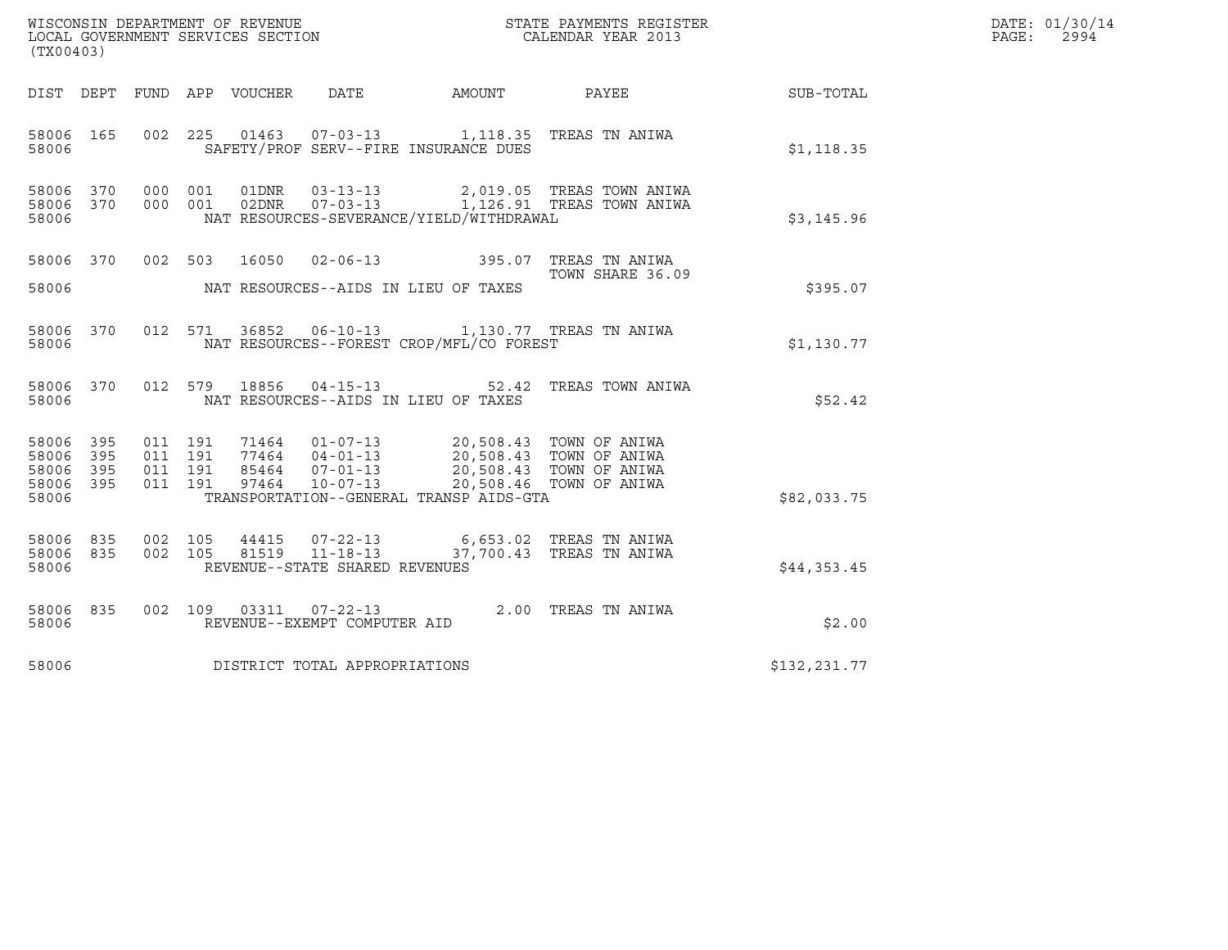| WISCONSIN DEPARTMENT OF REVENUE<br>LOCAL GOVERNMENT SERVICES SECTION<br>(TX00403) |                          |                                          |  |                  |                                                                    |                                                                                                                                   | STATE PAYMENTS REGISTER<br>CALENDAR YEAR 2013          |              | DATE: 01/30/14<br>PAGE:<br>2994 |
|-----------------------------------------------------------------------------------|--------------------------|------------------------------------------|--|------------------|--------------------------------------------------------------------|-----------------------------------------------------------------------------------------------------------------------------------|--------------------------------------------------------|--------------|---------------------------------|
| DIST DEPT                                                                         |                          |                                          |  | FUND APP VOUCHER | DATE                                                               | AMOUNT                                                                                                                            | PAYEE                                                  | SUB-TOTAL    |                                 |
| 58006 165<br>58006                                                                |                          | 002 225                                  |  |                  |                                                                    | 01463  07-03-13  1,118.35  TREAS TN ANIWA<br>SAFETY/PROF SERV--FIRE INSURANCE DUES                                                |                                                        | \$1,118.35   |                                 |
| 58006 370<br>58006 370<br>58006                                                   |                          | 000 001<br>000 001                       |  | 01DNR<br>02DNR   | $03 - 13 - 13$<br>$07 - 03 - 13$                                   | NAT RESOURCES-SEVERANCE/YIELD/WITHDRAWAL                                                                                          | 2,019.05 TREAS TOWN ANIWA<br>1,126.91 TREAS TOWN ANIWA | \$3,145.96   |                                 |
| 58006 370<br>58006                                                                |                          | 002 503                                  |  | 16050            | $02 - 06 - 13$                                                     | NAT RESOURCES--AIDS IN LIEU OF TAXES                                                                                              | 395.07 TREAS TN ANIWA<br>TOWN SHARE 36.09              | \$395.07     |                                 |
| 58006 370<br>58006                                                                |                          | 012 571                                  |  | 36852            |                                                                    | 06-10-13 1,130.77 TREAS TN ANIWA<br>NAT RESOURCES--FOREST CROP/MFL/CO FOREST                                                      |                                                        | \$1,130.77   |                                 |
| 58006 370<br>58006                                                                |                          | 012 579                                  |  | 18856            | $04 - 15 - 13$                                                     | 52.42<br>NAT RESOURCES--AIDS IN LIEU OF TAXES                                                                                     | TREAS TOWN ANIWA                                       | \$52.42      |                                 |
| 58006<br>58006<br>58006<br>58006<br>58006                                         | 395<br>395<br>395<br>395 | 011 191<br>011 191<br>011 191<br>011 191 |  | 97464            | 85464 07-01-13<br>$10 - 07 - 13$                                   | 71464  01-07-13  20,508.43  TOWN OF ANIWA<br>77464  04-01-13  20,508.43  TOWN OF ANIWA<br>TRANSPORTATION--GENERAL TRANSP AIDS-GTA | 20,508.43 TOWN OF ANIWA<br>20,508.46 TOWN OF ANIWA     | \$82,033.75  |                                 |
| 58006 835<br>58006<br>58006                                                       | 835                      | 002 105<br>002 105                       |  | 44415<br>81519   | $07 - 22 - 13$<br>$11 - 18 - 13$<br>REVENUE--STATE SHARED REVENUES |                                                                                                                                   | 6,653.02 TREAS TN ANIWA<br>37,700.43 TREAS TN ANIWA    | \$44,353.45  |                                 |
| 58006 835<br>58006                                                                |                          | 002 109                                  |  | 03311            | 07-22-13<br>REVENUE--EXEMPT COMPUTER AID                           |                                                                                                                                   | 2.00 TREAS TN ANIWA                                    | \$2.00       |                                 |
| 58006                                                                             |                          |                                          |  |                  | DISTRICT TOTAL APPROPRIATIONS                                      |                                                                                                                                   |                                                        | \$132,231.77 |                                 |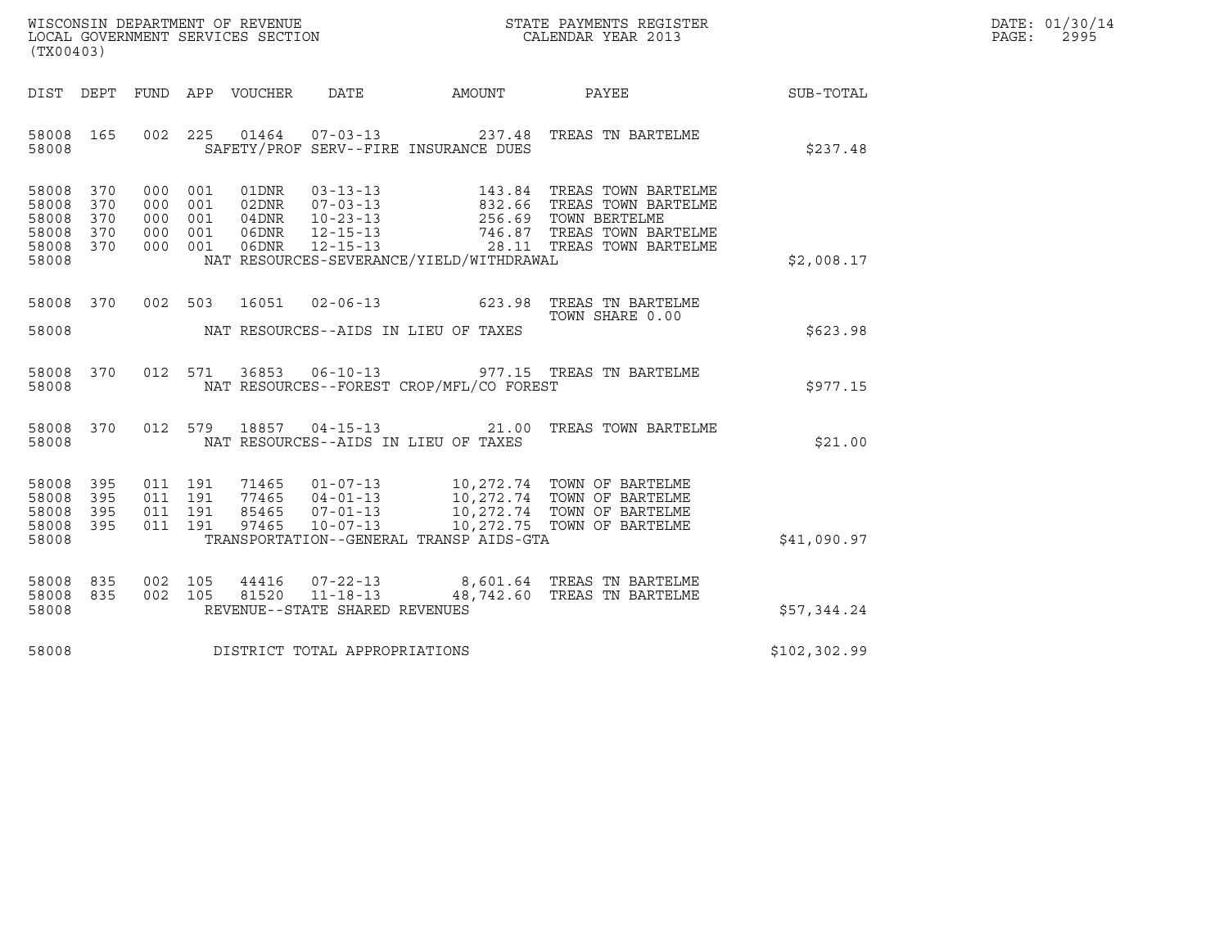| WISCONSIN DEPARTMENT OF REVENUE   | STATE PAYMENTS REGISTER | DATE: 01/30/14 |
|-----------------------------------|-------------------------|----------------|
| LOCAL GOVERNMENT SERVICES SECTION | CALENDAR YEAR 2013      | 2995<br>PAGE:  |

| (TX00403)                                                                                                                                                                                                                                                                                                                                                          |                                         |                 |              | DATE: 01/30/14<br>PAGE: 2995 |
|--------------------------------------------------------------------------------------------------------------------------------------------------------------------------------------------------------------------------------------------------------------------------------------------------------------------------------------------------------------------|-----------------------------------------|-----------------|--------------|------------------------------|
| DIST DEPT FUND APP VOUCHER DATE AMOUNT PAYEE SUB-TOTAL                                                                                                                                                                                                                                                                                                             |                                         |                 |              |                              |
| 002  225  01464  07-03-13  237.48  TREAS TN BARTELME<br>58008 165<br>58008 SAFETY/PROF SERV--FIRE INSURANCE DUES                                                                                                                                                                                                                                                   |                                         |                 | \$237.48     |                              |
| 58008 370<br>000 001 01DNR 03-13-13<br>000 001 02DNR 07-03-13<br>000 001 04DNR 10-23-13<br>000 001 06DNR 12-15-13<br>000 001 06DNR 12-15-13<br>000 001 06DNR 12-15-13<br>28.11 TREAS TOWN BARTELME<br>000 001 06DNR 12-15-13<br>28.11 TREAS TOWN BARTELME<br>58008 370<br>58008 370<br>58008 370<br>58008 370<br>NAT RESOURCES-SEVERANCE/YIELD/WITHDRAWAL<br>58008 |                                         |                 | \$2,008.17   |                              |
| 58008 370 002 503 16051 02-06-13 623.98 TREAS TN BARTELME<br>58008 NAT RESOURCES--AIDS IN LIEU OF TAXES                                                                                                                                                                                                                                                            |                                         | TOWN SHARE 0.00 | \$623.98     |                              |
| 58008 370 012 571 36853 06-10-13 977.15 TREAS TN BARTELME<br>58008 NAT RESOURCES--FOREST CROP/MFL/CO FOREST                                                                                                                                                                                                                                                        |                                         |                 | \$977.15     |                              |
| 58008 370 012 579 18857 04-15-13 21.00 TREAS TOWN BARTELME<br>58008 NAT RESOURCES--AIDS IN LIEU OF TAXES                                                                                                                                                                                                                                                           |                                         |                 | \$21.00      |                              |
| 011 191 71465 01-07-13 10,272.74 TOWN OF BARTELME<br>011 191 77465 04-01-13 10,272.74 TOWN OF BARTELME<br>011 191 85465 07-01-13 10,272.74 TOWN OF BARTELME<br>011 191 97465 10-07-13 10,272.75 TOWN OF BARTELME<br>58008 395<br>58008 395<br>58008 395<br>58008 395<br>58008                                                                                      | TRANSPORTATION--GENERAL TRANSP AIDS-GTA |                 | \$41,090.97  |                              |
| 58008 835 002 105 44416 07-22-13 8,601.64 TREAS TN BARTELME<br>58008 835 002 105 81520 11-18-13 48,742.60 TREAS TN BARTELME<br>REVENUE--STATE SHARED REVENUES<br>58008                                                                                                                                                                                             |                                         |                 | \$57,344.24  |                              |
| 58008 DISTRICT TOTAL APPROPRIATIONS                                                                                                                                                                                                                                                                                                                                |                                         |                 | \$102,302.99 |                              |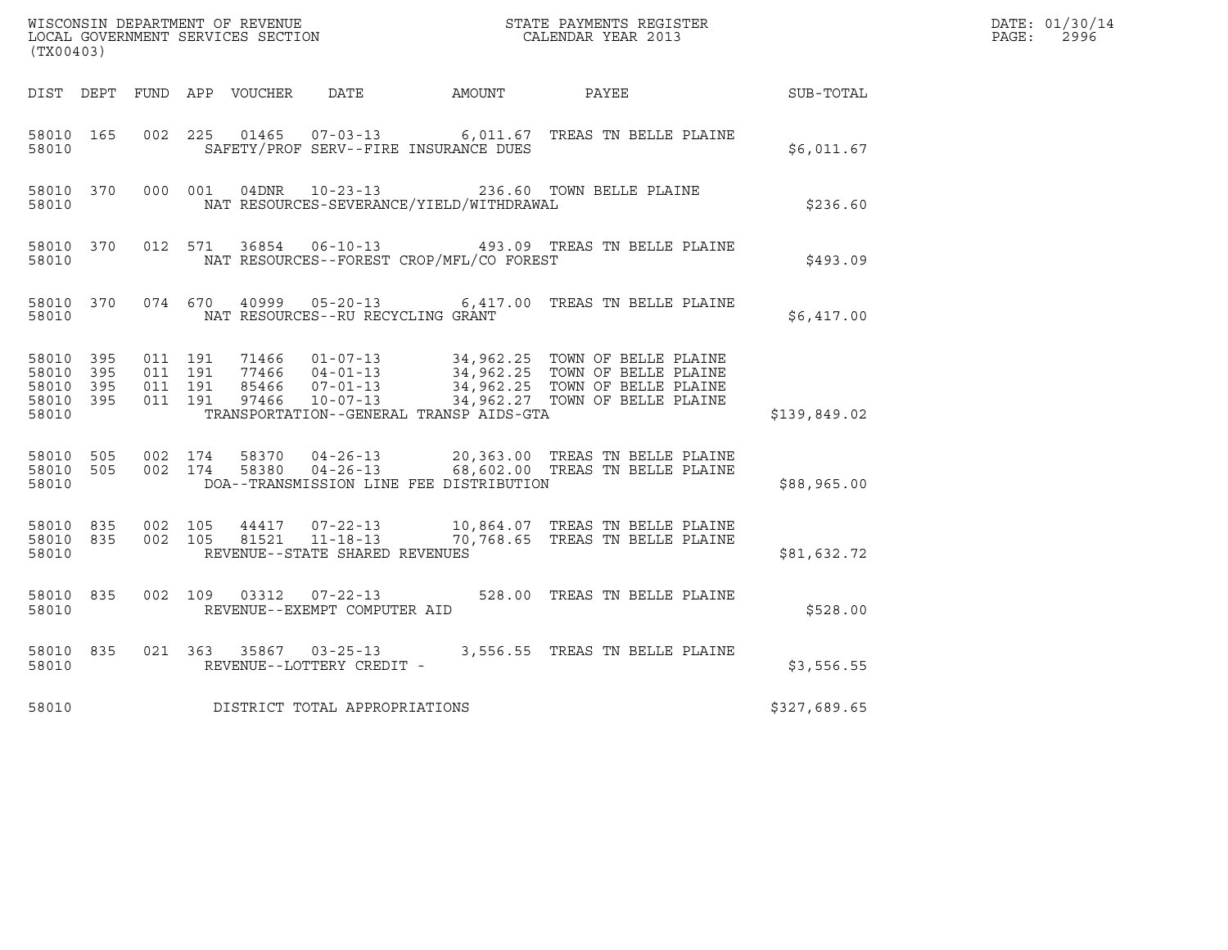|                                                           |                               |         |                                   |                                              |                                                                                                                                                                                                              |                  | DATE: 01/30/14<br>PAGE:<br>2996 |
|-----------------------------------------------------------|-------------------------------|---------|-----------------------------------|----------------------------------------------|--------------------------------------------------------------------------------------------------------------------------------------------------------------------------------------------------------------|------------------|---------------------------------|
| (TX00403)                                                 |                               |         |                                   |                                              |                                                                                                                                                                                                              |                  |                                 |
|                                                           |                               |         |                                   | DIST DEPT FUND APP VOUCHER DATE AMOUNT PAYEE |                                                                                                                                                                                                              | <b>SUB-TOTAL</b> |                                 |
| 58010 165<br>58010                                        |                               |         |                                   | SAFETY/PROF SERV--FIRE INSURANCE DUES        | 002 225 01465 07-03-13 6,011.67 TREAS TN BELLE PLAINE                                                                                                                                                        | \$6,011.67       |                                 |
| 58010 370<br>58010                                        |                               | 000 001 |                                   | NAT RESOURCES-SEVERANCE/YIELD/WITHDRAWAL     | 04DNR  10-23-13  236.60 TOWN BELLE PLAINE                                                                                                                                                                    | \$236.60         |                                 |
| 58010 370<br>58010                                        |                               |         |                                   | NAT RESOURCES--FOREST CROP/MFL/CO FOREST     | 012 571 36854 06-10-13 493.09 TREAS TN BELLE PLAINE                                                                                                                                                          | \$493.09         |                                 |
| 58010 370<br>58010                                        |                               |         | NAT RESOURCES--RU RECYCLING GRANT |                                              | 074 670 40999 05-20-13 6,417.00 TREAS TN BELLE PLAINE                                                                                                                                                        | \$6.417.00       |                                 |
| 58010 395<br>58010 395<br>58010 395<br>58010 395<br>58010 | 011 191<br>011 191<br>011 191 | 011 191 |                                   | TRANSPORTATION--GENERAL TRANSP AIDS-GTA      | 71466  01-07-13  34,962.25  TOWN OF BELLE PLAINE<br>77466  04-01-13  34,962.25  TOWN OF BELLE PLAINE<br>85466  07-01-13  34,962.25  TOWN OF BELLE PLAINE<br>97466  10-07-13  34,962.27  TOWN OF BELLE PLAINE | \$139,849.02     |                                 |
| 58010 505<br>58010                                        | 58010 505 002 174             | 002 174 |                                   | DOA--TRANSMISSION LINE FEE DISTRIBUTION      | 58370  04-26-13  20,363.00 TREAS TN BELLE PLAINE<br>58380  04-26-13  68,602.00 TREAS TN BELLE PLAINE                                                                                                         | \$88,965.00      |                                 |
| 58010 835<br>58010                                        | 58010 835 002 105             | 002 105 | REVENUE--STATE SHARED REVENUES    |                                              | 44417  07-22-13   10,864.07   TREAS TN BELLE PLAINE<br>81521  11-18-13   70,768.65   TREAS TN BELLE PLAINE                                                                                                   | \$81,632.72      |                                 |
| 58010 835<br>58010                                        |                               |         | REVENUE--EXEMPT COMPUTER AID      |                                              | 002 109 03312 07-22-13 528.00 TREAS TN BELLE PLAINE                                                                                                                                                          | \$528.00         |                                 |
| 58010 835<br>58010                                        |                               |         | REVENUE--LOTTERY CREDIT -         |                                              | 021 363 35867 03-25-13 3,556.55 TREAS TN BELLE PLAINE                                                                                                                                                        | \$3,556.55       |                                 |
| 58010                                                     |                               |         | DISTRICT TOTAL APPROPRIATIONS     |                                              |                                                                                                                                                                                                              | \$327,689.65     |                                 |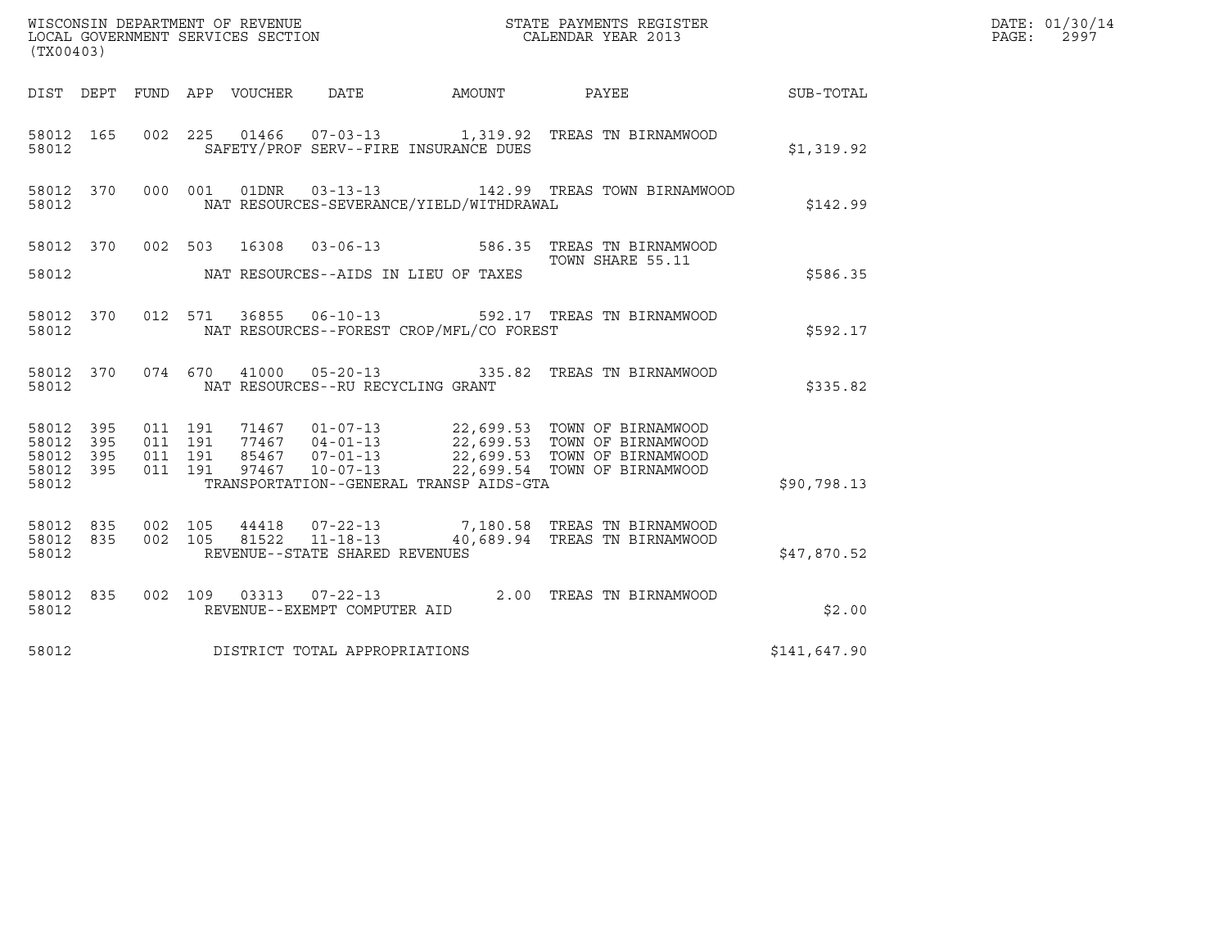| WISCONSIN DEPARTMENT OF REVENUE<br>LOCAL GOVERNMENT SERVICES SECTION<br>(TX00403)                                                                                                                                                                                                                                                             | STATE PAYMENTS REGISTER<br>CALENDAR YEAR 2013 |              | DATE: 01/30/14<br>PAGE:<br>2997 |
|-----------------------------------------------------------------------------------------------------------------------------------------------------------------------------------------------------------------------------------------------------------------------------------------------------------------------------------------------|-----------------------------------------------|--------------|---------------------------------|
| DIST DEPT FUND APP VOUCHER<br>DATE<br>AMOUNT                                                                                                                                                                                                                                                                                                  | <b>PAYEE</b>                                  | SUB-TOTAL    |                                 |
| 002 225 01466 07-03-13 1,319.92 TREAS TN BIRNAMWOOD<br>58012 165<br>SAFETY/PROF SERV--FIRE INSURANCE DUES<br>58012                                                                                                                                                                                                                            |                                               | \$1,319.92   |                                 |
| 01DNR<br>58012 370<br>000 001<br>$03 - 13 - 13$<br>NAT RESOURCES-SEVERANCE/YIELD/WITHDRAWAL<br>58012                                                                                                                                                                                                                                          | 142.99 TREAS TOWN BIRNAMWOOD                  | \$142.99     |                                 |
| 002 503<br>58012 370<br>16308<br>03-06-13 586.35 TREAS TN BIRNAMWOOD                                                                                                                                                                                                                                                                          | TOWN SHARE 55.11                              |              |                                 |
| 58012<br>NAT RESOURCES--AIDS IN LIEU OF TAXES                                                                                                                                                                                                                                                                                                 |                                               | \$586.35     |                                 |
| 36855   06-10-13   592.17   TREAS TN BIRNAMWOOD<br>012 571<br>58012 370<br>58012<br>NAT RESOURCES--FOREST CROP/MFL/CO FOREST                                                                                                                                                                                                                  |                                               | \$592.17     |                                 |
| 41000  05-20-13  335.82  TREAS TN BIRNAMWOOD<br>58012 370<br>074 670<br>58012<br>NAT RESOURCES--RU RECYCLING GRANT                                                                                                                                                                                                                            |                                               | \$335.82     |                                 |
| 71467  01-07-13  22,699.53  TOWN OF BIRNAMWOOD<br>77467  04-01-13  22,699.53  TOWN OF BIRNAMWOOD<br>85467  07-01-13  22,699.53  TOWN OF BIRNAMWOOD<br>58012<br>395<br>011 191<br>395<br>011 191<br>58012<br>011 191<br>395<br>58012<br>011 191<br>395<br>97467<br>$10 - 07 - 13$<br>58012<br>TRANSPORTATION--GENERAL TRANSP AIDS-GTA<br>58012 | 22,699.54 TOWN OF BIRNAMWOOD                  | \$90,798.13  |                                 |
| 002 105<br>07-22-13 7,180.58 TREAS TN BIRNAMWOOD<br>58012<br>835<br>44418<br>$11 - 18 - 13$<br>002 105<br>81522<br>58012<br>835<br>REVENUE--STATE SHARED REVENUES<br>58012                                                                                                                                                                    | 40,689.94 TREAS TN BIRNAMWOOD                 | \$47,870.52  |                                 |
| 002 109 03313 07-22-13 2.00 TREAS TN BIRNAMWOOD<br>58012 835<br>58012<br>REVENUE--EXEMPT COMPUTER AID                                                                                                                                                                                                                                         |                                               | \$2.00       |                                 |
| 58012<br>DISTRICT TOTAL APPROPRIATIONS                                                                                                                                                                                                                                                                                                        |                                               | \$141,647.90 |                                 |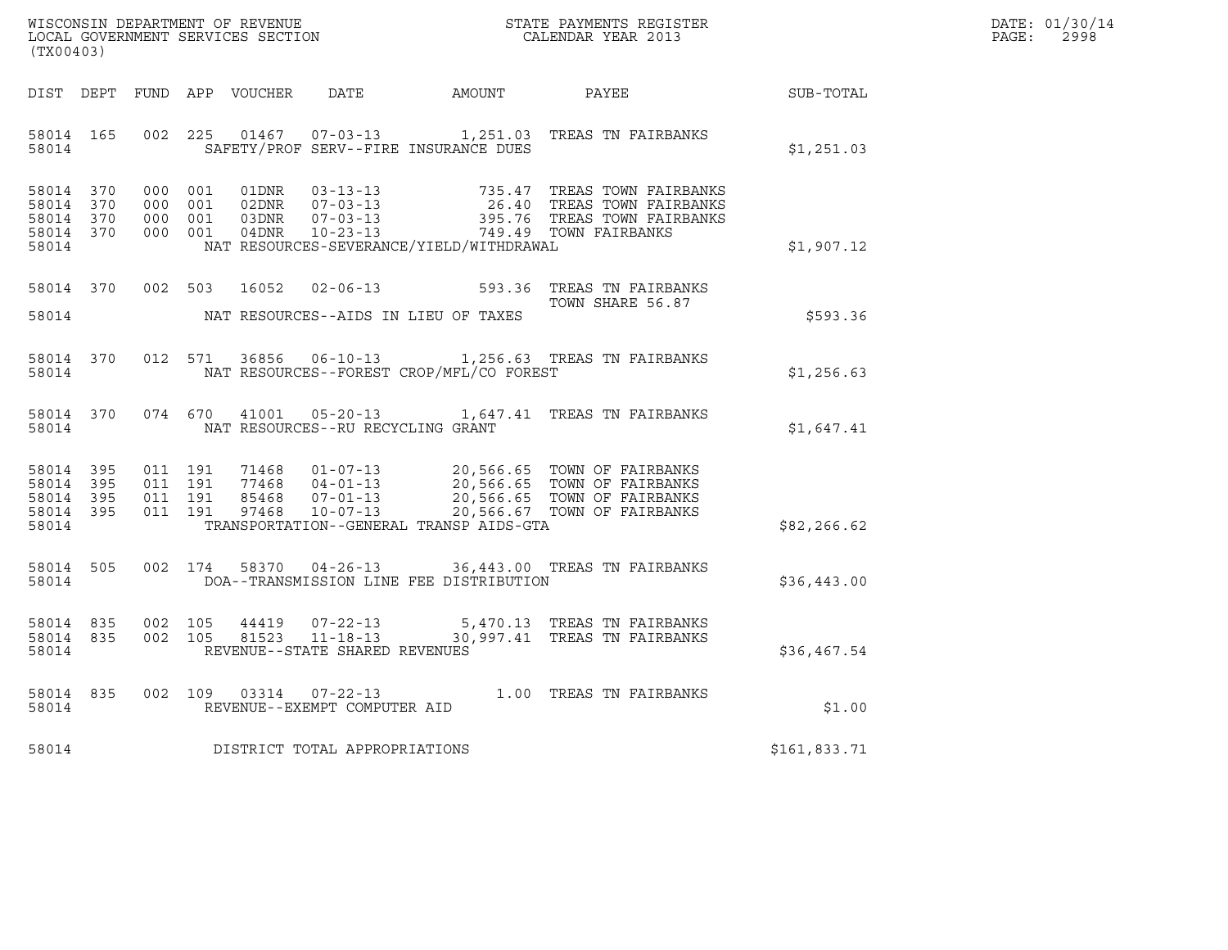| WISCONSIN DEPARTMENT OF REVENUE   | STATE PAYMENTS REGISTER | DATE: 01/30/14 |
|-----------------------------------|-------------------------|----------------|
| LOCAL GOVERNMENT SERVICES SECTION | CALENDAR YEAR 2013      | 2998<br>PAGE:  |

| (TX00403)                                                 |                        |         |         |       |                                |                                          |                                                                                                                                                                                                                      |              | DATE: 01/30/14<br>PAGE:<br>2998 |
|-----------------------------------------------------------|------------------------|---------|---------|-------|--------------------------------|------------------------------------------|----------------------------------------------------------------------------------------------------------------------------------------------------------------------------------------------------------------------|--------------|---------------------------------|
| DIST DEPT                                                 |                        |         |         |       |                                | FUND APP VOUCHER DATE AMOUNT PAYEE       |                                                                                                                                                                                                                      | SUB-TOTAL    |                                 |
| 58014                                                     | 58014 165              |         |         |       |                                | SAFETY/PROF SERV--FIRE INSURANCE DUES    | 002 225 01467 07-03-13 1,251.03 TREAS TN FAIRBANKS                                                                                                                                                                   | \$1,251.03   |                                 |
| 58014 370<br>58014 370<br>58014 370<br>58014 370<br>58014 |                        |         |         |       |                                | NAT RESOURCES-SEVERANCE/YIELD/WITHDRAWAL |                                                                                                                                                                                                                      | \$1,907.12   |                                 |
| 58014                                                     | 58014 370              | 002 503 |         | 16052 |                                | NAT RESOURCES--AIDS IN LIEU OF TAXES     | 02-06-13 593.36 TREAS TN FAIRBANKS<br>TOWN SHARE 56.87                                                                                                                                                               | \$593.36     |                                 |
| 58014                                                     | 58014 370              |         |         |       |                                | NAT RESOURCES--FOREST CROP/MFL/CO FOREST | 012 571 36856 06-10-13 1,256.63 TREAS TN FAIRBANKS                                                                                                                                                                   | \$1,256.63   |                                 |
| 58014                                                     | 58014 370              |         |         |       |                                | NAT RESOURCES--RU RECYCLING GRANT        | 074 670 41001 05-20-13 1,647.41 TREAS TN FAIRBANKS                                                                                                                                                                   | \$1,647.41   |                                 |
| 58014 395<br>58014 395<br>58014 395<br>58014 395<br>58014 |                        |         |         |       |                                | TRANSPORTATION--GENERAL TRANSP AIDS-GTA  | 011 191 71468 01-07-13 20,566.65 TOWN OF FAIRBANKS<br>011 191 77468 04-01-13 20,566.65 TOWN OF FAIRBANKS<br>011 191 85468 07-01-13 20,566.65 TOWN OF FAIRBANKS<br>011 191 97468 10-07-13 20,566.67 TOWN OF FAIRBANKS | \$82, 266.62 |                                 |
| 58014 505<br>58014                                        |                        |         | 002 174 |       |                                | DOA--TRANSMISSION LINE FEE DISTRIBUTION  | 58370  04-26-13  36,443.00  TREAS TN FAIRBANKS                                                                                                                                                                       | \$36,443.00  |                                 |
| 58014                                                     | 58014 835<br>58014 835 |         |         |       | REVENUE--STATE SHARED REVENUES |                                          | 002 105 44419 07-22-13 5,470.13 TREAS TN FAIRBANKS<br>002 105 81523 11-18-13 30,997.41 TREAS TN FAIRBANKS                                                                                                            | \$36,467.54  |                                 |
|                                                           | 58014 835<br>58014     |         |         |       | REVENUE--EXEMPT COMPUTER AID   |                                          | 002 109 03314 07-22-13 1.00 TREAS TN FAIRBANKS                                                                                                                                                                       | \$1.00       |                                 |
| 58014                                                     |                        |         |         |       | DISTRICT TOTAL APPROPRIATIONS  |                                          |                                                                                                                                                                                                                      | \$161,833.71 |                                 |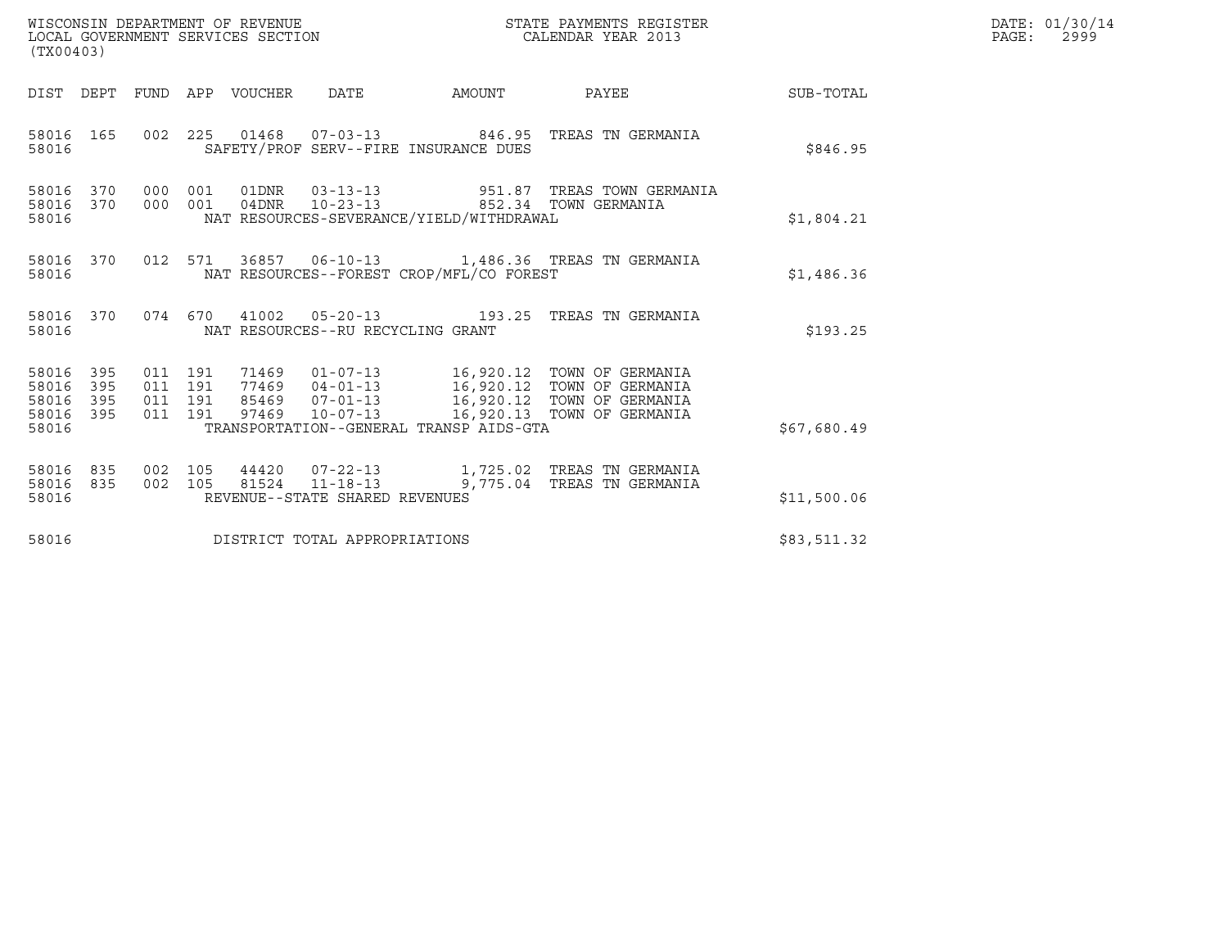| WISCONSIN DEPARTMENT OF REVENUE   | STATE PAYMENTS REGISTER | DATE: 01/30/14 |
|-----------------------------------|-------------------------|----------------|
| LOCAL GOVERNMENT SERVICES SECTION | CALENDAR YEAR 2013      | 2999<br>PAGE:  |

| (TX00403)                                         |            |  |  |  |                                   |                                          |                                                                                                                                                                                                                                                                                                                                                      |             | DATE: 01/30/14<br>$\mathtt{PAGE:}$<br>2999 |
|---------------------------------------------------|------------|--|--|--|-----------------------------------|------------------------------------------|------------------------------------------------------------------------------------------------------------------------------------------------------------------------------------------------------------------------------------------------------------------------------------------------------------------------------------------------------|-------------|--------------------------------------------|
|                                                   |            |  |  |  |                                   |                                          | DIST DEPT FUND APP VOUCHER DATE AMOUNT PAYEE PATE SUB-TOTAL                                                                                                                                                                                                                                                                                          |             |                                            |
| 58016                                             | 58016 165  |  |  |  |                                   | SAFETY/PROF SERV--FIRE INSURANCE DUES    | 002 225 01468 07-03-13 846.95 TREAS TN GERMANIA                                                                                                                                                                                                                                                                                                      | \$846.95    |                                            |
| 58016 370<br>58016 370<br>58016                   |            |  |  |  |                                   | NAT RESOURCES-SEVERANCE/YIELD/WITHDRAWAL | 000 001 01DNR 03-13-13 951.87 TREAS TOWN GERMANIA<br>000 001 04DNR 10-23-13 852.34 TOWN GERMANIA                                                                                                                                                                                                                                                     | \$1,804.21  |                                            |
| 58016                                             |            |  |  |  |                                   | NAT RESOURCES--FOREST CROP/MFL/CO FOREST | 58016 370 012 571 36857 06-10-13 1,486.36 TREAS TN GERMANIA                                                                                                                                                                                                                                                                                          | \$1,486.36  |                                            |
| 58016                                             |            |  |  |  | NAT RESOURCES--RU RECYCLING GRANT |                                          | 58016 370 074 670 41002 05-20-13 193.25 TREAS TN GERMANIA                                                                                                                                                                                                                                                                                            | \$193.25    |                                            |
| 58016<br>58016<br>58016 395<br>58016 395<br>58016 | 395<br>395 |  |  |  |                                   | TRANSPORTATION--GENERAL TRANSP AIDS-GTA  | $\begin{array}{cccc} 011 & 191 & 71469 & 01\texttt{-}07\texttt{-}13 & 16,920.12 & \texttt{TOWN OF GERMANIA} \\ 011 & 191 & 77469 & 04\texttt{-}01\texttt{-}13 & 16,920.12 & \texttt{TOWN OF GERMANIA} \\ 011 & 191 & 85469 & 07\texttt{-}01\texttt{-}13 & 16,920.12 & \texttt{TOWN OF GERMANIA} \\ 011 & 191 & 97469 & 10\texttt{-}07\texttt{-}13 &$ | \$67,680.49 |                                            |
| 58016 835<br>58016 835<br>58016                   |            |  |  |  | REVENUE--STATE SHARED REVENUES    |                                          | 002 105 44420 07-22-13 1,725.02 TREAS TN GERMANIA<br>002 105 81524 11-18-13 9,775.04 TREAS TN GERMANIA                                                                                                                                                                                                                                               | \$11,500.06 |                                            |
| 58016                                             |            |  |  |  | DISTRICT TOTAL APPROPRIATIONS     |                                          |                                                                                                                                                                                                                                                                                                                                                      | \$83,511.32 |                                            |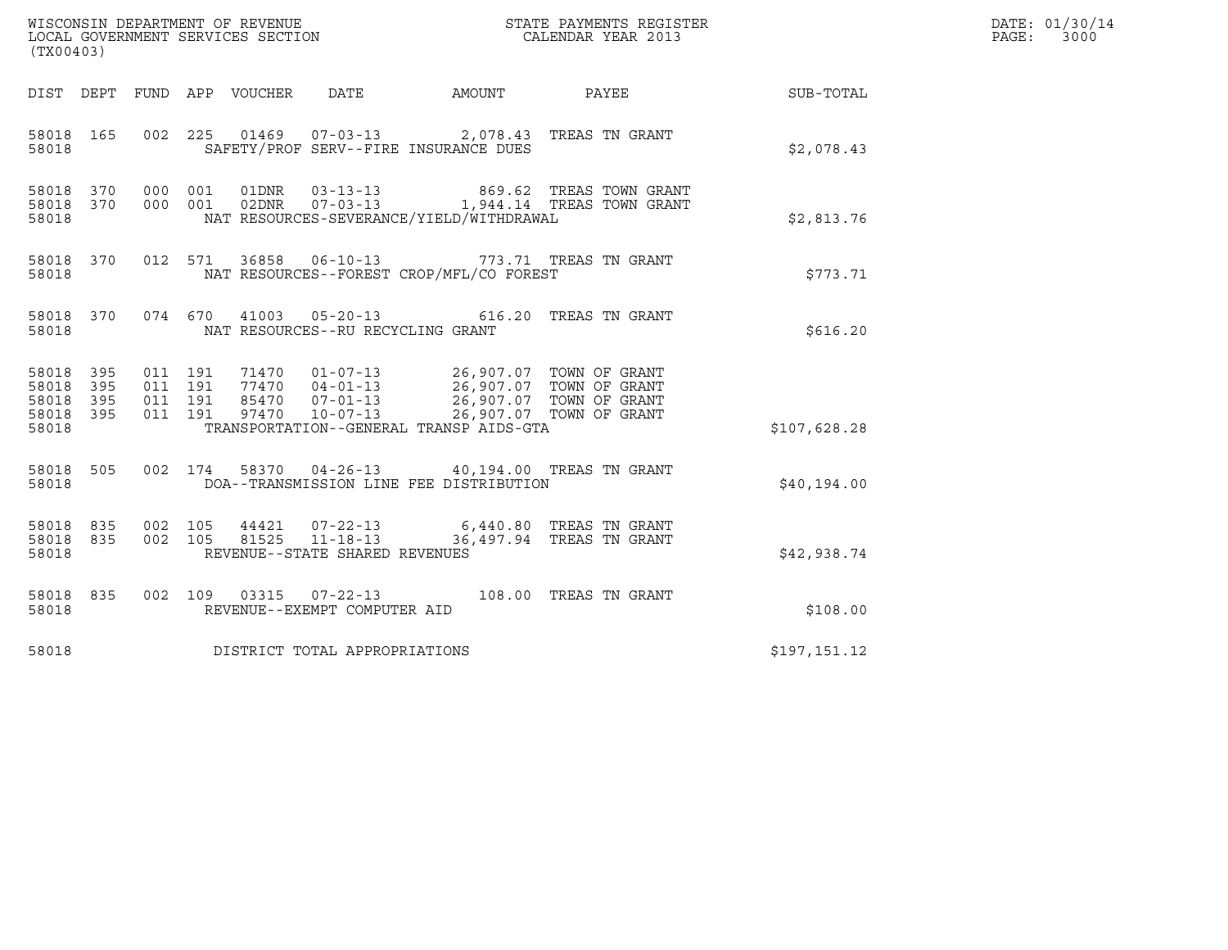| (TX00403)                                 |                          |                    |                                 |       | WISCONSIN DEPARTMENT OF REVENUE<br>LOCAL GOVERNMENT SERVICES SECTION |                                                                                                                                                                                                                             | STATE PAYMENTS REGISTER<br>CALENDAR YEAR 2013                                                                                      |              | DATE: 01/30/14<br>PAGE:<br>3000 |
|-------------------------------------------|--------------------------|--------------------|---------------------------------|-------|----------------------------------------------------------------------|-----------------------------------------------------------------------------------------------------------------------------------------------------------------------------------------------------------------------------|------------------------------------------------------------------------------------------------------------------------------------|--------------|---------------------------------|
|                                           |                          |                    | DIST DEPT FUND APP VOUCHER DATE |       |                                                                      | AMOUNT PAYEE                                                                                                                                                                                                                |                                                                                                                                    | SUB-TOTAL    |                                 |
| 58018 165<br>58018                        |                          |                    |                                 |       |                                                                      | 002 225 01469 07-03-13 2,078.43 TREAS TN GRANT<br>SAFETY/PROF SERV--FIRE INSURANCE DUES                                                                                                                                     |                                                                                                                                    | \$2,078.43   |                                 |
| 58018<br>58018<br>58018                   | 370<br>370               |                    | 000 001<br>000 001              |       |                                                                      | NAT RESOURCES-SEVERANCE/YIELD/WITHDRAWAL                                                                                                                                                                                    | $\begin{tabular}{llllll} 01DNR & 03-13-13 & 869.62 TREAS TOWN GRANT \\ 02DNR & 07-03-13 & 1,944.14 TREAS TOWN GRANT \end{tabular}$ | \$2,813.76   |                                 |
| 58018 370<br>58018                        |                          |                    | 012 571                         |       |                                                                      | 36858  06-10-13  773.71  TREAS TN GRANT<br>NAT RESOURCES--FOREST CROP/MFL/CO FOREST                                                                                                                                         |                                                                                                                                    | \$773.71     |                                 |
| 58018 370<br>58018                        |                          |                    | 074 670                         |       | NAT RESOURCES--RU RECYCLING GRANT                                    | 41003  05-20-13  616.20  TREAS TN GRANT                                                                                                                                                                                     |                                                                                                                                    | \$616.20     |                                 |
| 58018<br>58018<br>58018<br>58018<br>58018 | 395<br>395<br>395<br>395 | 011 191<br>011 191 | 011 191<br>011 191              |       |                                                                      | 71470  01-07-13  26,907.07  TOWN OF GRANT<br>77470  04-01-13  26,907.07  TOWN OF GRANT<br>85470  07-01-13  26,907.07  TOWN OF GRANT<br>97470  10-07-13  26,907.07  TOWN OF GRANT<br>TRANSPORTATION--GENERAL TRANSP AIDS-GTA | 26,907.07 TOWN OF GRANT                                                                                                            | \$107,628.28 |                                 |
| 58018 505<br>58018                        |                          |                    | 002 174                         |       |                                                                      | 58370  04-26-13  40,194.00  TREAS TN GRANT<br>DOA--TRANSMISSION LINE FEE DISTRIBUTION                                                                                                                                       |                                                                                                                                    | \$40,194.00  |                                 |
| 58018<br>58018<br>58018                   | 835<br>835               | 002 105            | 002 105                         | 81525 | $11 - 18 - 13$<br>REVENUE--STATE SHARED REVENUES                     | 44421  07-22-13  6,440.80  TREAS TN GRANT<br>36,497.94 TREAS TN GRANT                                                                                                                                                       |                                                                                                                                    | \$42,938.74  |                                 |
| 58018 835<br>58018                        |                          |                    |                                 |       | REVENUE--EXEMPT COMPUTER AID                                         | 002 109 03315 07-22-13 108.00 TREAS TN GRANT                                                                                                                                                                                |                                                                                                                                    | \$108.00     |                                 |
| 58018                                     |                          |                    |                                 |       | DISTRICT TOTAL APPROPRIATIONS                                        |                                                                                                                                                                                                                             |                                                                                                                                    | \$197,151.12 |                                 |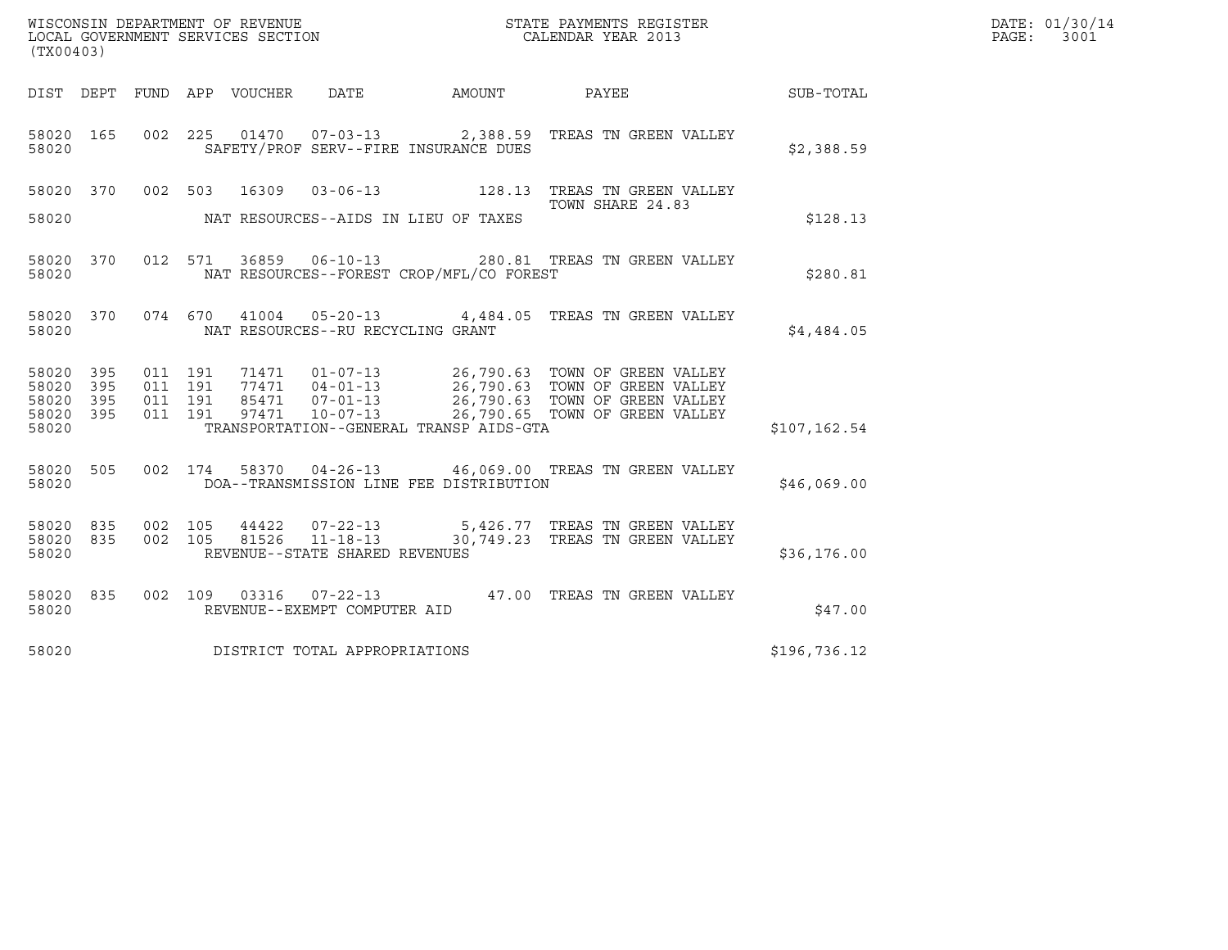| (TX00403)                       |            |         |         |                                 | WISCONSIN DEPARTMENT OF REVENUE<br>LOCAL GOVERNMENT SERVICES SECTION |                                          | STATE PAYMENTS REGISTER<br>CALENDAR YEAR 2013                                                                                                                                                                            |               | DATE: 01/30/14<br>PAGE:<br>3001 |
|---------------------------------|------------|---------|---------|---------------------------------|----------------------------------------------------------------------|------------------------------------------|--------------------------------------------------------------------------------------------------------------------------------------------------------------------------------------------------------------------------|---------------|---------------------------------|
|                                 |            |         |         | DIST DEPT FUND APP VOUCHER DATE |                                                                      | AMOUNT PAYEE                             |                                                                                                                                                                                                                          | SUB-TOTAL     |                                 |
| 58020 165<br>58020              |            |         |         |                                 |                                                                      | SAFETY/PROF SERV--FIRE INSURANCE DUES    | 002  225  01470  07-03-13  2,388.59  TREAS TN GREEN VALLEY                                                                                                                                                               | \$2,388.59    |                                 |
|                                 |            |         |         |                                 |                                                                      |                                          | 58020 370 002 503 16309 03-06-13 128.13 TREAS TN GREEN VALLEY<br>TOWN SHARE 24.83                                                                                                                                        |               |                                 |
| 58020                           |            |         |         |                                 |                                                                      | NAT RESOURCES--AIDS IN LIEU OF TAXES     |                                                                                                                                                                                                                          | \$128.13      |                                 |
| 58020                           |            |         |         |                                 |                                                                      | NAT RESOURCES--FOREST CROP/MFL/CO FOREST | 58020 370 012 571 36859 06-10-13 280.81 TREAS TN GREEN VALLEY                                                                                                                                                            | \$280.81      |                                 |
| 58020                           |            |         |         |                                 | NAT RESOURCES--RU RECYCLING GRANT                                    |                                          | 58020 370 074 670 41004 05-20-13 4,484.05 TREAS TN GREEN VALLEY                                                                                                                                                          | \$4,484.05    |                                 |
| 58020<br>58020                  | 395<br>395 | 011 191 | 011 191 |                                 |                                                                      |                                          |                                                                                                                                                                                                                          |               |                                 |
| 58020<br>58020<br>58020         | 395<br>395 | 011 191 | 011 191 |                                 |                                                                      | TRANSPORTATION--GENERAL TRANSP AIDS-GTA  | 71471   01-07-13   26,790.63   TOWN OF GREEN VALLEY<br>77471   04-01-13   26,790.63   TOWN OF GREEN VALLEY<br>85471   07-01-13   26,790.63   TOWN OF GREEN VALLEY<br>97471   10-07-13   26,790.65   TOWN OF GREEN VALLEY | \$107, 162.54 |                                 |
| 58020 505<br>58020              |            |         |         |                                 |                                                                      | DOA--TRANSMISSION LINE FEE DISTRIBUTION  | 002 174 58370 04-26-13 46,069.00 TREAS TN GREEN VALLEY                                                                                                                                                                   | \$46,069.00   |                                 |
| 58020 835<br>58020 835<br>58020 |            |         |         |                                 | REVENUE--STATE SHARED REVENUES                                       |                                          | 002 105  44422  07-22-13  5,426.77  TREAS TN GREEN VALLEY<br>002  105  81526  11-18-13  30,749.23  TREAS TN GREEN VALLEY                                                                                                 | \$36,176.00   |                                 |
| 58020 835<br>58020              |            |         |         |                                 | REVENUE--EXEMPT COMPUTER AID                                         |                                          | 002 109 03316 07-22-13 47.00 TREAS TN GREEN VALLEY                                                                                                                                                                       | \$47.00       |                                 |
| 58020                           |            |         |         |                                 | DISTRICT TOTAL APPROPRIATIONS                                        |                                          |                                                                                                                                                                                                                          | \$196,736.12  |                                 |
|                                 |            |         |         |                                 |                                                                      |                                          |                                                                                                                                                                                                                          |               |                                 |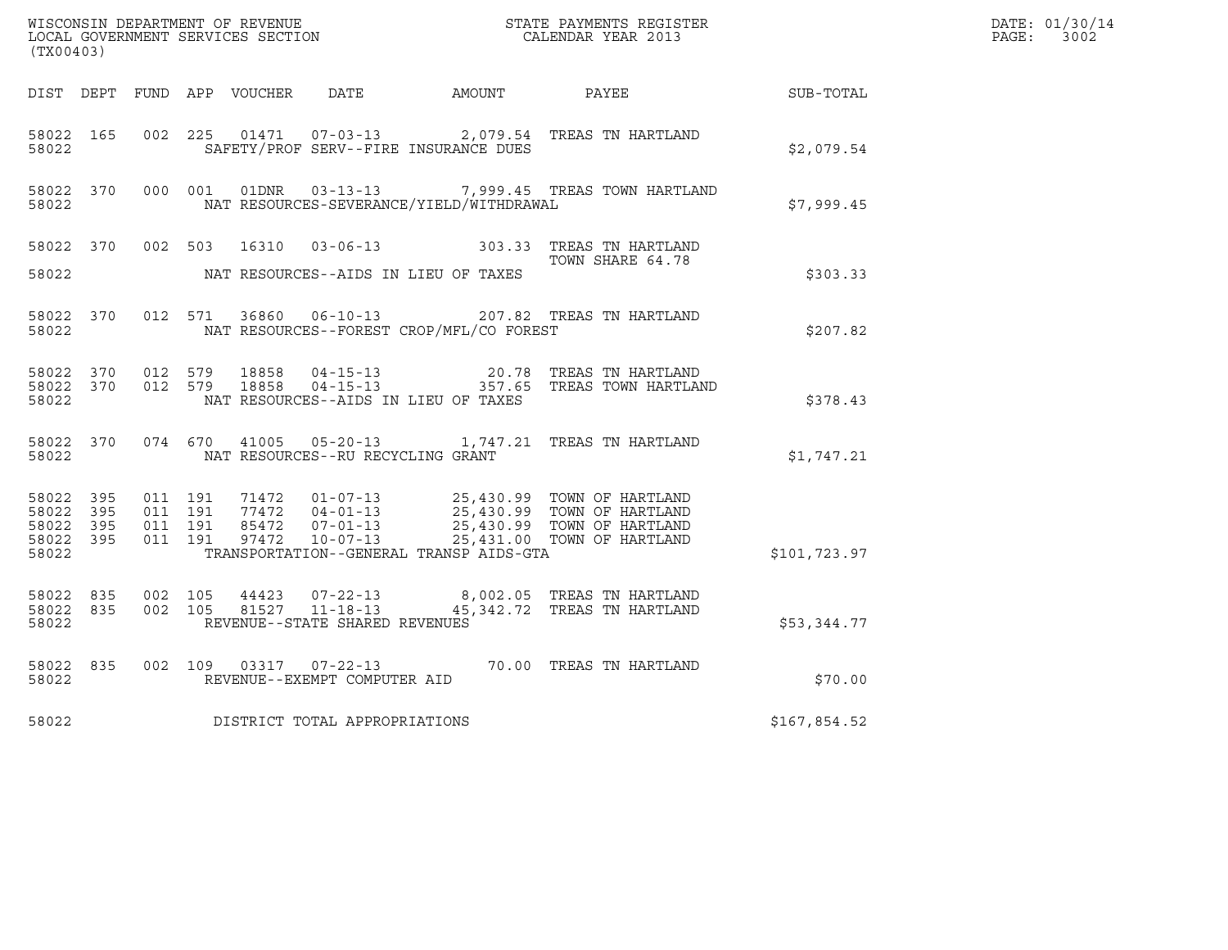| (TX00403)                                                 |           |                                          |         |                |                                                  |                                              |                                                                     |                  | DATE: 01/30/14<br>PAGE: 3002 |
|-----------------------------------------------------------|-----------|------------------------------------------|---------|----------------|--------------------------------------------------|----------------------------------------------|---------------------------------------------------------------------|------------------|------------------------------|
|                                                           |           |                                          |         |                |                                                  | DIST DEPT FUND APP VOUCHER DATE AMOUNT PAYEE |                                                                     | <b>SUB-TOTAL</b> |                              |
| 58022 165<br>58022                                        |           | 002 225                                  |         |                |                                                  | SAFETY/PROF SERV--FIRE INSURANCE DUES        | 01471  07-03-13  2,079.54  TREAS TN HARTLAND                        | \$2,079.54       |                              |
| 58022                                                     | 58022 370 |                                          |         |                |                                                  | NAT RESOURCES-SEVERANCE/YIELD/WITHDRAWAL     | 000 001 01DNR 03-13-13 7,999.45 TREAS TOWN HARTLAND                 | \$7,999.45       |                              |
| 58022 370<br>58022                                        |           |                                          |         |                |                                                  | NAT RESOURCES--AIDS IN LIEU OF TAXES         | 002 503 16310 03-06-13 303.33 TREAS TN HARTLAND<br>TOWN SHARE 64.78 | \$303.33         |                              |
| 58022 370<br>58022                                        |           |                                          | 012 571 |                |                                                  | NAT RESOURCES--FOREST CROP/MFL/CO FOREST     | 36860  06-10-13  207.82  TREAS TN HARTLAND                          | \$207.82         |                              |
| 58022 370<br>58022                                        |           | 58022 370 012 579                        | 012 579 | 18858<br>18858 |                                                  | NAT RESOURCES--AIDS IN LIEU OF TAXES         |                                                                     | \$378.43         |                              |
| 58022                                                     | 58022 370 |                                          |         | 074 670 41005  | NAT RESOURCES--RU RECYCLING GRANT                |                                              | 05-20-13 1,747.21 TREAS TN HARTLAND                                 | \$1,747.21       |                              |
| 58022 395<br>58022 395<br>58022 395<br>58022 395<br>58022 |           | 011 191<br>011 191<br>011 191<br>011 191 |         |                |                                                  | TRANSPORTATION--GENERAL TRANSP AIDS-GTA      | 25,431.00 TOWN OF HARTLAND                                          | \$101,723.97     |                              |
| 58022 835<br>58022                                        | 58022 835 | 002 105<br>002 105                       |         | 44423          | 81527 11-18-13<br>REVENUE--STATE SHARED REVENUES |                                              | 07-22-13 8,002.05 TREAS TN HARTLAND<br>45,342.72 TREAS TN HARTLAND  | \$53,344.77      |                              |
| 58022 835<br>58022                                        |           |                                          |         |                | REVENUE--EXEMPT COMPUTER AID                     |                                              | 002 109 03317 07-22-13 70.00 TREAS TN HARTLAND                      | \$70.00          |                              |
| 58022                                                     |           |                                          |         |                | DISTRICT TOTAL APPROPRIATIONS                    |                                              |                                                                     | \$167,854.52     |                              |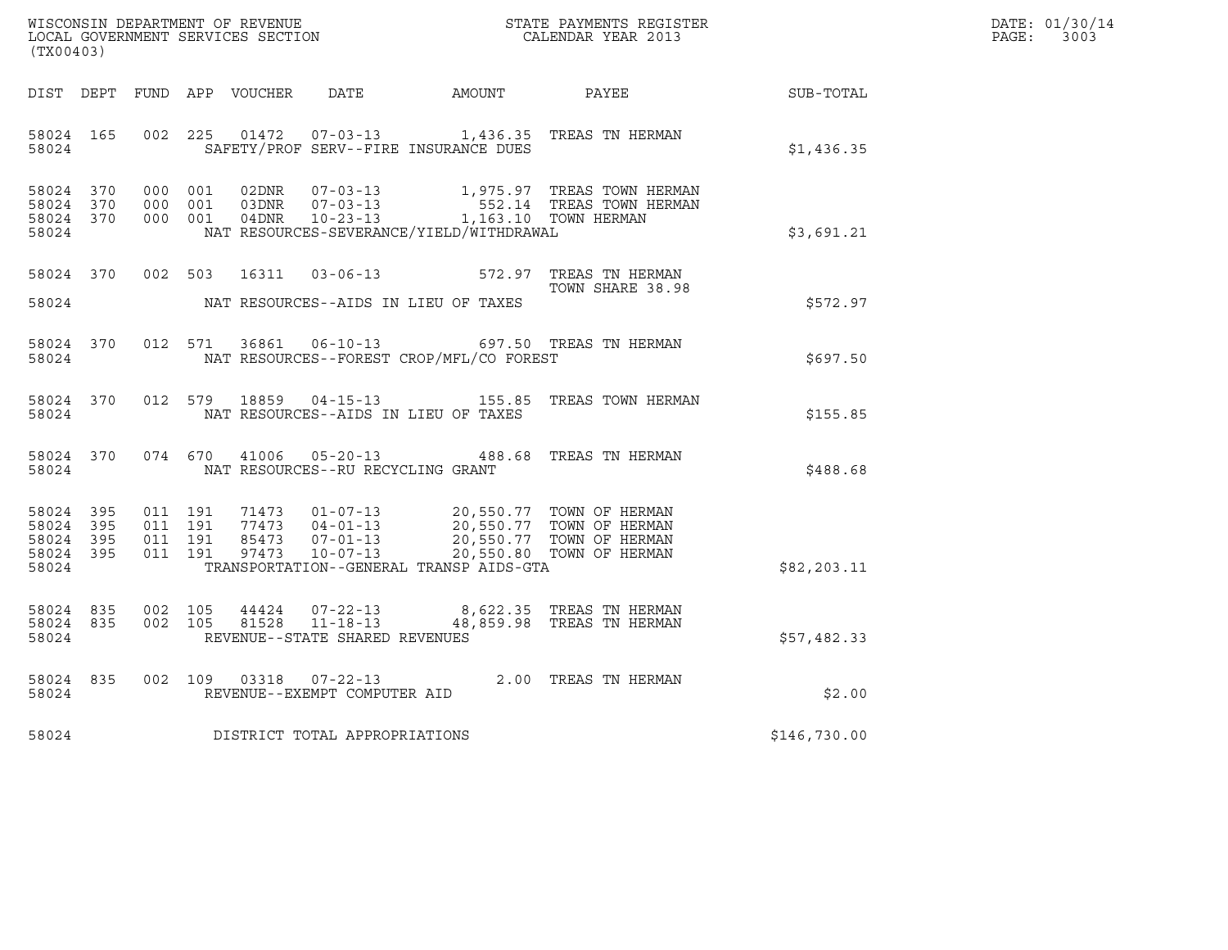| WISCONSIN DEPARTMENT OF REVENUE   | STATE PAYMENTS REGISTER | DATE: 01/30/14 |
|-----------------------------------|-------------------------|----------------|
| LOCAL GOVERNMENT SERVICES SECTION | CALENDAR YEAR 2013      | 3003<br>PAGE:  |

| (TX00403)                                                 |  |  |  |                         |                                     |                                          |                                                                                                                                                     |              | DATE: 01/30/14<br>PAGE:<br>3003 |
|-----------------------------------------------------------|--|--|--|-------------------------|-------------------------------------|------------------------------------------|-----------------------------------------------------------------------------------------------------------------------------------------------------|--------------|---------------------------------|
|                                                           |  |  |  |                         |                                     |                                          | DIST DEPT FUND APP VOUCHER DATE AMOUNT PAYEE                                                                                                        | SUB-TOTAL    |                                 |
| 58024 165<br>58024                                        |  |  |  |                         |                                     | SAFETY/PROF SERV--FIRE INSURANCE DUES    | 002 225 01472 07-03-13 1,436.35 TREAS TN HERMAN                                                                                                     | \$1,436.35   |                                 |
| 58024 370<br>58024 370<br>58024 370<br>58024              |  |  |  |                         |                                     | NAT RESOURCES-SEVERANCE/YIELD/WITHDRAWAL | 000 001 02DNR 07-03-13 1,975.97 TREAS TOWN HERMAN<br>000 001 03DNR 07-03-13 552.14 TREAS TOWN HERMAN<br>000 001 04DNR 10-23-13 1,163.10 TOWN HERMAN | \$3,691.21   |                                 |
|                                                           |  |  |  |                         |                                     |                                          | 58024 370 002 503 16311 03-06-13 572.97 TREAS TN HERMAN<br>TOWN SHARE 38.98<br>TOWN SHARE 38.98                                                     | \$572.97     |                                 |
| 58024 370<br>58024                                        |  |  |  |                         |                                     | NAT RESOURCES--FOREST CROP/MFL/CO FOREST | 012 571 36861 06-10-13 697.50 TREAS TN HERMAN                                                                                                       | \$697.50     |                                 |
| 58024                                                     |  |  |  |                         |                                     | NAT RESOURCES--AIDS IN LIEU OF TAXES     | 58024 370 012 579 18859 04-15-13 155.85 TREAS TOWN HERMAN                                                                                           | \$155.85     |                                 |
| 58024                                                     |  |  |  | 58024 370 074 670 41006 | NAT RESOURCES--RU RECYCLING GRANT   |                                          | 05-20-13 488.68 TREAS TN HERMAN                                                                                                                     | \$488.68     |                                 |
| 58024 395<br>58024 395<br>58024 395<br>58024 395<br>58024 |  |  |  |                         |                                     | TRANSPORTATION--GENERAL TRANSP AIDS-GTA  |                                                                                                                                                     | \$82, 203.11 |                                 |
| 58024 835<br>58024 835<br>58024                           |  |  |  |                         | REVENUE--STATE SHARED REVENUES      |                                          | 002 105 44424 07-22-13 8,622.35 TREAS TN HERMAN<br>002 105 81528 11-18-13 48,859.98 TREAS TN HERMAN                                                 | \$57,482.33  |                                 |
| 58024 835<br>58024                                        |  |  |  | 002 109 03318           | REVENUE--EXEMPT COMPUTER AID        |                                          | 07-22-13 2.00 TREAS TN HERMAN                                                                                                                       | \$2.00       |                                 |
|                                                           |  |  |  |                         | 58024 DISTRICT TOTAL APPROPRIATIONS |                                          |                                                                                                                                                     | \$146,730.00 |                                 |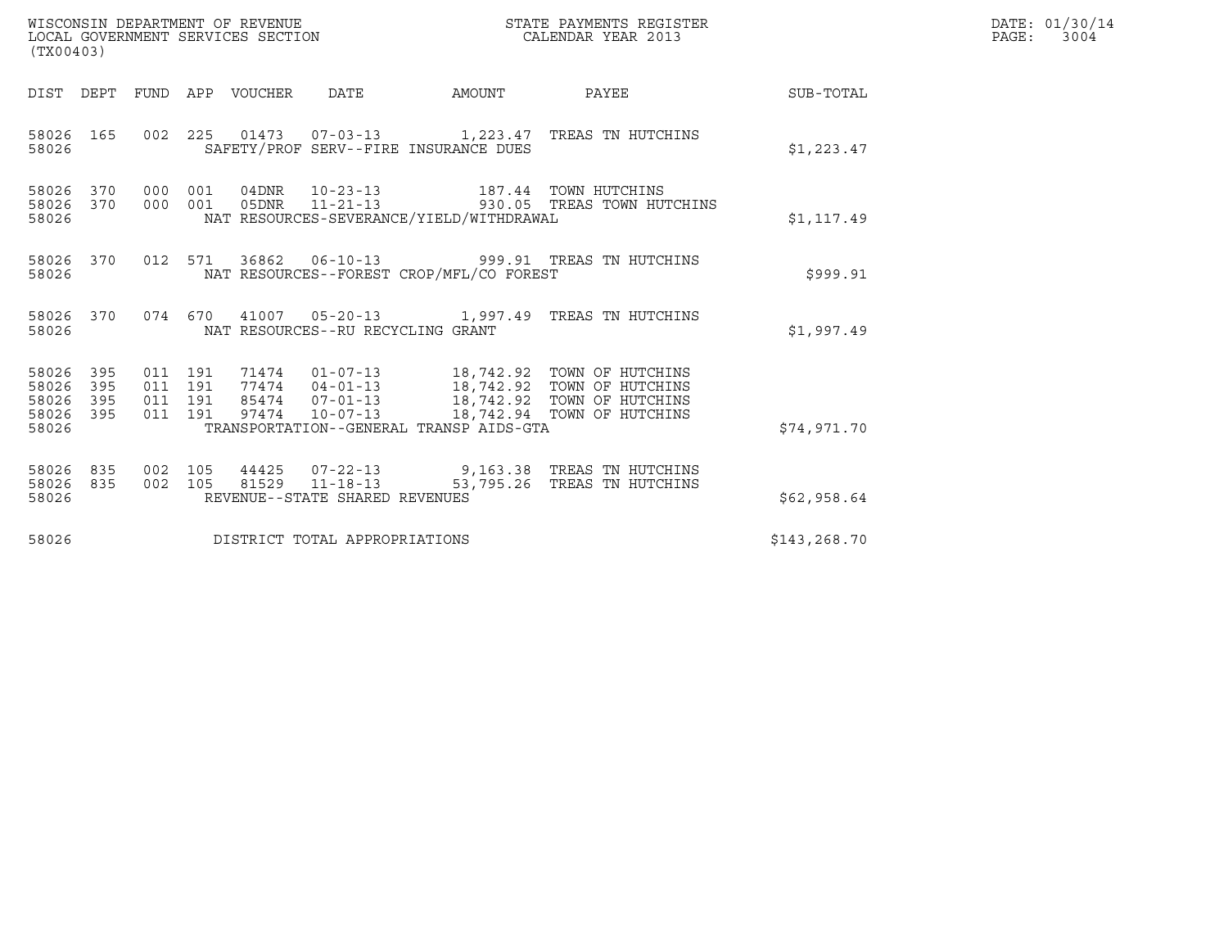| (TX00403)                                                       |                                          | WISCONSIN DEPARTMENT OF REVENUE<br>LOCAL GOVERNMENT SERVICES SECTION |                                                                                                      | STATE PAYMENTS REGISTER<br>CALENDAR YEAR 2013                                                                                                                                                |              | DATE: 01/30/14<br>PAGE: 3004 |
|-----------------------------------------------------------------|------------------------------------------|----------------------------------------------------------------------|------------------------------------------------------------------------------------------------------|----------------------------------------------------------------------------------------------------------------------------------------------------------------------------------------------|--------------|------------------------------|
|                                                                 |                                          | DIST DEPT FUND APP VOUCHER DATE                                      |                                                                                                      |                                                                                                                                                                                              |              |                              |
| 58026 165<br>58026                                              |                                          |                                                                      | SAFETY/PROF SERV--FIRE INSURANCE DUES                                                                | 002 225 01473 07-03-13 1,223.47 TREAS TN HUTCHINS                                                                                                                                            | \$1,223.47   |                              |
| 58026 370 000 001<br>58026<br>370<br>58026                      | 000 001                                  |                                                                      | 04DNR  10-23-13  187.44  TOWN HUTCHINS<br>05DNR 11-21-13<br>NAT RESOURCES-SEVERANCE/YIELD/WITHDRAWAL | 930.05 TREAS TOWN HUTCHINS                                                                                                                                                                   | \$1,117.49   |                              |
| 58026 370<br>58026                                              |                                          |                                                                      | NAT RESOURCES--FOREST CROP/MFL/CO FOREST                                                             | 012 571 36862 06-10-13 999.91 TREAS TN HUTCHINS                                                                                                                                              | \$999.91     |                              |
| 58026                                                           |                                          |                                                                      | NAT RESOURCES--RU RECYCLING GRANT                                                                    | 58026 370 074 670 41007 05-20-13 1,997.49 TREAS TN HUTCHINS                                                                                                                                  | \$1,997.49   |                              |
| 58026 395<br>58026<br>395<br>58026<br>395<br>58026 395<br>58026 | 011 191<br>011 191<br>011 191<br>011 191 |                                                                      | TRANSPORTATION--GENERAL TRANSP AIDS-GTA                                                              | 71474  01-07-13  18,742.92  TOWN OF HUTCHINS<br>77474  04-01-13  18,742.92  TOWN OF HUTCHINS<br>85474  07-01-13  18,742.92  TOWN OF HUTCHINS<br>97474  10-07-13  18,742.94  TOWN OF HUTCHINS | \$74,971.70  |                              |
| 58026 835<br>58026<br>835<br>58026                              | 002 105<br>002 105                       |                                                                      | 81529 11-18-13<br>REVENUE--STATE SHARED REVENUES                                                     | 44425  07-22-13  9,163.38  TREAS TN HUTCHINS<br>53,795.26 TREAS TN HUTCHINS                                                                                                                  | \$62,958.64  |                              |
| 58026                                                           |                                          |                                                                      | DISTRICT TOTAL APPROPRIATIONS                                                                        |                                                                                                                                                                                              | \$143,268.70 |                              |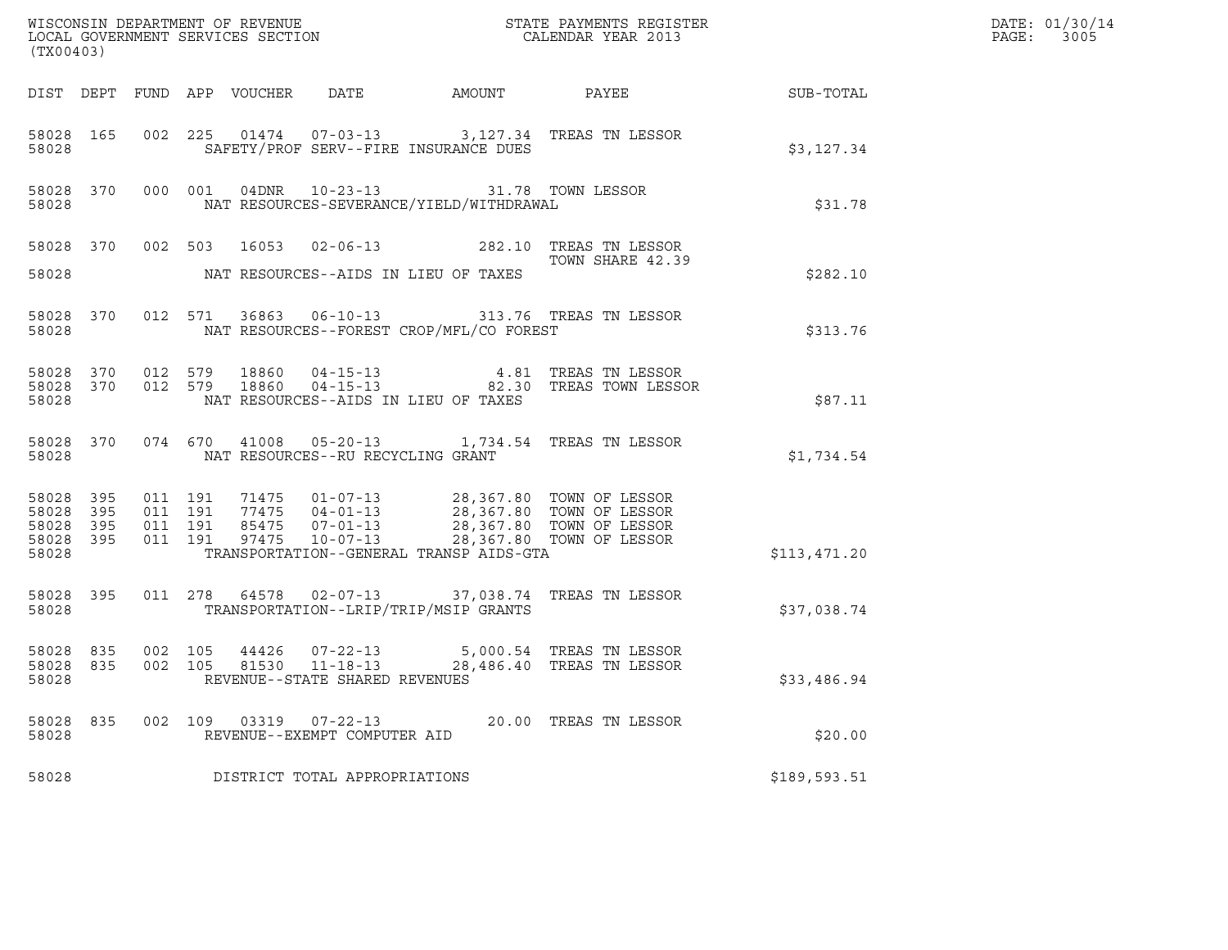| (TX00403)                                                 |     |                    |  |                                                        |                                                                                                | ${\tt WISCONSIM\ DEPARTMENT\ OF\ REVENUE}\qquad \qquad {\tt STATE\ PAYMENTS\ REGISTER} \\ {\tt LOCAL\ GOVERNMENT\ SERVICES\ SECTION}\qquad \qquad {\tt CALENDAR\ YEAR\ 2013}$                                                                                                                                                |              | DATE: 01/30/14<br>$\mathtt{PAGE:}$<br>3005 |
|-----------------------------------------------------------|-----|--------------------|--|--------------------------------------------------------|------------------------------------------------------------------------------------------------|------------------------------------------------------------------------------------------------------------------------------------------------------------------------------------------------------------------------------------------------------------------------------------------------------------------------------|--------------|--------------------------------------------|
|                                                           |     |                    |  |                                                        |                                                                                                | DIST DEPT FUND APP VOUCHER DATE AMOUNT PAYEE TO SUB-TOTAL                                                                                                                                                                                                                                                                    |              |                                            |
| 58028                                                     |     |                    |  |                                                        | SAFETY/PROF SERV--FIRE INSURANCE DUES                                                          | 58028 165 002 225 01474 07-03-13 3,127.34 TREAS TN LESSOR                                                                                                                                                                                                                                                                    | \$3,127.34   |                                            |
| 58028                                                     |     |                    |  |                                                        | 58028 370 000 001 04DNR 10-23-13 31.78 TOWN LESSOR<br>NAT RESOURCES-SEVERANCE/YIELD/WITHDRAWAL |                                                                                                                                                                                                                                                                                                                              | \$31.78      |                                            |
|                                                           |     |                    |  |                                                        |                                                                                                | 58028 370 002 503 16053 02-06-13 282.10 TREAS TN LESSOR<br>TOWN SHARE 42.39<br>TOWN SHARE 42.39                                                                                                                                                                                                                              |              |                                            |
|                                                           |     |                    |  |                                                        | 58028 NAT RESOURCES--AIDS IN LIEU OF TAXES                                                     |                                                                                                                                                                                                                                                                                                                              | \$282.10     |                                            |
| 58028                                                     |     |                    |  |                                                        | NAT RESOURCES--FOREST CROP/MFL/CO FOREST                                                       | 58028 370 012 571 36863 06-10-13 313.76 TREAS TN LESSOR                                                                                                                                                                                                                                                                      | \$313.76     |                                            |
| 58028                                                     |     |                    |  |                                                        | NAT RESOURCES--AIDS IN LIEU OF TAXES                                                           | 58028 370 012 579 18860 04-15-13 4.81 TREAS TN LESSOR<br>58028 370 012 579 18860 04-15-13 82.30 TREAS TOWN LESSOR                                                                                                                                                                                                            | \$87.11      |                                            |
| 58028                                                     |     |                    |  | NAT RESOURCES--RU RECYCLING GRANT                      |                                                                                                | 58028 370 074 670 41008 05-20-13 1,734.54 TREAS TN LESSOR                                                                                                                                                                                                                                                                    | \$1,734.54   |                                            |
| 58028 395<br>58028 395<br>58028 395<br>58028 395<br>58028 |     |                    |  |                                                        | TRANSPORTATION--GENERAL TRANSP AIDS-GTA                                                        | $\begin{array}{cccc} 011 & 191 & 71475 & 01-07-13 & 28,367.80 & \text{TOWN OF LESSOR} \\ 011 & 191 & 77475 & 04-01-13 & 28,367.80 & \text{TOWN OF LESSOR} \\ 011 & 191 & 85475 & 07-01-13 & 28,367.80 & \text{TOWN OF LESSOR} \\ 011 & 191 & 97475 & 10-07-13 & 28,367.80 & \text{TOWN OF LESSOR} \\ 011 & 191 & 97475 & 10$ | \$113,471.20 |                                            |
|                                                           |     |                    |  |                                                        | 58028 TRANSPORTATION--LRIP/TRIP/MSIP GRANTS                                                    | 58028 395 011 278 64578 02-07-13 37,038.74 TREAS TN LESSOR                                                                                                                                                                                                                                                                   | \$37,038.74  |                                            |
| 58028 835<br>58028 835<br>58028                           |     | 002 105<br>002 105 |  | 81530 11-18-13<br>REVENUE--STATE SHARED REVENUES       |                                                                                                | 44426 07-22-13 5,000.54 TREAS TN LESSOR<br>28,486.40 TREAS TN LESSOR                                                                                                                                                                                                                                                         | \$33,486.94  |                                            |
| 58028<br>58028                                            | 835 |                    |  | 002 109 03319 07-22-13<br>REVENUE--EXEMPT COMPUTER AID |                                                                                                | 20.00 TREAS TN LESSOR                                                                                                                                                                                                                                                                                                        | \$20.00      |                                            |
| 58028                                                     |     |                    |  | DISTRICT TOTAL APPROPRIATIONS                          |                                                                                                |                                                                                                                                                                                                                                                                                                                              | \$189,593.51 |                                            |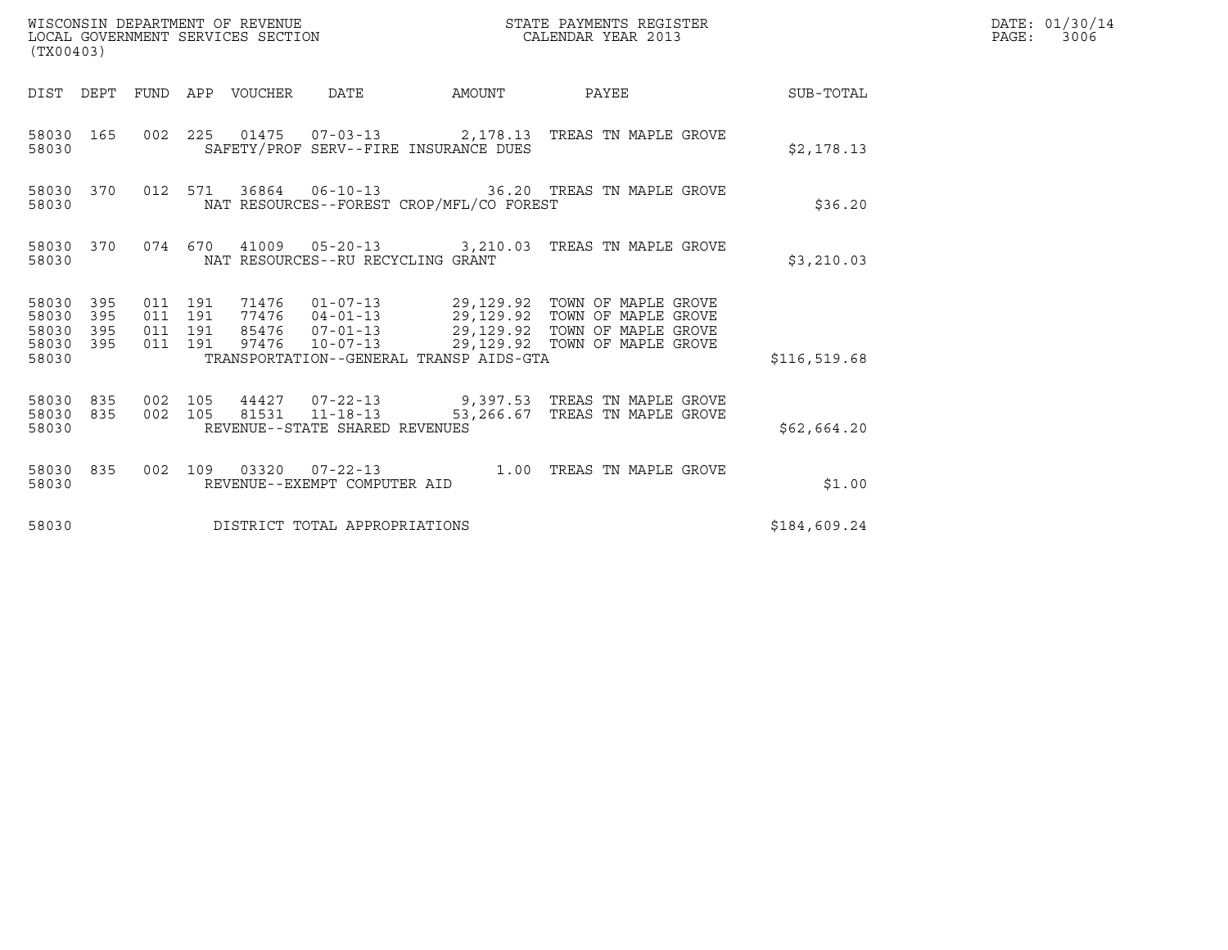| WISCONSIN DEPARTMENT OF REVENUE<br>LOCAL GOVERNMENT SERVICES SECTION<br>(TX00403) |         |                               |                                 |                                          | STATE PAYMENTS REGISTER<br>CALENDAR YEAR 2013                                                                                                                                                            |                  | DATE: 01/30/14<br>$\mathtt{PAGE:}$<br>3006 |
|-----------------------------------------------------------------------------------|---------|-------------------------------|---------------------------------|------------------------------------------|----------------------------------------------------------------------------------------------------------------------------------------------------------------------------------------------------------|------------------|--------------------------------------------|
|                                                                                   |         |                               | DIST DEPT FUND APP VOUCHER DATE | AMOUNT PAYEE                             |                                                                                                                                                                                                          | <b>SUB-TOTAL</b> |                                            |
| 58030 165<br>58030                                                                |         |                               |                                 | SAFETY/PROF SERV--FIRE INSURANCE DUES    | 002 225 01475 07-03-13 2,178.13 TREAS TN MAPLE GROVE                                                                                                                                                     | \$2,178.13       |                                            |
| 58030 370<br>58030                                                                |         |                               |                                 | NAT RESOURCES--FOREST CROP/MFL/CO FOREST | 012 571 36864 06-10-13 36.20 TREAS TN MAPLE GROVE                                                                                                                                                        | \$36.20          |                                            |
| 58030 370<br>58030                                                                |         |                               |                                 | NAT RESOURCES--RU RECYCLING GRANT        | 074  670  41009  05-20-13  3,210.03  TREAS TN MAPLE GROVE                                                                                                                                                | \$3,210.03       |                                            |
| 58030 395<br>58030<br>395<br>58030<br>395<br>58030 395<br>58030                   | 011 191 | 011 191<br>011 191<br>011 191 |                                 | TRANSPORTATION--GENERAL TRANSP AIDS-GTA  | 71476  01-07-13  29,129.92  TOWN OF MAPLE GROVE<br>77476  04-01-13  29,129.92  TOWN OF MAPLE GROVE<br>85476  07-01-13  29,129.92  TOWN OF MAPLE GROVE<br>97476  10-07-13  29,129.92  TOWN OF MAPLE GROVE | \$116,519.68     |                                            |
| 58030 835<br>58030 835<br>58030                                                   | 002 105 | 002 105                       | 81531 11-18-13                  | REVENUE--STATE SHARED REVENUES           | 44427  07-22-13  9,397.53  TREAS TN MAPLE GROVE<br>53,266.67 TREAS TN MAPLE GROVE                                                                                                                        | \$62,664.20      |                                            |
| 58030 835<br>58030                                                                |         |                               | REVENUE--EXEMPT COMPUTER AID    |                                          | 002 109 03320 07-22-13 1.00 TREAS TN MAPLE GROVE                                                                                                                                                         | \$1.00           |                                            |
| 58030                                                                             |         |                               |                                 | DISTRICT TOTAL APPROPRIATIONS            |                                                                                                                                                                                                          | \$184,609.24     |                                            |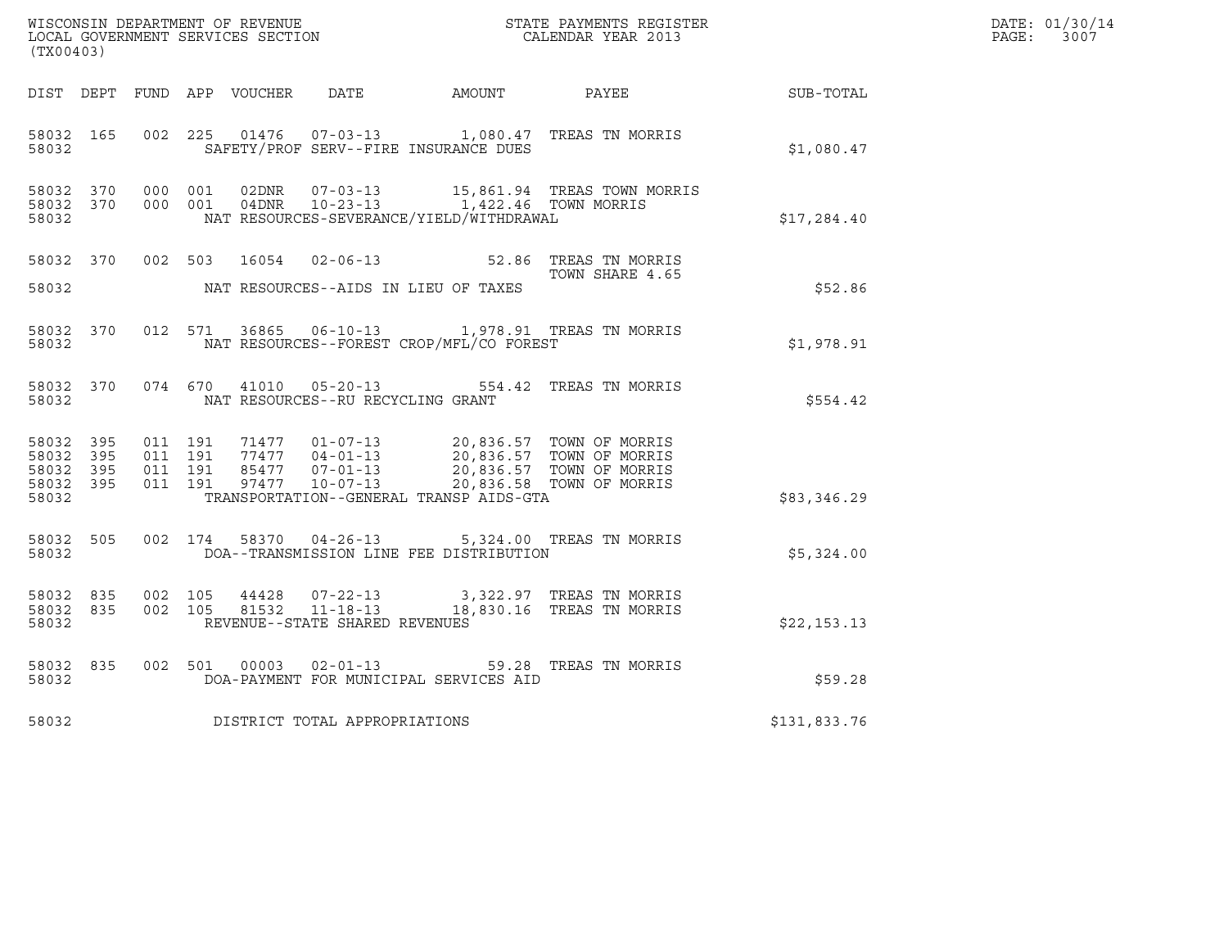| (TX00403)                                                 |                                          |         |       |                                   |                                                                                                                                                                          | WISCONSIN DEPARTMENT OF REVENUE<br>LOCAL GOVERNMENT SERVICES SECTION<br>CALENDAR YEAR 2013 |              | DATE: 01/30/14<br>PAGE: 3007 |
|-----------------------------------------------------------|------------------------------------------|---------|-------|-----------------------------------|--------------------------------------------------------------------------------------------------------------------------------------------------------------------------|--------------------------------------------------------------------------------------------|--------------|------------------------------|
|                                                           |                                          |         |       |                                   | DIST DEPT FUND APP VOUCHER DATE AMOUNT PAYEE                                                                                                                             |                                                                                            | SUB-TOTAL    |                              |
| 58032 165<br>58032                                        | 002 225                                  |         |       |                                   | SAFETY/PROF SERV--FIRE INSURANCE DUES                                                                                                                                    | 01476  07-03-13  1,080.47 TREAS TN MORRIS                                                  | \$1,080.47   |                              |
| 58032 370<br>58032                                        | 58032 370 000 001                        | 000 001 |       |                                   | NAT RESOURCES-SEVERANCE/YIELD/WITHDRAWAL                                                                                                                                 |                                                                                            | \$17,284.40  |                              |
| 58032                                                     |                                          |         |       |                                   | NAT RESOURCES--AIDS IN LIEU OF TAXES                                                                                                                                     | 58032 370 002 503 16054 02-06-13 52.86 TREAS TN MORRIS<br>TOWN SHARE 4.65                  | \$52.86      |                              |
| 58032 370<br>58032                                        |                                          |         |       |                                   | NAT RESOURCES--FOREST CROP/MFL/CO FOREST                                                                                                                                 | 012 571 36865 06-10-13 1,978.91 TREAS TN MORRIS                                            | \$1,978.91   |                              |
| 58032                                                     |                                          |         |       | NAT RESOURCES--RU RECYCLING GRANT |                                                                                                                                                                          | 58032 370 074 670 41010 05-20-13 554.42 TREAS TN MORRIS                                    | \$554.42     |                              |
| 58032 395<br>58032 395<br>58032 395<br>58032 395<br>58032 | 011 191<br>011 191<br>011 191<br>011 191 |         |       |                                   | 77477 04-01-13 20,836.57 TOWN OF MORRIS<br>85477 07-01-13 20,836.57 TOWN OF MORRIS<br>97477 10-07-13 20,836.58 TOWN OF MORRIS<br>TRANSPORTATION--GENERAL TRANSP AIDS-GTA |                                                                                            | \$83,346.29  |                              |
| 58032 505<br>58032                                        |                                          |         |       |                                   | DOA--TRANSMISSION LINE FEE DISTRIBUTION                                                                                                                                  | 002 174 58370 04-26-13 5,324.00 TREAS TN MORRIS                                            | \$5,324.00   |                              |
| 58032 835<br>58032 835<br>58032                           | 002 105<br>002 105                       |         | 44428 | REVENUE--STATE SHARED REVENUES    |                                                                                                                                                                          | 07-22-13 3,322.97 TREAS TN MORRIS<br>81532  11-18-13  18,830.16  TREAS TN MORRIS           | \$22,153.13  |                              |
| 58032 835<br>58032                                        | 002 501                                  |         | 00003 | $02 - 01 - 13$                    | DOA-PAYMENT FOR MUNICIPAL SERVICES AID                                                                                                                                   | 59.28 TREAS TN MORRIS                                                                      | \$59.28      |                              |
| 58032                                                     |                                          |         |       | DISTRICT TOTAL APPROPRIATIONS     |                                                                                                                                                                          |                                                                                            | \$131,833.76 |                              |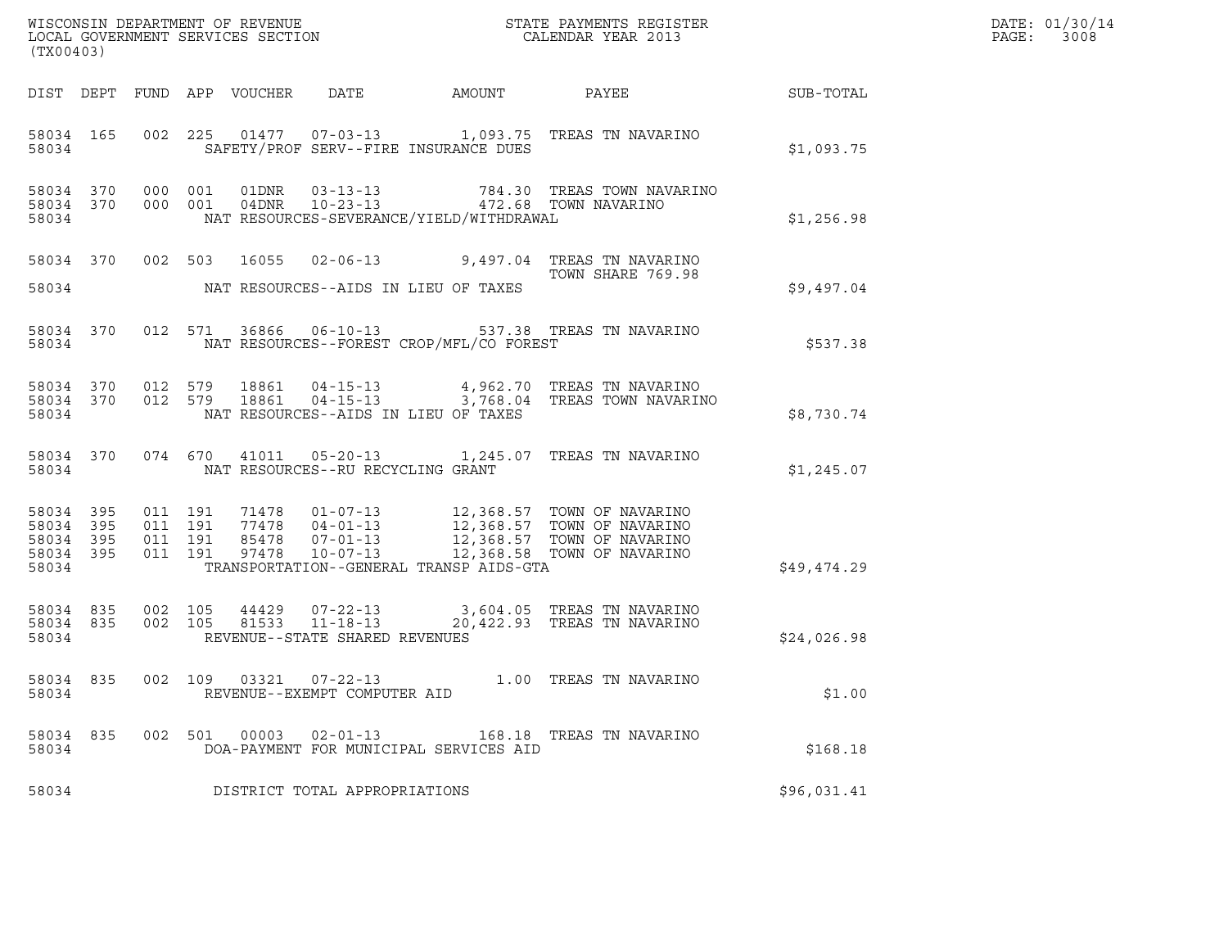| (TX00403)                                             |     |                               |                            |                                                  |                                          | WISCONSIN DEPARTMENT OF REVENUE                               STATE PAYMENTS REGISTER LOCAL GOVERNMENT SERVICES SECTION                               CALENDAR YEAR 2013                 |             | DATE: 01/30/14<br>$\mathtt{PAGE:}$<br>3008 |
|-------------------------------------------------------|-----|-------------------------------|----------------------------|--------------------------------------------------|------------------------------------------|------------------------------------------------------------------------------------------------------------------------------------------------------------------------------------------|-------------|--------------------------------------------|
|                                                       |     |                               | DIST DEPT FUND APP VOUCHER | DATE                                             | AMOUNT                                   | PAYEE                                                                                                                                                                                    | SUB-TOTAL   |                                            |
| 58034 165<br>58034                                    |     |                               |                            |                                                  | SAFETY/PROF SERV--FIRE INSURANCE DUES    | 002 225 01477 07-03-13 1,093.75 TREAS TN NAVARINO                                                                                                                                        | \$1,093.75  |                                            |
| 58034 370<br>58034                                    |     | 58034 370 000 001<br>000 001  |                            |                                                  | NAT RESOURCES-SEVERANCE/YIELD/WITHDRAWAL |                                                                                                                                                                                          | \$1,256.98  |                                            |
| 58034 370<br>58034                                    |     |                               |                            |                                                  | NAT RESOURCES--AIDS IN LIEU OF TAXES     | 002 503 16055 02-06-13 9,497.04 TREAS TN NAVARINO<br>TOWN SHARE 769.98                                                                                                                   | \$9,497.04  |                                            |
| 58034 370<br>58034                                    |     |                               |                            |                                                  | NAT RESOURCES--FOREST CROP/MFL/CO FOREST | 012 571 36866 06-10-13 537.38 TREAS TN NAVARINO                                                                                                                                          | \$537.38    |                                            |
| 58034 370<br>58034                                    |     | 012 579                       |                            |                                                  | NAT RESOURCES--AIDS IN LIEU OF TAXES     | 58034 370 012 579 18861 04-15-13 4,962.70 TREAS TN NAVARINO<br>18861  04-15-13  3,768.04 TREAS TOWN NAVARINO                                                                             | \$8,730.74  |                                            |
| 58034 370<br>58034                                    |     |                               |                            | NAT RESOURCES--RU RECYCLING GRANT                |                                          | 074 670 41011 05-20-13 1,245.07 TREAS TN NAVARINO                                                                                                                                        | \$1,245.07  |                                            |
| 58034 395<br>58034 395<br>58034<br>58034 395<br>58034 | 395 | 011 191<br>011 191<br>011 191 | 011 191                    |                                                  | TRANSPORTATION--GENERAL TRANSP AIDS-GTA  | 71478  01-07-13  12,368.57 TOWN OF NAVARINO<br>77478  04-01-13  12,368.57 TOWN OF NAVARINO<br>85478  07-01-13  12,368.57 TOWN OF NAVARINO<br>97478  10-07-13  12,368.58 TOWN OF NAVARINO | \$49,474.29 |                                            |
| 58034 835<br>58034 835<br>58034                       |     | 002 105<br>002 105            |                            | 81533 11-18-13<br>REVENUE--STATE SHARED REVENUES |                                          | 44429  07-22-13  3,604.05  TREAS TN NAVARINO<br>20,422.93 TREAS TN NAVARINO                                                                                                              | \$24,026.98 |                                            |
| 58034 835<br>58034                                    |     | 002 109                       |                            | 03321  07-22-13<br>REVENUE--EXEMPT COMPUTER AID  |                                          | 1.00 TREAS TN NAVARINO                                                                                                                                                                   | \$1.00      |                                            |
| 58034 835<br>58034                                    |     |                               | 002 501                    | 00003  02-01-13                                  | DOA-PAYMENT FOR MUNICIPAL SERVICES AID   | 168.18 TREAS TN NAVARINO                                                                                                                                                                 | \$168.18    |                                            |
| 58034                                                 |     |                               |                            | DISTRICT TOTAL APPROPRIATIONS                    |                                          |                                                                                                                                                                                          | \$96,031.41 |                                            |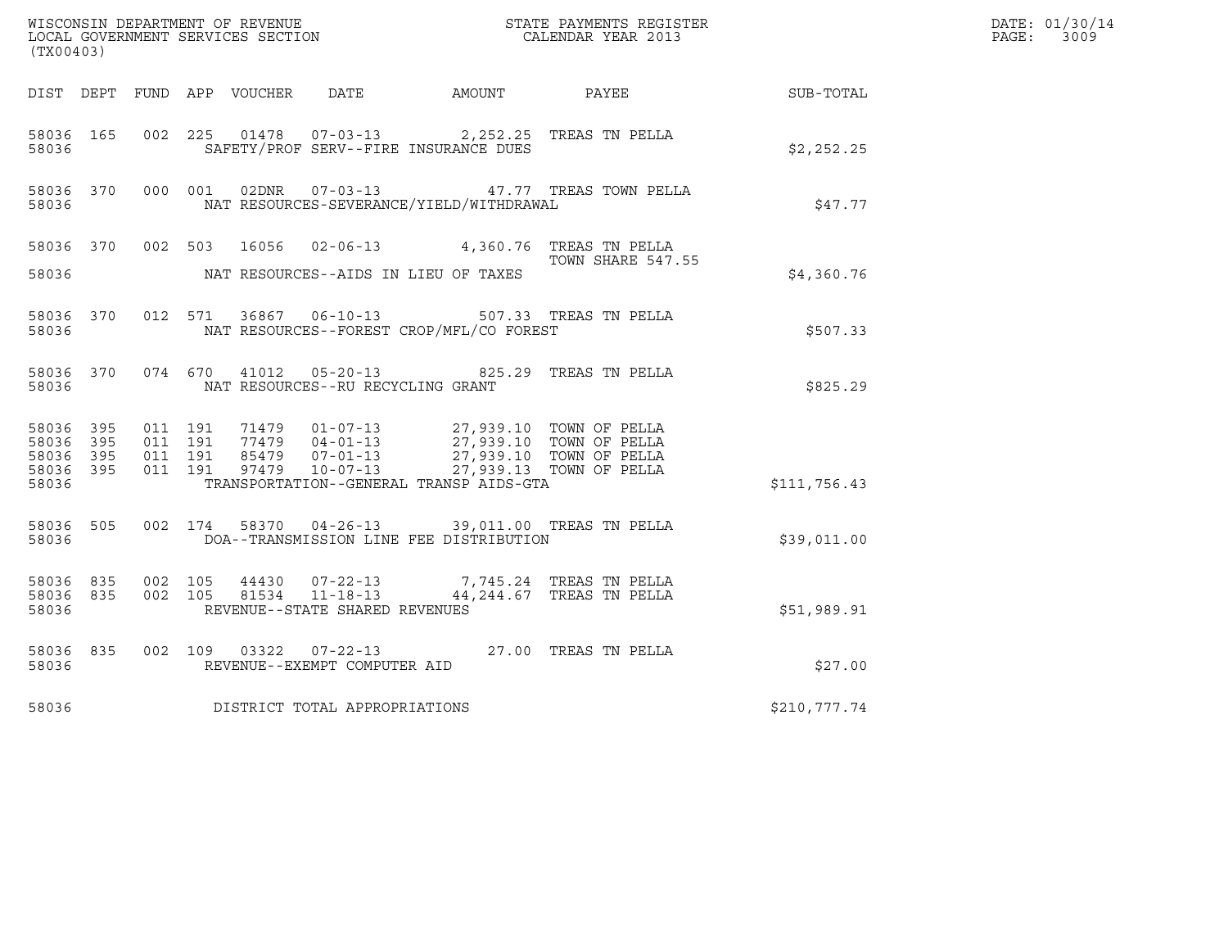| (TX00403)                           |           |                               |         |                                                        |                                                                                            |                                         |                  | DATE: 01/30/14<br>PAGE: 3009 |
|-------------------------------------|-----------|-------------------------------|---------|--------------------------------------------------------|--------------------------------------------------------------------------------------------|-----------------------------------------|------------------|------------------------------|
|                                     |           |                               |         |                                                        |                                                                                            |                                         |                  |                              |
|                                     |           |                               |         |                                                        | DIST DEPT FUND APP VOUCHER DATE AMOUNT PAYEE                                               |                                         | <b>SUB-TOTAL</b> |                              |
| 58036 165<br>58036                  |           |                               |         |                                                        | 002 225 01478 07-03-13 2,252.25 TREAS TN PELLA<br>SAFETY/PROF SERV--FIRE INSURANCE DUES    |                                         | \$2,252.25       |                              |
| 58036                               | 58036 370 |                               | 000 001 |                                                        | NAT RESOURCES-SEVERANCE/YIELD/WITHDRAWAL                                                   | 02DNR  07-03-13  47.77 TREAS TOWN PELLA | \$47.77          |                              |
|                                     |           |                               |         |                                                        | 58036 370 002 503 16056 02-06-13 4,360.76 TREAS TN PELLA                                   |                                         |                  |                              |
| 58036                               |           |                               |         |                                                        | NAT RESOURCES--AIDS IN LIEU OF TAXES                                                       | TOWN SHARE 547.55                       | \$4,360.76       |                              |
| 58036                               | 58036 370 |                               |         |                                                        | 012 571 36867 06-10-13 507.33 TREAS TN PELLA<br>NAT RESOURCES--FOREST CROP/MFL/CO FOREST   |                                         | \$507.33         |                              |
| 58036                               | 58036 370 |                               |         | NAT RESOURCES--RU RECYCLING GRANT                      | 074 670 41012 05-20-13 825.29 TREAS TN PELLA                                               |                                         | \$825.29         |                              |
| 58036 395<br>58036 395<br>58036 395 |           | 011 191<br>011 191<br>011 191 |         |                                                        |                                                                                            | 27,939.10 TOWN OF PELLA                 |                  |                              |
| 58036 395<br>58036                  |           | 011 191                       |         |                                                        | TRANSPORTATION--GENERAL TRANSP AIDS-GTA                                                    | 27,939.13 TOWN OF PELLA                 | \$111,756.43     |                              |
| 58036                               | 58036 505 |                               |         |                                                        | 002 174 58370 04-26-13 39,011.00 TREAS TN PELLA<br>DOA--TRANSMISSION LINE FEE DISTRIBUTION |                                         | \$39,011.00      |                              |
| 58036 835<br>58036 835<br>58036     |           | 002 105<br>002 105            |         | REVENUE--STATE SHARED REVENUES                         | 44430 07-22-13 7,745.24 TREAS TN PELLA<br>81534 11-18-13 44, 244.67 TREAS TN PELLA         |                                         | \$51,989.91      |                              |
| 58036 835<br>58036                  |           |                               |         | 002 109 03322 07-22-13<br>REVENUE--EXEMPT COMPUTER AID |                                                                                            | 27.00 TREAS TN PELLA                    | \$27.00          |                              |
| 58036                               |           |                               |         | DISTRICT TOTAL APPROPRIATIONS                          |                                                                                            |                                         | \$210,777.74     |                              |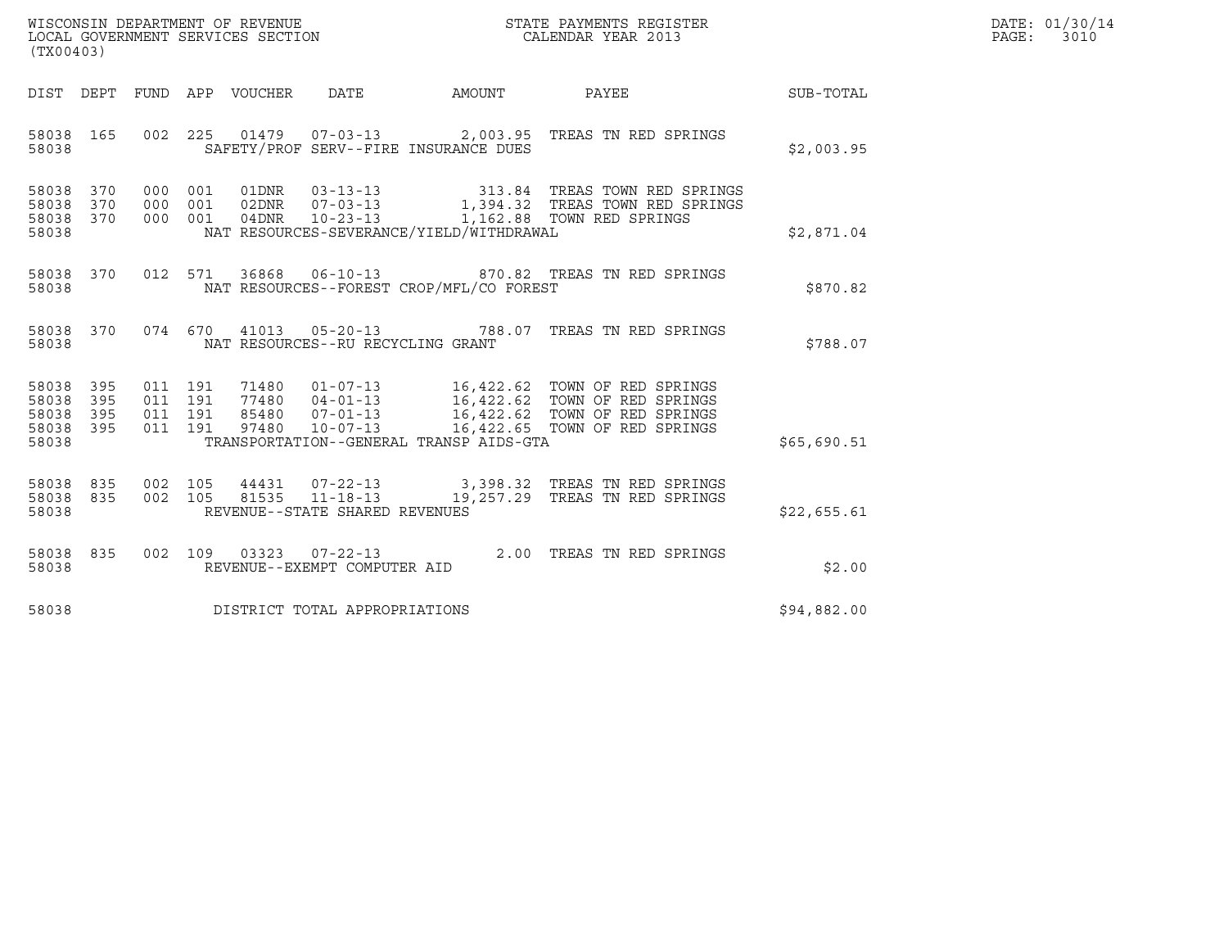| WISCONSIN DEPARTMENT OF REVENUE   | STATE PAYMENTS REGISTER | DATE: 01/30/14 |
|-----------------------------------|-------------------------|----------------|
| LOCAL GOVERNMENT SERVICES SECTION | CALENDAR YEAR 2013      | PAGE:<br>3010  |

| (TX00403)                                                       |  |                                     |                                          | WISCONSIN DEPARTMENT OF REVENUE<br>LOCAL GOVERNMENT SERVICES SECTION<br>CALENDAR YEAR 2013                                                                                                                                   | $\mathbb{R}^n$ | DATE: 01/30/14<br>$\mathtt{PAGE}$ :<br>3010 |
|-----------------------------------------------------------------|--|-------------------------------------|------------------------------------------|------------------------------------------------------------------------------------------------------------------------------------------------------------------------------------------------------------------------------|----------------|---------------------------------------------|
|                                                                 |  |                                     |                                          | DIST DEPT FUND APP VOUCHER DATE AMOUNT PAYEE THE SUB-TOTAL                                                                                                                                                                   |                |                                             |
| 58038 165<br>58038                                              |  |                                     | SAFETY/PROF SERV--FIRE INSURANCE DUES    | 002  225  01479  07-03-13  2,003.95  TREAS TN RED SPRINGS                                                                                                                                                                    | \$2,003.95     |                                             |
| 58038<br>370<br>58038<br>370<br>58038 370<br>58038              |  |                                     | NAT RESOURCES-SEVERANCE/YIELD/WITHDRAWAL | 000 001 01DNR 03-13-13 313.84 TREAS TOWN RED SPRINGS<br>000 001 02DNR 07-03-13 1,394.32 TREAS TOWN RED SPRINGS<br>000 001 04DNR 10-23-13 1,162.88 TOWN RED SPRINGS                                                           | \$2,871.04     |                                             |
| 58038                                                           |  |                                     | NAT RESOURCES--FOREST CROP/MFL/CO FOREST | 58038 370 012 571 36868 06-10-13 870.82 TREAS TN RED SPRINGS                                                                                                                                                                 | \$870.82       |                                             |
| 58038                                                           |  | NAT RESOURCES--RU RECYCLING GRANT   |                                          | 58038 370 074 670 41013 05-20-13 788.07 TREAS TN RED SPRINGS                                                                                                                                                                 | \$788.07       |                                             |
| 58038<br>395<br>58038<br>395<br>58038 395<br>58038 395<br>58038 |  |                                     | TRANSPORTATION--GENERAL TRANSP AIDS-GTA  | 011 191 71480 01-07-13 16,422.62 TOWN OF RED SPRINGS<br>011 191 77480 04-01-13 16,422.62 TOWN OF RED SPRINGS<br>011 191 85480 07-01-13 16,422.62 TOWN OF RED SPRINGS<br>011 191 97480 10-07-13 16,422.65 TOWN OF RED SPRINGS | \$65,690.51    |                                             |
| 58038 835<br>58038 835<br>58038                                 |  | REVENUE--STATE SHARED REVENUES      |                                          | 002 105 44431 07-22-13 3,398.32 TREAS TN RED SPRINGS<br>002 105 81535 11-18-13 19,257.29 TREAS TN RED SPRINGS                                                                                                                | \$22,655.61    |                                             |
| 58038                                                           |  | REVENUE--EXEMPT COMPUTER AID        |                                          | 58038 835 002 109 03323 07-22-13 2.00 TREAS TN RED SPRINGS                                                                                                                                                                   | \$2.00         |                                             |
|                                                                 |  | 58038 DISTRICT TOTAL APPROPRIATIONS |                                          |                                                                                                                                                                                                                              | \$94,882.00    |                                             |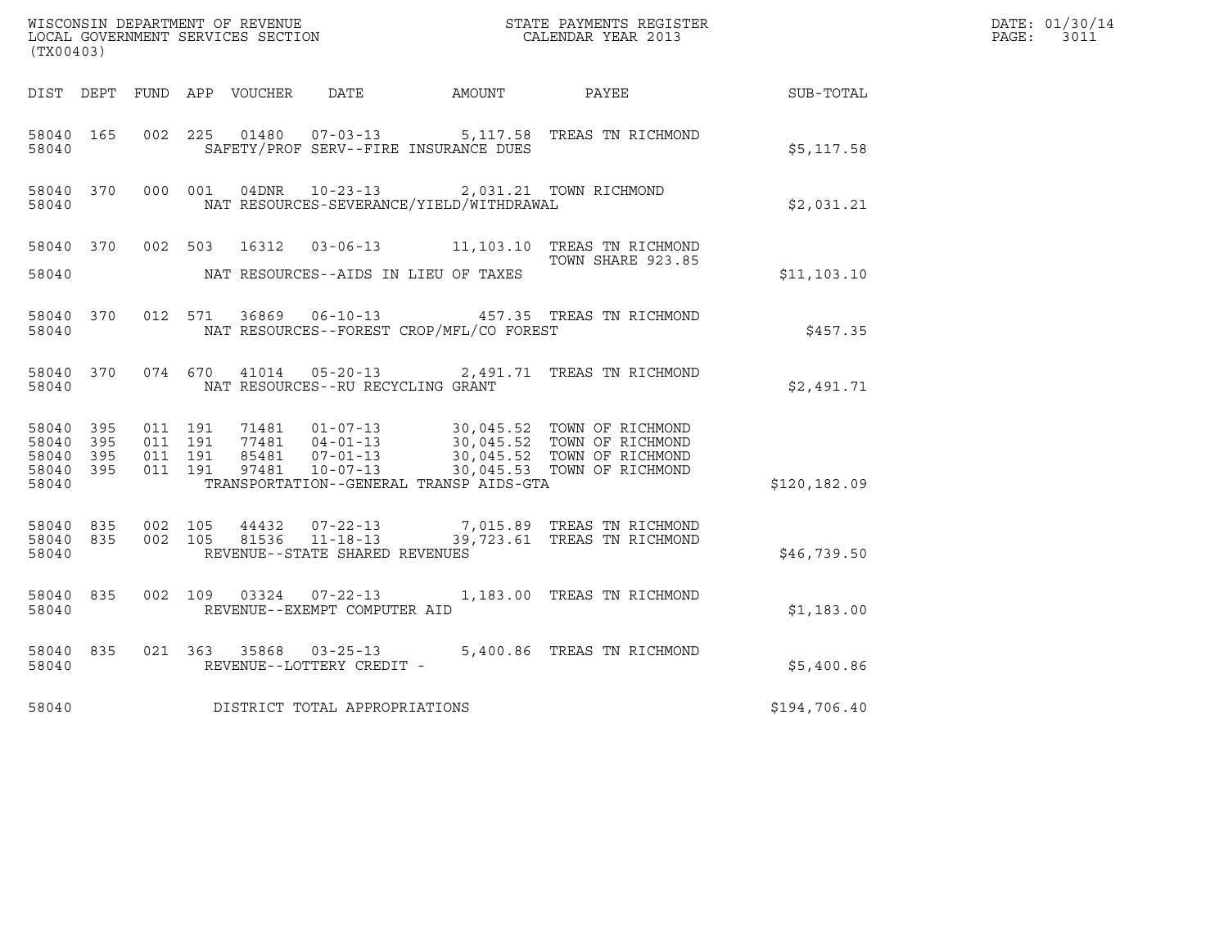| (TX00403)                                                 |                                          |         |                                                                                    |                                                                                     | $\tt WISCONSIM DEPARTMENT OF REVENUE$ $\tt STATE$ PAYMENTS REGISTER LOCAL GOVERNMENT SERVICES SECTION $\tt CALENDAR$ YEAR 2013                                                         |               | DATE: 01/30/14<br>PAGE:<br>3011 |
|-----------------------------------------------------------|------------------------------------------|---------|------------------------------------------------------------------------------------|-------------------------------------------------------------------------------------|----------------------------------------------------------------------------------------------------------------------------------------------------------------------------------------|---------------|---------------------------------|
|                                                           |                                          |         |                                                                                    | DIST DEPT FUND APP VOUCHER DATE AMOUNT PAYEE                                        |                                                                                                                                                                                        | SUB-TOTAL     |                                 |
| 58040 165<br>58040                                        |                                          |         |                                                                                    | SAFETY/PROF SERV--FIRE INSURANCE DUES                                               | 002 225 01480 07-03-13 5,117.58 TREAS TN RICHMOND                                                                                                                                      | \$5,117.58    |                                 |
| 58040 370<br>58040                                        |                                          | 000 001 |                                                                                    | 04DNR  10-23-13  2,031.21 TOWN RICHMOND<br>NAT RESOURCES-SEVERANCE/YIELD/WITHDRAWAL |                                                                                                                                                                                        | \$2,031.21    |                                 |
| 58040                                                     |                                          |         |                                                                                    | NAT RESOURCES--AIDS IN LIEU OF TAXES                                                | 58040 370 002 503 16312 03-06-13 11,103.10 TREAS TN RICHMOND<br>TOWN SHARE 923.85                                                                                                      | \$11,103.10   |                                 |
| 58040                                                     |                                          |         |                                                                                    | NAT RESOURCES--FOREST CROP/MFL/CO FOREST                                            | 58040 370 012 571 36869 06-10-13 457.35 TREAS TN RICHMOND                                                                                                                              | \$457.35      |                                 |
| 58040 370<br>58040                                        | 074 670                                  |         | NAT RESOURCES--RU RECYCLING GRANT                                                  |                                                                                     | 41014  05-20-13  2,491.71  TREAS TN RICHMOND                                                                                                                                           | \$2,491.71    |                                 |
| 58040 395<br>58040 395<br>58040 395<br>58040 395<br>58040 | 011 191<br>011 191<br>011 191<br>011 191 |         |                                                                                    | TRANSPORTATION--GENERAL TRANSP AIDS-GTA                                             | 71481  01-07-13  30,045.52  TOWN OF RICHMOND<br>71481 01-07-13<br>77481 04-01-13 30,045.52 TOWN OF RICHMOND<br>85481 07-01-13 30,045.52 TOWN OF RICHMOND<br>30,045.53 TOWN OF RICHMOND | \$120, 182.09 |                                 |
| 58040 835<br>58040                                        | 58040 835 002 105                        |         | 002 105 44432 07-22-13<br>002 105 81536 11-18-13<br>REVENUE--STATE SHARED REVENUES |                                                                                     | 7,015.89 TREAS TN RICHMOND<br>39,723.61 TREAS TN RICHMOND                                                                                                                              | \$46,739.50   |                                 |
| 58040 835<br>58040                                        |                                          |         | REVENUE--EXEMPT COMPUTER AID                                                       |                                                                                     | 002  109  03324  07-22-13  1,183.00 TREAS TN RICHMOND                                                                                                                                  | \$1,183.00    |                                 |
| 58040 835<br>58040                                        |                                          |         | REVENUE--LOTTERY CREDIT -                                                          |                                                                                     | 021 363 35868 03-25-13 5,400.86 TREAS TN RICHMOND                                                                                                                                      | \$5,400.86    |                                 |
| 58040                                                     |                                          |         | DISTRICT TOTAL APPROPRIATIONS                                                      |                                                                                     |                                                                                                                                                                                        | \$194,706.40  |                                 |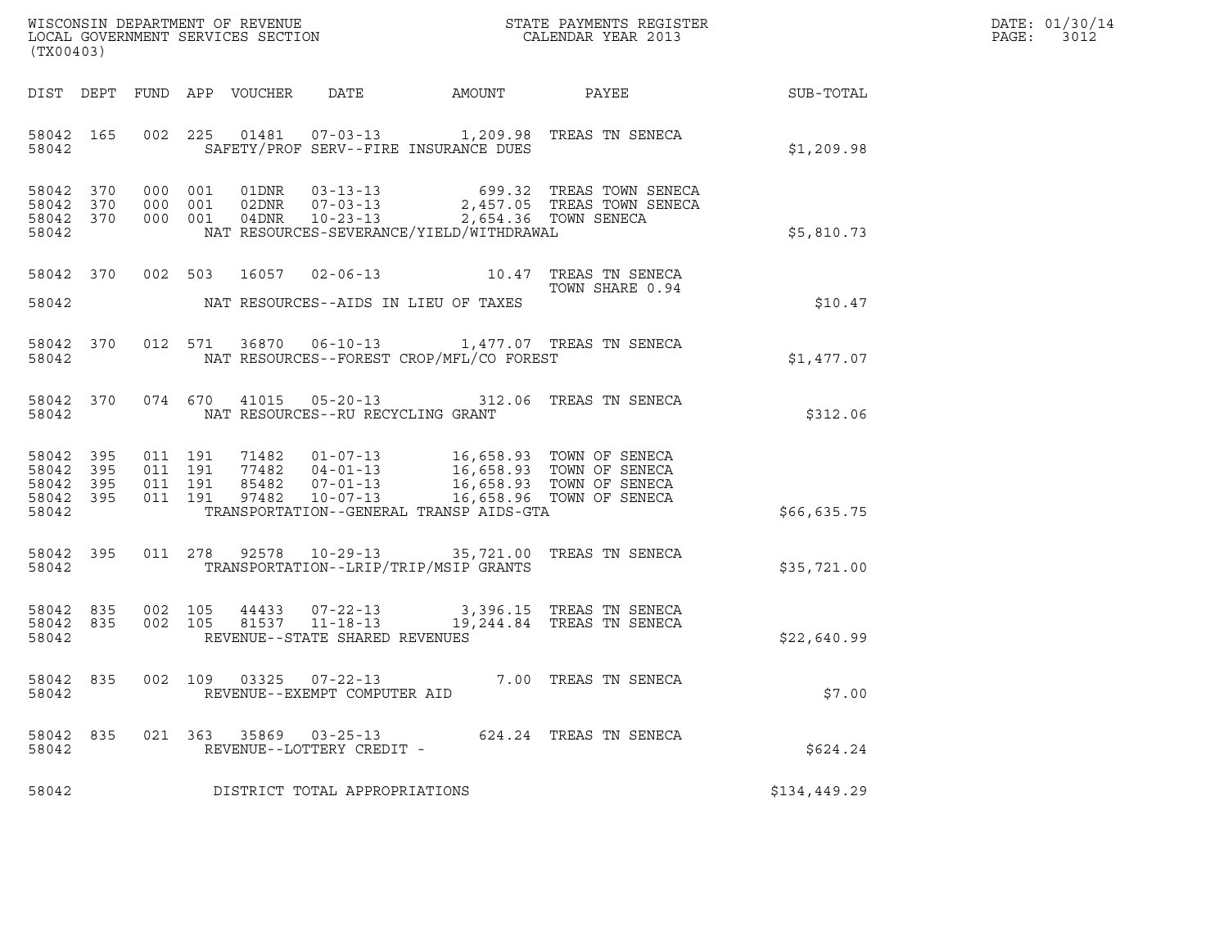| WISCONSIN DEPARTMENT OF REVENUE   | STATE PAYMENTS REGISTER | DATE: 01/30/14 |
|-----------------------------------|-------------------------|----------------|
| LOCAL GOVERNMENT SERVICES SECTION | CALENDAR YEAR 2013      | 3012<br>PAGE:  |

| (TX00403)          |  | WISCONSIN DEPARTMENT OF REVENUE<br>LOCAL GOVERNMENT SERVICES SECTION THE STATE PAYMENTS REGISTER<br>(TWOOAOO)                                                                                                                                                                           | DATE: 01/30/14<br>PAGE: 3012 |
|--------------------|--|-----------------------------------------------------------------------------------------------------------------------------------------------------------------------------------------------------------------------------------------------------------------------------------------|------------------------------|
|                    |  | DIST DEPT FUND APP VOUCHER DATE AMOUNT PAYEE SUB-TOTAL                                                                                                                                                                                                                                  |                              |
|                    |  | 58042 165 002 225 01481 07-03-13 1,209.98 TREAS TN SENECA<br>58042 SAFETY/PROF SERV--FIRE INSURANCE DUES                                                                                                                                                                                | \$1,209.98                   |
|                    |  | 58042 370 000 001 01DNR 03-13-13 699.32 TREAS TOWN SENECA<br>58042 370 000 001 02DNR 07-03-13 2,457.05 TREAS TOWN SENECA<br>58042 370 000 001 04DNR 10-23-13 2,654.36 TOWN SENECA<br>58042 NAT RESOURCES-SEVERANCE/YIELD/WITHDRAWAL                                                     | \$5,810.73                   |
|                    |  | 58042 370 002 503 16057 02-06-13 10.47 TREAS TN SENECA<br>TOWN SHARE 0.94<br>58042 NAT RESOURCES--AIDS IN LIEU OF TAXES                                                                                                                                                                 | \$10.47                      |
|                    |  | 58042 370 012 571 36870 06-10-13 1,477.07 TREAS TN SENECA<br>58042 NAT RESOURCES--FOREST CROP/MFL/CO FOREST                                                                                                                                                                             | \$1,477.07                   |
|                    |  | 58042 370 074 670 41015 05-20-13 312.06 TREAS TN SENECA<br>58042 NAT RESOURCES--RU RECYCLING GRANT                                                                                                                                                                                      | \$312.06                     |
|                    |  | 58042 395 011 191 71482 01-07-13 16,658.93 TOWN OF SENECA<br>58042 395 011 191 77482 04-01-13 16,658.93 TOWN OF SENECA<br>58042 395 011 191 85482 07-01-13 16,658.93 TOWN OF SENECA<br>58042 395 011 191 97482 10-07-13 16,658.96 TOWN<br>58042 TRANSPORTATION--GENERAL TRANSP AIDS-GTA | \$66,635.75                  |
|                    |  | 58042 395 011 278 92578 10-29-13 35,721.00 TREAS TN SENECA<br>58042 TRANSPORTATION--LRIP/TRIP/MSIP GRANTS                                                                                                                                                                               | \$35,721.00                  |
|                    |  | $\begin{array}{cccccc} 58042 & 835 & 002 & 105 & 44433 & 07-22-13 & & 3,396.15 & \text{TREAS TN SENCEA} \\ 58042 & 835 & 002 & 105 & 81537 & 11-18-13 & & 19,244.84 & \text{TREAS TN SENCEA} \end{array}$<br>58042 REVENUE--STATE SHARED REVENUES                                       | \$22,640.99                  |
| 58042              |  | 58042 835 002 109 03325 07-22-13 7.00 TREAS TN SENECA<br>REVENUE--EXEMPT COMPUTER AID                                                                                                                                                                                                   | \$7.00                       |
| 58042 835<br>58042 |  | 021 363 35869 03-25-13<br>624.24 TREAS TN SENECA<br>REVENUE--LOTTERY CREDIT -                                                                                                                                                                                                           | \$624.24                     |
| 58042              |  | DISTRICT TOTAL APPROPRIATIONS                                                                                                                                                                                                                                                           | \$134,449.29                 |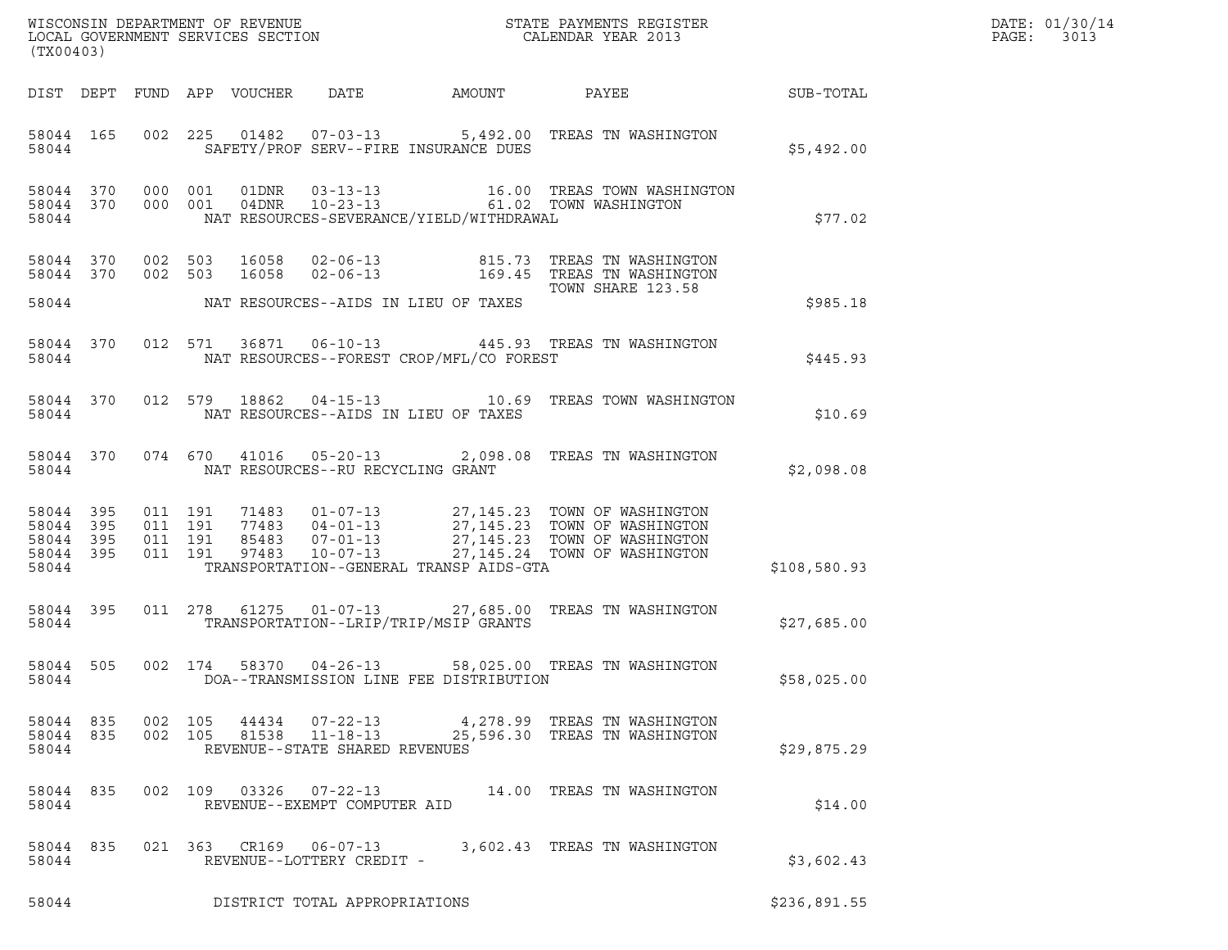| (TX00403)                                |                  |                                          |                            |                                   |                                          |                                                                                                        |              | DATE: 01/30/14<br>PAGE:<br>3013 |
|------------------------------------------|------------------|------------------------------------------|----------------------------|-----------------------------------|------------------------------------------|--------------------------------------------------------------------------------------------------------|--------------|---------------------------------|
|                                          |                  |                                          | DIST DEPT FUND APP VOUCHER | DATE                              | AMOUNT                                   | PAYEE                                                                                                  | SUB-TOTAL    |                                 |
| 58044                                    | 58044 165        |                                          |                            |                                   | SAFETY/PROF SERV--FIRE INSURANCE DUES    | 002 225 01482 07-03-13 5,492.00 TREAS TN WASHINGTON                                                    | \$5,492.00   |                                 |
| 58044 370<br>58044                       |                  | 58044 370 000 001<br>000 001             |                            |                                   | NAT RESOURCES-SEVERANCE/YIELD/WITHDRAWAL |                                                                                                        | \$77.02      |                                 |
| 58044 370<br>58044 370<br>58044          |                  | 002 503<br>002 503                       | 16058<br>16058             | $02 - 06 - 13$<br>$02 - 06 - 13$  | NAT RESOURCES--AIDS IN LIEU OF TAXES     | 815.73 TREAS TN WASHINGTON<br>169.45 TREAS TN WASHINGTON<br>TOWN SHARE 123.58                          | \$985.18     |                                 |
| 58044                                    | 58044 370        |                                          |                            |                                   | NAT RESOURCES--FOREST CROP/MFL/CO FOREST | 012 571 36871 06-10-13 445.93 TREAS TN WASHINGTON                                                      | \$445.93     |                                 |
| 58044 370<br>58044                       |                  | 012 579                                  | 18862                      |                                   | NAT RESOURCES--AIDS IN LIEU OF TAXES     | 04-15-13 10.69 TREAS TOWN WASHINGTON                                                                   | \$10.69      |                                 |
| 58044                                    | 58044 370        |                                          |                            | NAT RESOURCES--RU RECYCLING GRANT |                                          | 074 670 41016 05-20-13 2,098.08 TREAS TN WASHINGTON                                                    | \$2,098.08   |                                 |
| 58044 395<br>58044 395<br>58044<br>58044 | 395<br>58044 395 | 011 191<br>011 191<br>011 191<br>011 191 |                            |                                   | TRANSPORTATION--GENERAL TRANSP AIDS-GTA  |                                                                                                        | \$108,580.93 |                                 |
| 58044                                    | 58044 395        |                                          | 011 278 61275              |                                   | TRANSPORTATION--LRIP/TRIP/MSIP GRANTS    | 01-07-13  27,685.00 TREAS TN WASHINGTON                                                                | \$27,685.00  |                                 |
| 58044 505<br>58044                       |                  |                                          | 002 174                    | 58370 04-26-13                    | DOA--TRANSMISSION LINE FEE DISTRIBUTION  | 58,025.00 TREAS TN WASHINGTON                                                                          | \$58,025.00  |                                 |
| 58044                                    | 58044 835        | 58044 835 002 105                        |                            | REVENUE--STATE SHARED REVENUES    |                                          | 44434  07-22-13  4,278.99  TREAS TN WASHINGTON<br>002 105 81538 11-18-13 25,596.30 TREAS TN WASHINGTON | \$29,875.29  |                                 |
| 58044                                    | 58044 835        |                                          |                            | REVENUE--EXEMPT COMPUTER AID      |                                          | 002 109 03326 07-22-13 14.00 TREAS TN WASHINGTON                                                       | \$14.00      |                                 |
| 58044                                    | 58044 835        |                                          |                            | REVENUE--LOTTERY CREDIT -         |                                          | 021 363 CR169 06-07-13 3,602.43 TREAS TN WASHINGTON                                                    | \$3,602.43   |                                 |
| 58044                                    |                  |                                          |                            | DISTRICT TOTAL APPROPRIATIONS     |                                          |                                                                                                        | \$236,891.55 |                                 |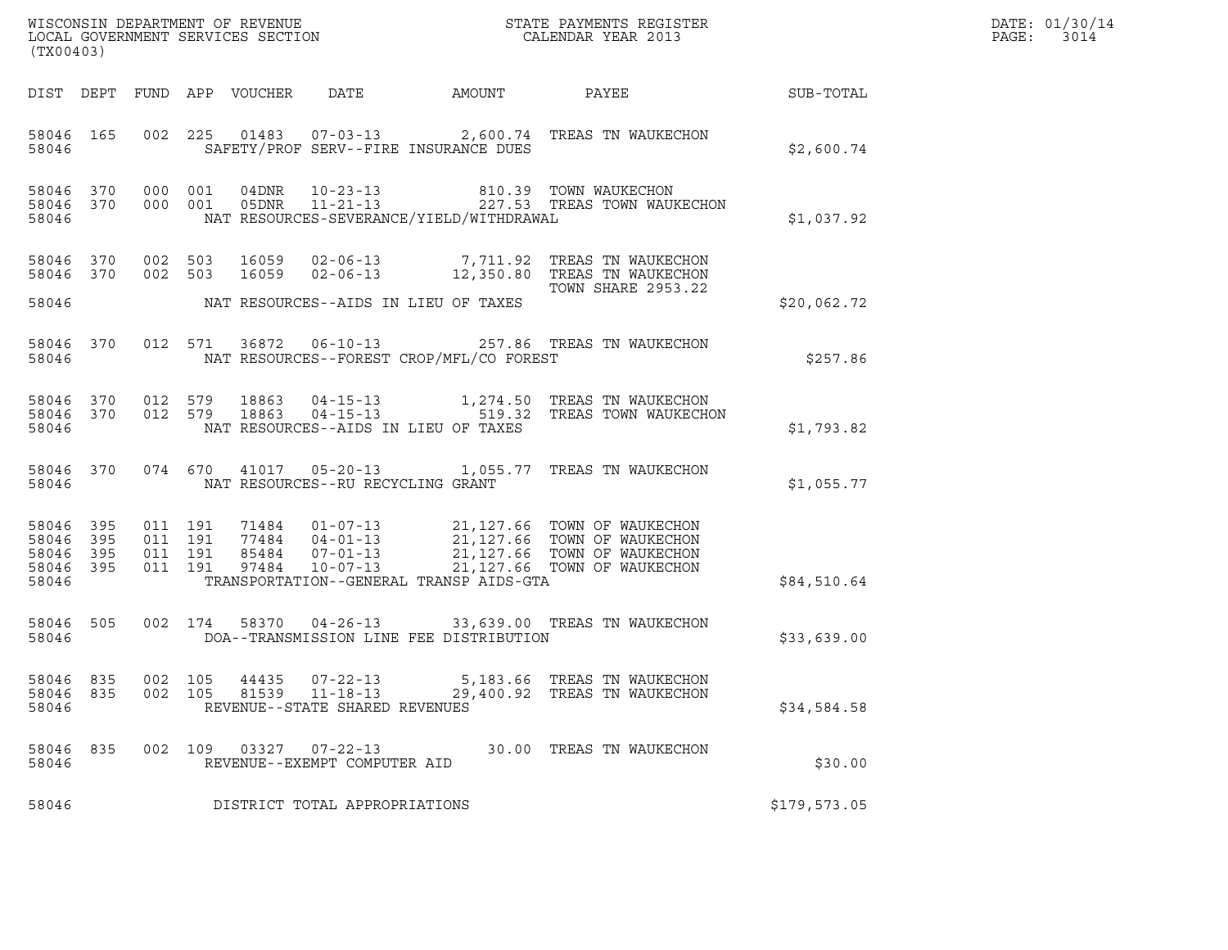| (TX00403)                                             |           |                                          |                            |                                                                    |                                          | ${\tt WISCOONSIM} \begin{tabular}{lcccc} DEPARTMENT OF REVENUE & & & & & & \begin{tabular}{l} \bf STATE} & \bf PAYMENTS \textit{ REGISTER} \\ \hline \textit{LOCAL GOVERNMENT} & \textit{SERVICES} & \textit{SECTION} \end{tabular} & & & & & \begin{tabular}{l} \bf CALENDAR \textit{ YEAR} \end{tabular} \end{tabular}$ |              | DATE: 01/30/14<br>PAGE:<br>3014 |
|-------------------------------------------------------|-----------|------------------------------------------|----------------------------|--------------------------------------------------------------------|------------------------------------------|---------------------------------------------------------------------------------------------------------------------------------------------------------------------------------------------------------------------------------------------------------------------------------------------------------------------------|--------------|---------------------------------|
|                                                       |           |                                          | DIST DEPT FUND APP VOUCHER | DATE                                                               | AMOUNT                                   | PAYEE                                                                                                                                                                                                                                                                                                                     | SUB-TOTAL    |                                 |
| 58046                                                 | 58046 165 |                                          |                            |                                                                    | SAFETY/PROF SERV--FIRE INSURANCE DUES    | 002 225 01483 07-03-13 2,600.74 TREAS TN WAUKECHON                                                                                                                                                                                                                                                                        | \$2,600.74   |                                 |
| 58046 370<br>58046                                    |           | 58046 370 000 001<br>000 001             |                            |                                                                    | NAT RESOURCES-SEVERANCE/YIELD/WITHDRAWAL |                                                                                                                                                                                                                                                                                                                           | \$1,037.92   |                                 |
|                                                       |           | 58046 370 002 503<br>58046 370 002 503   |                            |                                                                    |                                          | 16059    02-06-13               7,711.92   TREAS TN WAUKECHON<br>16059    02-06-13             12,350.80   TREAS TN WAUKECHON<br><b>TOWN SHARE 2953.22</b>                                                                                                                                                                |              |                                 |
| 58046                                                 |           |                                          |                            |                                                                    | NAT RESOURCES--AIDS IN LIEU OF TAXES     |                                                                                                                                                                                                                                                                                                                           | \$20,062.72  |                                 |
| 58046                                                 | 58046 370 |                                          |                            |                                                                    | NAT RESOURCES--FOREST CROP/MFL/CO FOREST | 012 571 36872 06-10-13 257.86 TREAS TN WAUKECHON                                                                                                                                                                                                                                                                          | \$257.86     |                                 |
| 58046 370<br>58046 370<br>58046                       |           |                                          |                            |                                                                    | NAT RESOURCES--AIDS IN LIEU OF TAXES     | 012 579 18863 04-15-13 1,274.50 TREAS TN WAUKECHON<br>012 579 18863 04-15-13 519.32 TREAS TOWN WAUKECHON                                                                                                                                                                                                                  | \$1,793.82   |                                 |
| 58046                                                 |           |                                          |                            | NAT RESOURCES--RU RECYCLING GRANT                                  |                                          | 58046 370 074 670 41017 05-20-13 1,055.77 TREAS TN WAUKECHON                                                                                                                                                                                                                                                              | \$1,055.77   |                                 |
| 58046 395<br>58046<br>58046 395<br>58046 395<br>58046 | - 395     | 011 191<br>011 191<br>011 191<br>011 191 |                            |                                                                    | TRANSPORTATION--GENERAL TRANSP AIDS-GTA  | 71484  01-07-13  21,127.66  TOWN OF WAUKECHON<br>77484  04-01-13  21,127.66  TOWN OF WAUKECHON<br>85484  07-01-13  21,127.66  TOWN OF WAUKECHON<br>97484  10-07-13  21,127.66  TOWN OF WAUKECHON                                                                                                                          | \$84,510.64  |                                 |
|                                                       |           |                                          |                            |                                                                    |                                          |                                                                                                                                                                                                                                                                                                                           |              |                                 |
| 58046                                                 | 58046 505 |                                          |                            |                                                                    | DOA--TRANSMISSION LINE FEE DISTRIBUTION  | 002 174 58370 04-26-13 33,639.00 TREAS TN WAUKECHON                                                                                                                                                                                                                                                                       | \$33,639.00  |                                 |
| 58046 835<br>58046<br>58046                           | 835       | 002 105<br>002 105                       | 44435<br>81539             | $07 - 22 - 13$<br>$11 - 18 - 13$<br>REVENUE--STATE SHARED REVENUES |                                          | 5,183.66 TREAS TN WAUKECHON<br>29,400.92 TREAS TN WAUKECHON                                                                                                                                                                                                                                                               | \$34,584.58  |                                 |
| 58046 835<br>58046                                    |           |                                          |                            | 002 109 03327 07-22-13<br>REVENUE--EXEMPT COMPUTER AID             |                                          | 30.00 TREAS TN WAUKECHON                                                                                                                                                                                                                                                                                                  | \$30.00      |                                 |
| 58046                                                 |           |                                          |                            | DISTRICT TOTAL APPROPRIATIONS                                      |                                          |                                                                                                                                                                                                                                                                                                                           | \$179,573.05 |                                 |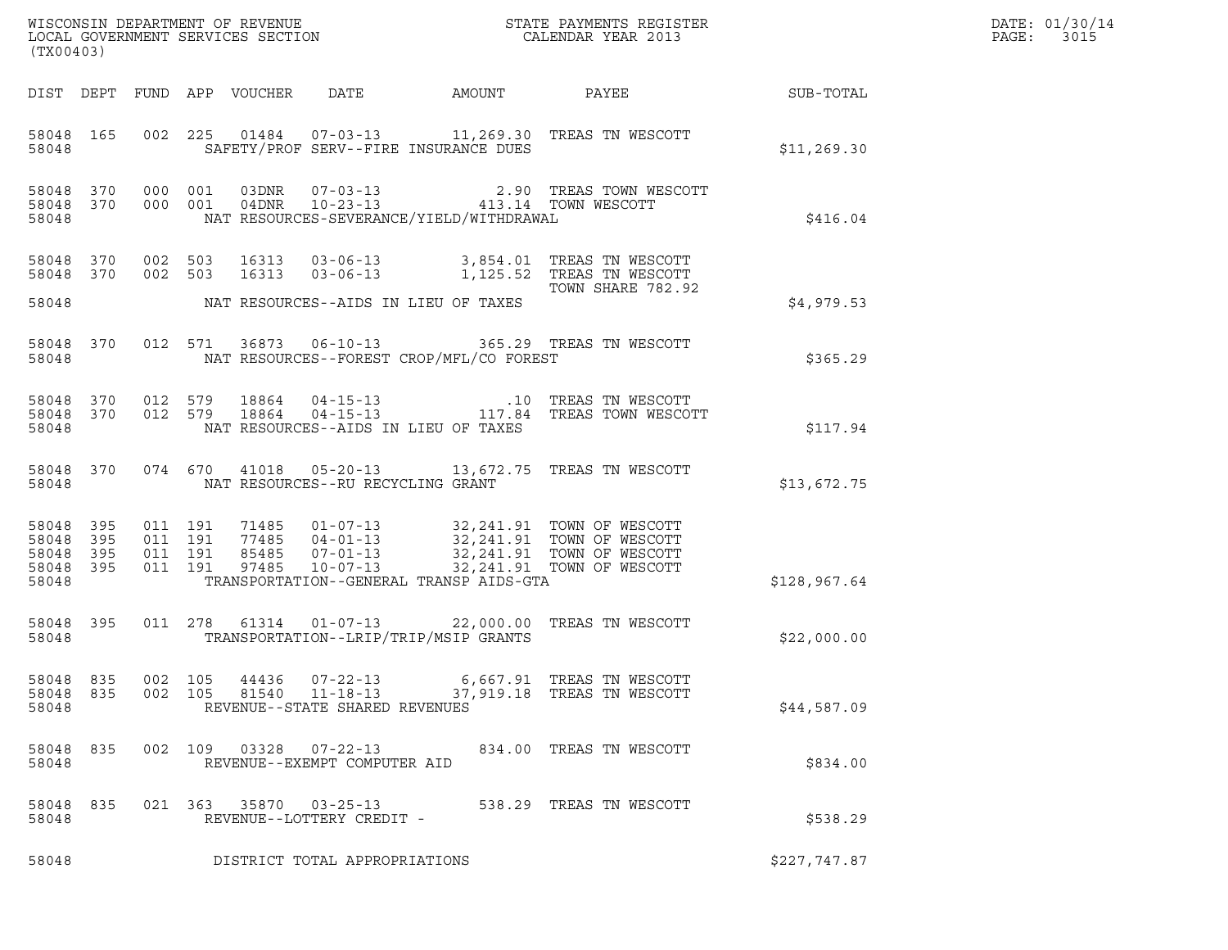| (TX00403)                                             |     |                                          |                            |                                                                    |                                                                                                                                                                     |                                                                                                                                                                                          |              | DATE: 01/30/14<br>PAGE:<br>3015 |
|-------------------------------------------------------|-----|------------------------------------------|----------------------------|--------------------------------------------------------------------|---------------------------------------------------------------------------------------------------------------------------------------------------------------------|------------------------------------------------------------------------------------------------------------------------------------------------------------------------------------------|--------------|---------------------------------|
|                                                       |     |                                          | DIST DEPT FUND APP VOUCHER | DATE                                                               | AMOUNT                                                                                                                                                              | PAYEE                                                                                                                                                                                    | SUB-TOTAL    |                                 |
| 58048 165<br>58048                                    |     |                                          |                            |                                                                    | SAFETY/PROF SERV--FIRE INSURANCE DUES                                                                                                                               | 002 225 01484 07-03-13 11,269.30 TREAS TN WESCOTT                                                                                                                                        | \$11, 269.30 |                                 |
| 58048 370 000 001<br>58048 370<br>58048               |     |                                          | 000 001                    |                                                                    | $\begin{tabular}{llllll} 03DNR & 07-03-13 & 2.90 TREAS TOWN WI \\ 04DNR & 10-23-13 & 413.14 TOWN WESCOTT \end{tabular}$<br>NAT RESOURCES-SEVERANCE/YIELD/WITHDRAWAL | 2.90 TREAS TOWN WESCOTT                                                                                                                                                                  | \$416.04     |                                 |
| 58048 370 002 503<br>58048 370<br>58048               |     | 002 503                                  |                            |                                                                    | NAT RESOURCES--AIDS IN LIEU OF TAXES                                                                                                                                | 16313  03-06-13  3,854.01 TREAS TN WESCOTT<br>16313  03-06-13  1,125.52 TREAS TN WESCOTT<br>TOWN SHARE 782.92                                                                            | \$4,979.53   |                                 |
| 58048 370<br>58048                                    |     |                                          | 012 571                    |                                                                    | NAT RESOURCES--FOREST CROP/MFL/CO FOREST                                                                                                                            | 36873  06-10-13  365.29  TREAS TN WESCOTT                                                                                                                                                | \$365.29     |                                 |
| 58048 370<br>58048 370<br>58048                       |     |                                          |                            |                                                                    | NAT RESOURCES--AIDS IN LIEU OF TAXES                                                                                                                                | 012 579 18864 04-15-13 10 TREAS TN WESCOTT<br>012 579 18864 04-15-13 117.84 TREAS TOWN WESCOTT                                                                                           | \$117.94     |                                 |
| 58048 370<br>58048                                    |     |                                          |                            | NAT RESOURCES--RU RECYCLING GRANT                                  |                                                                                                                                                                     | 074 670 41018 05-20-13 13,672.75 TREAS TN WESCOTT                                                                                                                                        | \$13,672.75  |                                 |
| 58048 395<br>58048<br>58048 395<br>58048 395<br>58048 | 395 | 011 191<br>011 191<br>011 191<br>011 191 |                            |                                                                    | TRANSPORTATION--GENERAL TRANSP AIDS-GTA                                                                                                                             | 71485  01-07-13  32,241.91  TOWN OF WESCOTT<br>77485  04-01-13  32,241.91  TOWN OF WESCOTT<br>85485  07-01-13  32,241.91  TOWN OF WESCOTT<br>97485  10-07-13  32,241.91  TOWN OF WESCOTT | \$128,967.64 |                                 |
| 58048 395<br>58048                                    |     |                                          |                            |                                                                    | TRANSPORTATION--LRIP/TRIP/MSIP GRANTS                                                                                                                               | 011  278  61314  01-07-13  22,000.00  TREAS TN WESCOTT                                                                                                                                   | \$22,000.00  |                                 |
| 58048 835<br>58048 835<br>58048                       |     | 002 105<br>002 105                       | 44436<br>81540             | $07 - 22 - 13$<br>$11 - 18 - 13$<br>REVENUE--STATE SHARED REVENUES |                                                                                                                                                                     | 6,667.91 TREAS TN WESCOTT<br>37,919.18 TREAS TN WESCOTT                                                                                                                                  | \$44,587.09  |                                 |
| 58048 835<br>58048                                    |     |                                          | 002 109 03328 07-22-13     | REVENUE--EXEMPT COMPUTER AID                                       |                                                                                                                                                                     | 834.00 TREAS TN WESCOTT                                                                                                                                                                  | \$834.00     |                                 |
| 58048 835<br>58048                                    |     |                                          | 021 363 35870 03-25-13     | REVENUE--LOTTERY CREDIT -                                          |                                                                                                                                                                     | 538.29 TREAS TN WESCOTT                                                                                                                                                                  | \$538.29     |                                 |
| 58048                                                 |     |                                          |                            | DISTRICT TOTAL APPROPRIATIONS                                      |                                                                                                                                                                     |                                                                                                                                                                                          | \$227,747.87 |                                 |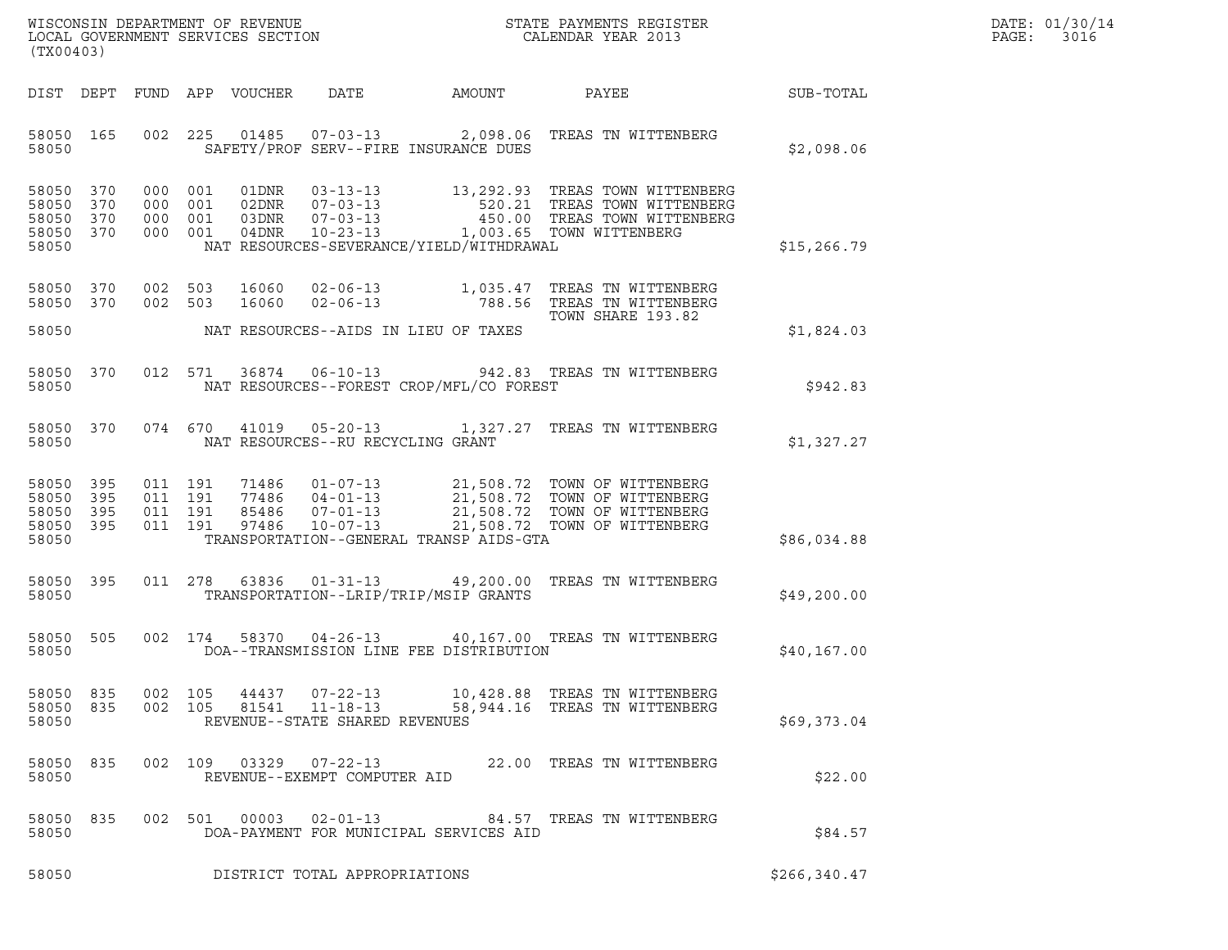| WISCONSIN DEPARTMENT OF REVENUE<br>LOCAL GOVERNMENT SERVICES SECTION<br>(TX00403) | STATE PAYMENTS REGISTER<br>CALENDAR YEAR 2013 | DATE: 01/30/14<br>PAGE:<br>3016 |
|-----------------------------------------------------------------------------------|-----------------------------------------------|---------------------------------|

DIST DEPT FUND APP VOUCHER DATE AMOUNT PAYEE SUB-TOTAL 58050 165 002 225 01485 07-03-13 2,098.06 TREAS TN WITTENBERG <sup>58050</sup> SAFETY/PROF SERV--FIRE INSURANCE DUES \$2,098.06 58050 370 000 001 01DNR 03-13-13 13,292.93 TREAS TOWN WITTENBERG 58050 370 000 001 02DNR 07-03-13 520.21 TREAS TOWN WITTENBERG 58050 370 000 001 01DNR 03-13-13 13,292.93 TREAS TOWN WITTENBERG<br>58050 370 000 001 02DNR 07-03-13 520.21 TREAS TOWN WITTENBERG<br>58050 370 000 001 03DNR 07-03-13 1,003.65 TOWN WITTENBERG<br>58050 370 000 001 04DNR 10-23-13 1,00 58050 370 000 001 01DNR 03-13-13 13,292.93 TREAS TOWN WITTENBI<br>58050 370 000 001 02DNR 07-03-13 520.21 TREAS TOWN WITTENBI<br>58050 370 000 001 03DNR 07-03-13 450.00 TREAS TOWN WITTENBI<br>58050 370 000 001 04DNR 10-23-13 1,003. 58050 370 000 001 02DNR 07-03-13 520.21 TREAS TOWN WITTENBERG<br>58050 370 000 001 03DNR 07-03-13 450.00 TREAS TOWN WITTENBERG<br>58050 370 000 001 04DNR 10-23-13 1,003.65 TOWN WITTENBERG \$15,266.79<br>58050 NAT RESOURCES-SEVER 58050 370 002 503 16060 02-06-13 1,035.47 TREAS TN WITTENBERG 58050 370 002 503 16060 02-06-13 1,035.47 TREAS TN WITTENBERG<br>58050 370 002 503 16060 02-06-13 788.56 TREAS TN WITTENBERG TREAS TN WITTENBERG<br>TREAS TN WITTENBERG<br>TOWN SHARE 193.82 58050 370 002 503 16060 02-06-13 1,035.47 TREAS TN WITTENBERG<br>58050 370 002 503 16060 02-06-13 788.56 TREAS TN WITTENBERG<br>58050 NAT RESOURCES--AIDS IN LIEU OF TAXES TOWN SHARE 193.82 \$1,824.03 58050 370 012 571 36874 06-10-13 942.83 TREAS TN WITTENBERG <sup>58050</sup> NAT RESOURCES--FOREST CROP/MFL/CO FOREST \$942.83 58050 370 074 670 41019 05-20-13 1,327.27 TREAS TN WITTENBERG <sup>58050</sup> NAT RESOURCES--RU RECYCLING GRANT \$1,327.27 58050 395 011 191 71486 01-07-13 21,508.72 TOWN OF WITTENBERG 58050 395 011 191 71486 01-07-13 21,508.72 TOWN OF WITTENBERG<br>58050 395 011 191 77486 04-01-13 21,508.72 TOWN OF WITTENBERG<br>58050 395 011 191 85486 07-01-13 21,508.72 TOWN OF WITTENBERG 58050 395 011 191 71486 01-07-13 21,508.72 TOWN OF WITTENBERG<br>58050 395 011 191 77486 04-01-13 21,508.72 TOWN OF WITTENBERG<br>58050 395 011 191 85486 07-01-13 21,508.72 TOWN OF WITTENBERG<br>58050 395 011 191 97486 10-07-13 21, 58050 395 011 191 71486 01-07-13 21,508.72 TOWN OF WITTENBERG<br>58050 395 011 191 77486 04-01-13 21,508.72 TOWN OF WITTENBERG<br>58050 395 011 191 85486 07-01-13 21,508.72 TOWN OF WITTENBERG<br>58050 395 011 191 97486 10-07-13 21, 58050 395 011 191 77486 04-01-13 21,508.72 TOWN OF WITTENBERG<br>58050 395 011 191 85486 07-01-13 21,508.72 TOWN OF WITTENBERG<br>58050 395 011 191 97486 10-07-13 21,508.72 TOWN OF WITTENBERG<br>58050 58050 395 011 278 63836 01-31-13 49,200.00 TREAS TN WITTENBERG <sup>58050</sup> TRANSPORTATION--LRIP/TRIP/MSIP GRANTS \$49,200.00 58050 505 002 174 58370 04-26-13 40,167.00 TREAS TN WITTENBERG <sup>58050</sup> DOA--TRANSMISSION LINE FEE DISTRIBUTION \$40,167.00 58050 835 002 105 44437 07-22-13 10,428.88 TREAS TN WITTENBERG 58050 835 002 105 44437 07-22-13 10,428.88 TREAS TNWITTENBERG<br>58050 835 002 105 81541 11-18-13 58,944.16 TREAS TNWITTENBERG<br>58050 REVENUE--STATE SHARED REVENUES <sup>58050</sup> REVENUE--STATE SHARED REVENUES \$69,373.04 58050 835 002 109 03329 07-22-13 22.00 TREAS TN WITTENBERG <sup>58050</sup> REVENUE--EXEMPT COMPUTER AID \$22.00 58050 835 002 501 00003 02-01-13 84.57 TREAS TN WITTENBERG <sup>58050</sup> DOA-PAYMENT FOR MUNICIPAL SERVICES AID \$84.57

58050 DOA-PAYMENT FOR MUNICIPAL SERVICES AID \$84.57<br>58050 DISTRICT TOTAL APPROPRIATIONS \$266,340.47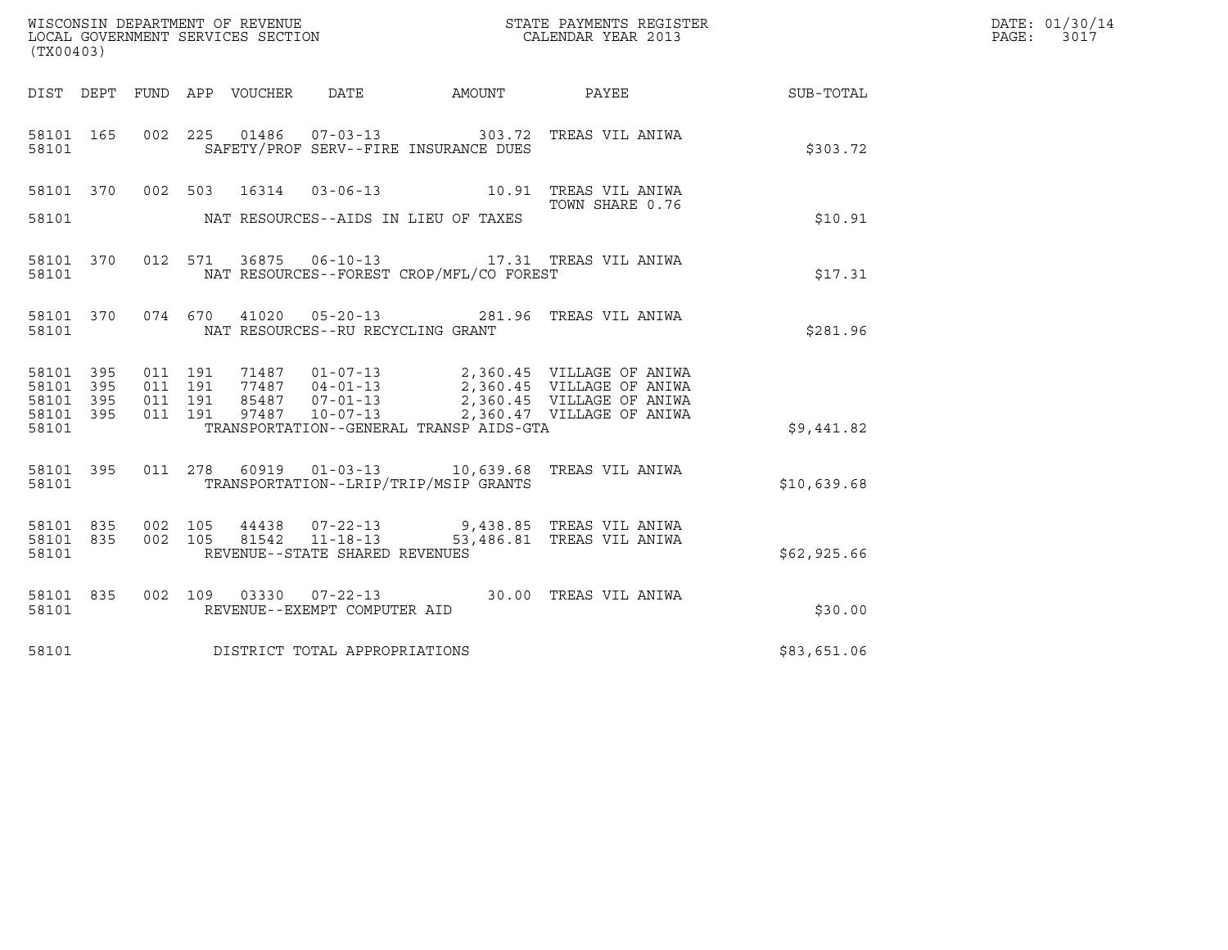| WISCONSIN DEPARTMENT OF REVENUE   | STATE PAYMENTS REGISTER | DATE: 01/30/14 |
|-----------------------------------|-------------------------|----------------|
| LOCAL GOVERNMENT SERVICES SECTION | CALENDAR YEAR 2013      | PAGE:<br>3017  |

| (TX00403) |  |  |                                      | WISCONSIN DEPARTMENT OF REVENUE<br>LOCAL GOVERNMENT SERVICES SECTION<br>CALENDAR YEAR 2013 |                                                                                                                                                                                                                                         |                                                              | DATE: 01/30/14<br>PAGE: 3017 |
|-----------|--|--|--------------------------------------|--------------------------------------------------------------------------------------------|-----------------------------------------------------------------------------------------------------------------------------------------------------------------------------------------------------------------------------------------|--------------------------------------------------------------|------------------------------|
|           |  |  |                                      |                                                                                            |                                                                                                                                                                                                                                         | DIST DEPT FUND APP VOUCHER DATE AMOUNT PAYEE PAYEE SUB-TOTAL |                              |
| 58101     |  |  |                                      | SAFETY/PROF SERV--FIRE INSURANCE DUES                                                      | 58101 165 002 225 01486 07-03-13 303.72 TREAS VIL ANIWA                                                                                                                                                                                 | \$303.72                                                     |                              |
|           |  |  |                                      |                                                                                            | 58101 370 002 503 16314 03-06-13 10.91 TREAS VIL ANIWA<br>TOWN SHARE 0.76                                                                                                                                                               |                                                              |                              |
|           |  |  |                                      | 58101 NAT RESOURCES--AIDS IN LIEU OF TAXES                                                 |                                                                                                                                                                                                                                         | \$10.91                                                      |                              |
|           |  |  |                                      | 58101 NAT RESOURCES--FOREST CROP/MFL/CO FOREST                                             | 58101 370 012 571 36875 06-10-13 17.31 TREAS VIL ANIWA                                                                                                                                                                                  | \$17.31                                                      |                              |
|           |  |  |                                      | 58101 NAT RESOURCES--RU RECYCLING GRANT                                                    | 58101 370 074 670 41020 05-20-13 281.96 TREAS VIL ANIWA                                                                                                                                                                                 | \$281.96                                                     |                              |
|           |  |  |                                      |                                                                                            | 58101 395 011 191 71487 01-07-13 2,360.45 VILLAGE OF ANIWA<br>58101 395 011 191 77487 04-01-13 2,360.45 VILLAGE OF ANIWA<br>58101 395 011 191 85487 07-01-13 2,360.45 VILLAGE OF ANIWA<br>58101 395 011 191 97487 10-07-13 2,360.47 VIL |                                                              |                              |
|           |  |  |                                      | 58101 TRANSPORTATION--GENERAL TRANSP AIDS-GTA                                              |                                                                                                                                                                                                                                         | \$9,441.82                                                   |                              |
|           |  |  |                                      | 58101 TRANSPORTATION--LRIP/TRIP/MSIP GRANTS                                                | 58101 395 011 278 60919 01-03-13 10,639.68 TREAS VIL ANIWA                                                                                                                                                                              | \$10,639.68                                                  |                              |
|           |  |  | 58101 REVENUE--STATE SHARED REVENUES |                                                                                            | 58101 835 002 105 44438 07-22-13 9,438.85 TREAS VIL ANIWA<br>58101 835 002 105 81542 11-18-13 53,486.81 TREAS VIL ANIWA                                                                                                                 | \$62,925.66                                                  |                              |
| 58101 835 |  |  | 58101 REVENUE--EXEMPT COMPUTER AID   |                                                                                            | 002 109 03330 07-22-13 30.00 TREAS VIL ANIWA                                                                                                                                                                                            | \$30.00                                                      |                              |
|           |  |  | 58101 DISTRICT TOTAL APPROPRIATIONS  |                                                                                            |                                                                                                                                                                                                                                         | \$83,651.06                                                  |                              |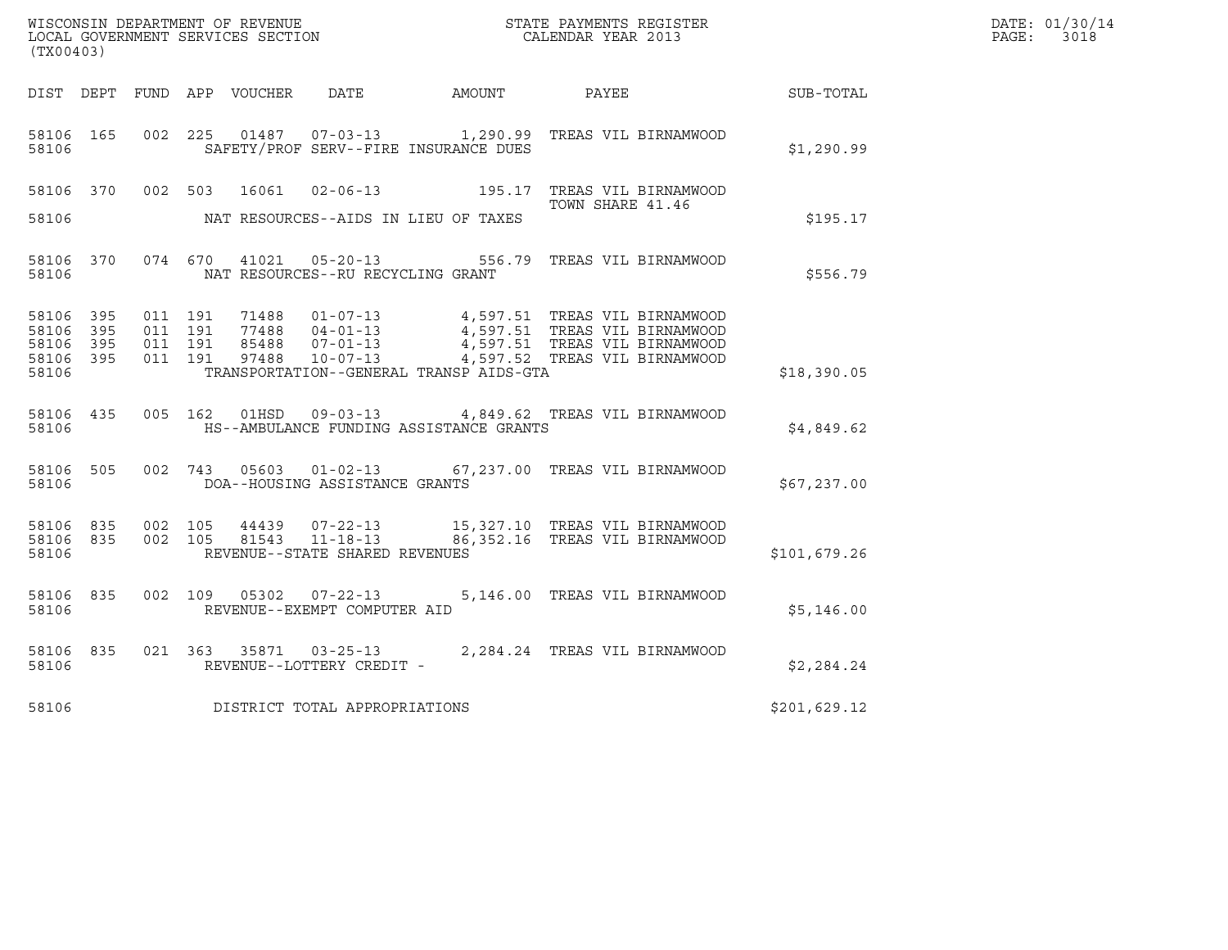| (TX00403)                                         |                        |                               |         |                                   |                                              | $\tt WISCONSIM DEPARTMENT OF REVENUE$ $\tt SCALENDAR YEAR$ 2013 $\tt COCALENDAR YEAR$ 2013                     |                  | DATE: 01/30/14<br>PAGE: 3018 |
|---------------------------------------------------|------------------------|-------------------------------|---------|-----------------------------------|----------------------------------------------|----------------------------------------------------------------------------------------------------------------|------------------|------------------------------|
|                                                   |                        |                               |         |                                   | DIST DEPT FUND APP VOUCHER DATE AMOUNT PAYEE |                                                                                                                | <b>SUB-TOTAL</b> |                              |
| 58106 165<br>58106                                |                        |                               |         |                                   | SAFETY/PROF SERV--FIRE INSURANCE DUES        | 002 225 01487 07-03-13 1,290.99 TREAS VIL BIRNAMWOOD                                                           | \$1,290.99       |                              |
|                                                   |                        |                               |         |                                   |                                              | 58106 370 002 503 16061 02-06-13 195.17 TREAS VIL BIRNAMWOOD<br>TOWN SHARE 41.46                               |                  |                              |
| 58106                                             |                        |                               |         |                                   | NAT RESOURCES--AIDS IN LIEU OF TAXES         |                                                                                                                | \$195.17         |                              |
| 58106                                             | 58106 370              |                               |         | NAT RESOURCES--RU RECYCLING GRANT |                                              | 074 670 41021 05-20-13 556.79 TREAS VIL BIRNAMWOOD                                                             | \$556.79         |                              |
| 58106 395<br>58106<br>58106 395<br>58106<br>58106 | 395<br>395             | 011 191<br>011 191<br>011 191 | 011 191 |                                   | TRANSPORTATION--GENERAL TRANSP AIDS-GTA      |                                                                                                                | \$18,390.05      |                              |
| 58106                                             | 58106 435              |                               |         |                                   | HS--AMBULANCE FUNDING ASSISTANCE GRANTS      | 005 162 01HSD 09-03-13 4,849.62 TREAS VIL BIRNAMWOOD                                                           | \$4,849.62       |                              |
| 58106 505<br>58106                                |                        |                               |         | DOA--HOUSING ASSISTANCE GRANTS    |                                              | 002 743 05603 01-02-13 67,237.00 TREAS VIL BIRNAMWOOD                                                          | \$67,237.00      |                              |
| 58106                                             | 58106 835<br>58106 835 |                               |         | REVENUE--STATE SHARED REVENUES    |                                              | 002 105 44439 07-22-13 15,327.10 TREAS VIL BIRNAMWOOD<br>002 105 81543 11-18-13 86,352.16 TREAS VIL BIRNAMWOOD | \$101,679.26     |                              |
| 58106                                             | 58106 835              |                               |         | REVENUE--EXEMPT COMPUTER AID      |                                              | 002  109  05302  07-22-13  5,146.00 TREAS VIL BIRNAMWOOD                                                       | \$5,146.00       |                              |
| 58106                                             | 58106 835              |                               |         | REVENUE--LOTTERY CREDIT -         |                                              | 021 363 35871 03-25-13 2,284.24 TREAS VIL BIRNAMWOOD                                                           | \$2,284.24       |                              |
| 58106                                             |                        |                               |         | DISTRICT TOTAL APPROPRIATIONS     |                                              |                                                                                                                | \$201,629.12     |                              |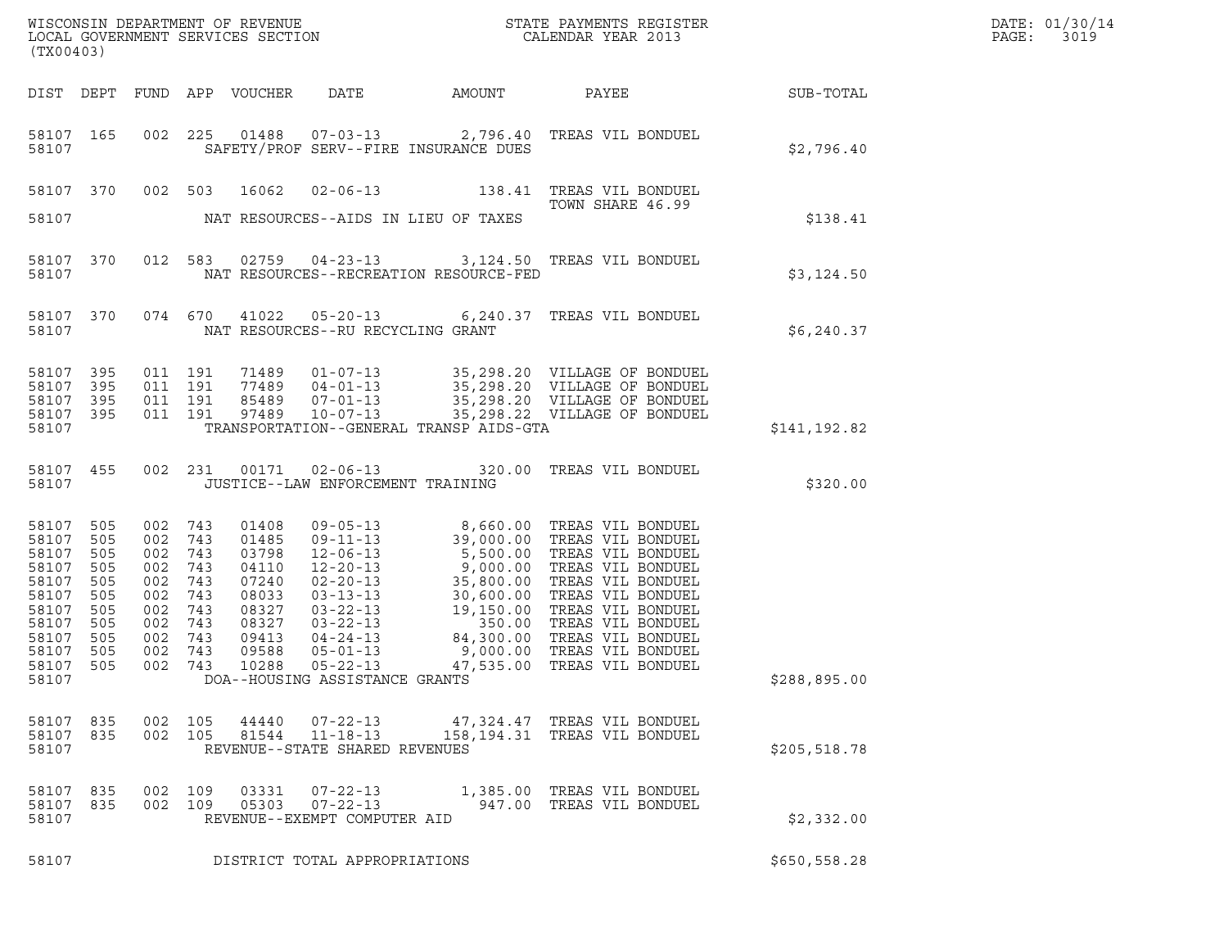| (TX00403)                                                                                       |                                                                           |                                                                                   |                                                             |                                                                                                 |                                                                  |                                         |                                                                                                                                                                                                                                                                                                                                                                                                                 |               | DATE: 01/30/14<br>PAGE:<br>3019 |
|-------------------------------------------------------------------------------------------------|---------------------------------------------------------------------------|-----------------------------------------------------------------------------------|-------------------------------------------------------------|-------------------------------------------------------------------------------------------------|------------------------------------------------------------------|-----------------------------------------|-----------------------------------------------------------------------------------------------------------------------------------------------------------------------------------------------------------------------------------------------------------------------------------------------------------------------------------------------------------------------------------------------------------------|---------------|---------------------------------|
|                                                                                                 |                                                                           |                                                                                   |                                                             | DIST DEPT FUND APP VOUCHER                                                                      |                                                                  |                                         | DATE AMOUNT PAYEE SUB-TOTAL                                                                                                                                                                                                                                                                                                                                                                                     |               |                                 |
| 58107 165<br>58107                                                                              |                                                                           |                                                                                   |                                                             |                                                                                                 |                                                                  | SAFETY/PROF SERV--FIRE INSURANCE DUES   | 002 225 01488 07-03-13 2,796.40 TREAS VIL BONDUEL                                                                                                                                                                                                                                                                                                                                                               | \$2,796.40    |                                 |
|                                                                                                 |                                                                           |                                                                                   |                                                             | 58107 370 002 503 16062                                                                         |                                                                  |                                         | 02-06-13 138.41 TREAS VIL BONDUEL<br>TOWN SHARE 46.99                                                                                                                                                                                                                                                                                                                                                           |               |                                 |
| 58107                                                                                           |                                                                           |                                                                                   |                                                             |                                                                                                 |                                                                  | NAT RESOURCES--AIDS IN LIEU OF TAXES    |                                                                                                                                                                                                                                                                                                                                                                                                                 | \$138.41      |                                 |
| 58107 370<br>58107                                                                              |                                                                           |                                                                                   |                                                             |                                                                                                 |                                                                  | NAT RESOURCES--RECREATION RESOURCE-FED  | 012 583 02759 04-23-13 3,124.50 TREAS VIL BONDUEL                                                                                                                                                                                                                                                                                                                                                               | \$3,124.50    |                                 |
| 58107 370<br>58107                                                                              |                                                                           |                                                                                   |                                                             |                                                                                                 | NAT RESOURCES--RU RECYCLING GRANT                                |                                         | 074 670 41022 05-20-13 6,240.37 TREAS VIL BONDUEL                                                                                                                                                                                                                                                                                                                                                               | \$6,240.37    |                                 |
| 58107 395<br>58107                                                                              | 395                                                                       | 011 191<br>011 191                                                                |                                                             |                                                                                                 |                                                                  |                                         |                                                                                                                                                                                                                                                                                                                                                                                                                 |               |                                 |
| 58107<br>58107 395<br>58107                                                                     | 395                                                                       | 011 191<br>011 191                                                                |                                                             |                                                                                                 |                                                                  | TRANSPORTATION--GENERAL TRANSP AIDS-GTA |                                                                                                                                                                                                                                                                                                                                                                                                                 | \$141,192.82  |                                 |
| 58107                                                                                           | 58107 455                                                                 |                                                                                   |                                                             |                                                                                                 | JUSTICE--LAW ENFORCEMENT TRAINING                                |                                         | 002 231 00171 02-06-13 320.00 TREAS VIL BONDUEL                                                                                                                                                                                                                                                                                                                                                                 | \$320.00      |                                 |
| 58107<br>58107<br>58107<br>58107<br>58107<br>58107<br>58107<br>58107<br>58107<br>58107<br>58107 | 505<br>505<br>505<br>505<br>505<br>505<br>505<br>505<br>505<br>505<br>505 | 002 743<br>002<br>002<br>002<br>002<br>002<br>002<br>002<br>002<br>002<br>002 743 | 743<br>743<br>743<br>743<br>743<br>743<br>743<br>743<br>743 | 01408<br>01485<br>03798<br>04110<br>07240<br>08033<br>08327<br>08327<br>09413<br>09588<br>10288 | $05 - 22 - 13$                                                   |                                         | 09-05-13 8,660.00 TREAS VIL BONDUEL<br>09-11-13 39,000.00 TREAS VIL BONDUEL<br>12.06.13 5,500.00 TREAS VIL BONDUEL<br>12-06-13<br>12-06-13<br>12-06-13<br>12-20-13<br>12-20-13<br>13-13<br>13-06-000 TREAS VIL BONDUEL<br>02-20-13<br>35,800.00 TREAS VIL BONDUEL<br>03-22-13<br>19,150.00 TREAS VIL BONDUEL<br>03-22-13<br>19,150.00 TREAS VIL BONDUEL<br>03-22-13<br>230.00 TR<br>47,535.00 TREAS VIL BONDUEL |               |                                 |
| 58107                                                                                           |                                                                           |                                                                                   |                                                             |                                                                                                 | DOA--HOUSING ASSISTANCE GRANTS                                   |                                         |                                                                                                                                                                                                                                                                                                                                                                                                                 | \$288,895.00  |                                 |
| 58107 835<br>58107 835<br>58107                                                                 |                                                                           | 002 105<br>002 105                                                                |                                                             |                                                                                                 | 44440 07-22-13<br>REVENUE--STATE SHARED REVENUES                 |                                         | 47,324.47   TREAS VIL BONDUEL<br>81544  11-18-13  158,194.31  TREAS VIL BONDUEL                                                                                                                                                                                                                                                                                                                                 | \$205, 518.78 |                                 |
| 58107 835<br>58107 835<br>58107                                                                 |                                                                           | 002 109<br>002 109                                                                |                                                             | 03331<br>05303                                                                                  | $07 - 22 - 13$<br>$07 - 22 - 13$<br>REVENUE--EXEMPT COMPUTER AID |                                         | 1,385.00 TREAS VIL BONDUEL<br>947.00 TREAS VIL BONDUEL                                                                                                                                                                                                                                                                                                                                                          | \$2,332.00    |                                 |
| 58107                                                                                           |                                                                           |                                                                                   |                                                             |                                                                                                 | DISTRICT TOTAL APPROPRIATIONS                                    |                                         |                                                                                                                                                                                                                                                                                                                                                                                                                 | \$650, 558.28 |                                 |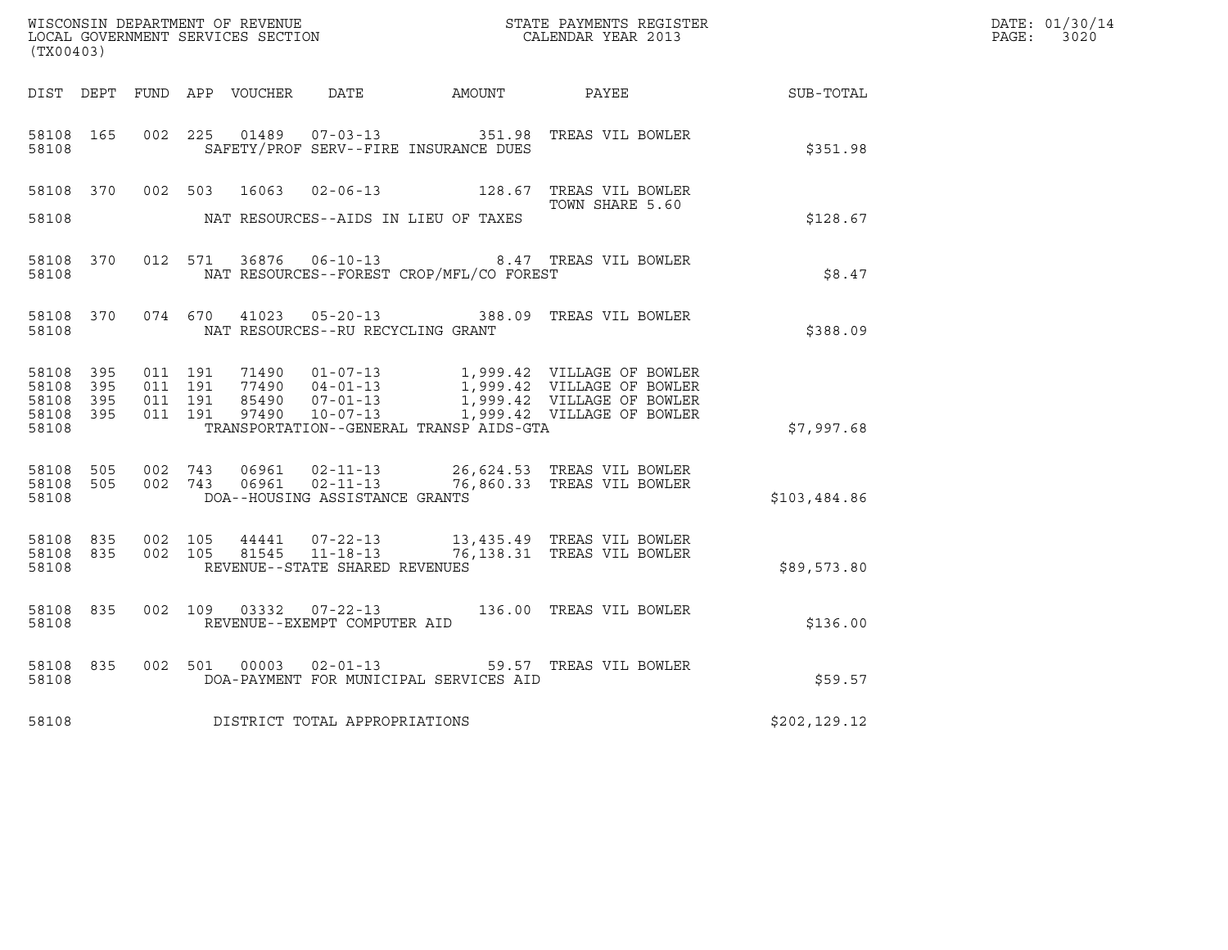| WISCONSIN DEPARTMENT OF REVENUE   | STATE PAYMENTS REGISTER | DATE: 01/30/14 |
|-----------------------------------|-------------------------|----------------|
| LOCAL GOVERNMENT SERVICES SECTION | CALENDAR YEAR 2013      | 3020<br>PAGE:  |

| (TX00403)          |  |  |                                      | $\mathbb{R}^n$<br>WISCONSIN DEPARTMENT OF REVENUE<br>LOCAL GOVERNMENT SERVICES SECTION CALENDAR YEAR 2013 |                                                                                                                                                                                                                                                                                                                |              | DATE: 01/30/14<br>$\mathtt{PAGE:}$<br>3020 |
|--------------------|--|--|--------------------------------------|-----------------------------------------------------------------------------------------------------------|----------------------------------------------------------------------------------------------------------------------------------------------------------------------------------------------------------------------------------------------------------------------------------------------------------------|--------------|--------------------------------------------|
|                    |  |  |                                      |                                                                                                           | DIST DEPT FUND APP VOUCHER DATE AMOUNT PAYEE PAYER SUB-TOTAL                                                                                                                                                                                                                                                   |              |                                            |
|                    |  |  |                                      | 58108 SAFETY/PROF SERV--FIRE INSURANCE DUES                                                               | 58108 165 002 225 01489 07-03-13 351.98 TREAS VIL BOWLER                                                                                                                                                                                                                                                       | \$351.98     |                                            |
|                    |  |  |                                      |                                                                                                           | 58108 370 002 503 16063 02-06-13 128.67 TREAS VIL BOWLER<br>TOWN SHARE 5.60                                                                                                                                                                                                                                    |              |                                            |
|                    |  |  |                                      | 58108 MAT RESOURCES--AIDS IN LIEU OF TAXES                                                                |                                                                                                                                                                                                                                                                                                                | \$128.67     |                                            |
|                    |  |  |                                      | 58108 MAT RESOURCES--FOREST CROP/MFL/CO FOREST                                                            | 58108 370 012 571 36876 06-10-13 8.47 TREAS VIL BOWLER                                                                                                                                                                                                                                                         | \$8.47       |                                            |
|                    |  |  |                                      | 58108 MAT RESOURCES--RU RECYCLING GRANT                                                                   | 58108 370 074 670 41023 05-20-13 388.09 TREAS VIL BOWLER                                                                                                                                                                                                                                                       | \$388.09     |                                            |
|                    |  |  |                                      | 58108 TRANSPORTATION--GENERAL TRANSP AIDS-GTA                                                             | $\begin{tabular}{cccc} 58108 & 395 & 011 & 191 & 71490 & 01-07-13 & 1,999.42 & VILLAGE OF BOWLER \\ 58108 & 395 & 011 & 191 & 77490 & 04-01-13 & 1,999.42 & VILLAGE OF BOWLER \\ 58108 & 395 & 011 & 191 & 85490 & 07-01-13 & 1,999.42 & VILLAGE OF BOWLER \\ 58108 & 395 & 011 & 191 & 97490 & 10-07-13 & 1,$ | \$7,997.68   |                                            |
| 58108              |  |  | DOA--HOUSING ASSISTANCE GRANTS       |                                                                                                           | 58108 505 002 743 06961 02-11-13 26,624.53 TREAS VIL BOWLER<br>58108 505 002 743 06961 02-11-13 76,860.33 TREAS VIL BOWLER                                                                                                                                                                                     | \$103,484.86 |                                            |
|                    |  |  | 58108 REVENUE--STATE SHARED REVENUES |                                                                                                           | 58108 835 002 105 44441 07-22-13 13,435.49 TREAS VIL BOWLER<br>58108 835 002 105 81545 11-18-13 76,138.31 TREAS VIL BOWLER                                                                                                                                                                                     | \$89,573.80  |                                            |
|                    |  |  |                                      |                                                                                                           | 58108 835 002 109 03332 07-22-13 136.00 TREAS VIL BOWLER<br>58108 REVENUE--EXEMPT COMPUTER AID                                                                                                                                                                                                                 | \$136.00     |                                            |
| 58108 835<br>58108 |  |  |                                      | DOA-PAYMENT FOR MUNICIPAL SERVICES AID                                                                    | 002 501 00003 02-01-13 59.57 TREAS VIL BOWLER                                                                                                                                                                                                                                                                  | \$59.57      |                                            |
|                    |  |  | 58108 DISTRICT TOTAL APPROPRIATIONS  |                                                                                                           | \$202, 129.12                                                                                                                                                                                                                                                                                                  |              |                                            |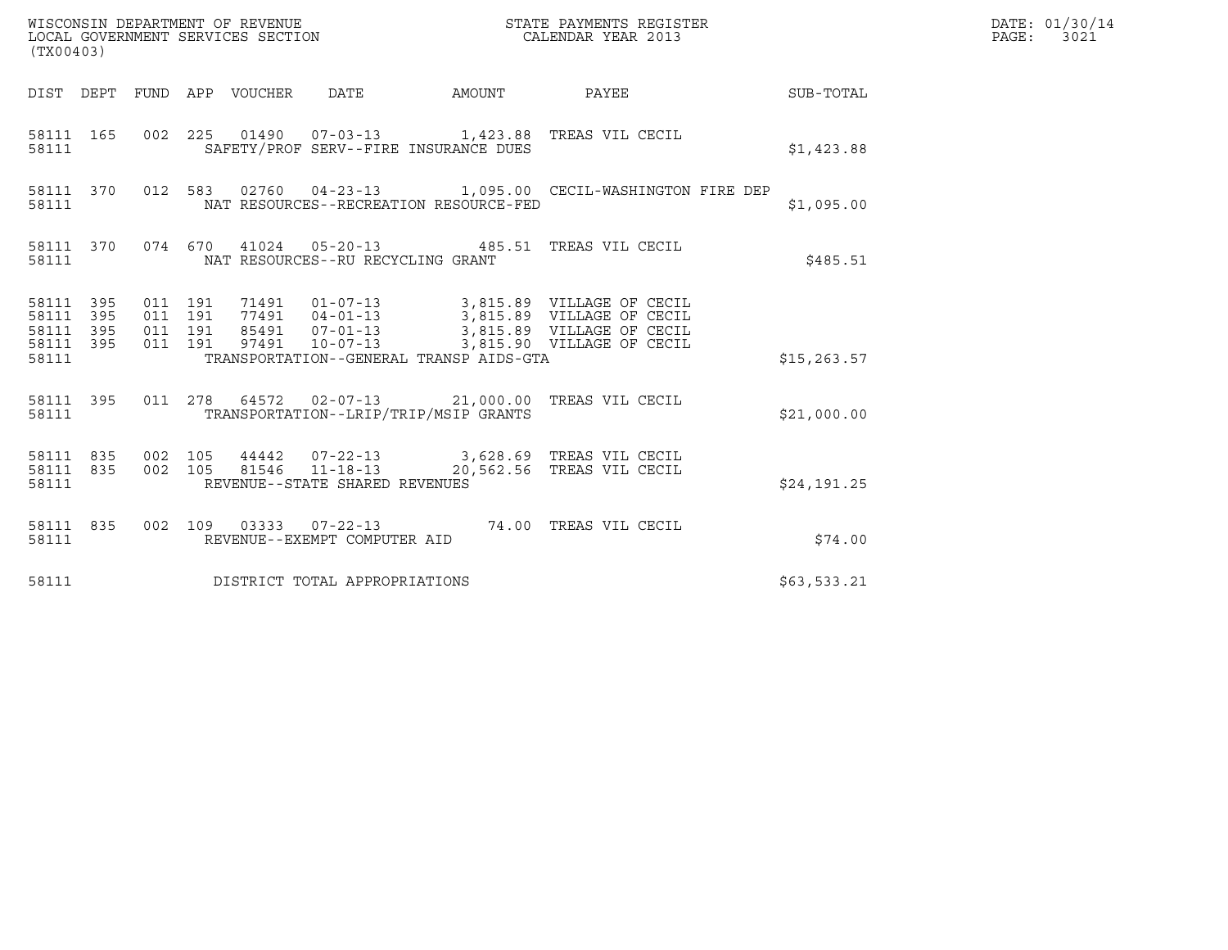| (TX00403)                                             |     |                              |                    |                                         |                                                                                                                                                                                                                              |                                                        | DATE: 01/30/14<br>PAGE: 3021 |
|-------------------------------------------------------|-----|------------------------------|--------------------|-----------------------------------------|------------------------------------------------------------------------------------------------------------------------------------------------------------------------------------------------------------------------------|--------------------------------------------------------|------------------------------|
|                                                       |     |                              |                    |                                         |                                                                                                                                                                                                                              | DIST DEPT FUND APP VOUCHER DATE AMOUNT PAYEE SUB-TOTAL |                              |
| 58111                                                 |     |                              |                    | SAFETY/PROF SERV--FIRE INSURANCE DUES   | 58111 165 002 225 01490 07-03-13 1,423.88 TREAS VIL CECIL                                                                                                                                                                    | \$1,423.88                                             |                              |
| 58111                                                 |     |                              |                    | NAT RESOURCES--RECREATION RESOURCE-FED  | 58111 370 012 583 02760 04-23-13 1,095.00 CECIL-WASHINGTON FIRE DEP                                                                                                                                                          | \$1,095.00                                             |                              |
| 58111                                                 |     |                              |                    | NAT RESOURCES--RU RECYCLING GRANT       | 58111 370 074 670 41024 05-20-13 485.51 TREAS VIL CECIL                                                                                                                                                                      | \$485.51                                               |                              |
| 58111 395<br>58111 395<br>58111<br>58111 395<br>58111 | 395 | 011 191<br>011 191           | 011 191<br>011 191 | TRANSPORTATION--GENERAL TRANSP AIDS-GTA | 71491     01-07-13     3,815.89     VILLAGE OF CECIL<br>77491     04-01-13     3,815.89     VILLAGE OF CECIL<br>85491     07-01-13     3,815.89     VILLAGE OF CECIL<br>97491     10-07-13     3,815.90     VILLAGE OF CECIL | \$15, 263.57                                           |                              |
| 58111                                                 |     |                              |                    | TRANSPORTATION--LRIP/TRIP/MSIP GRANTS   | 58111 395 011 278 64572 02-07-13 21,000.00 TREAS VIL CECIL                                                                                                                                                                   | \$21,000.00                                            |                              |
| 58111 835<br>58111                                    |     | 58111 835 002 105<br>002 105 |                    | REVENUE--STATE SHARED REVENUES          | 44442  07-22-13  3,628.69  TREAS VIL CECIL<br>81546  11-18-13  20,562.56  TREAS VIL CECIL                                                                                                                                    | \$24,191.25                                            |                              |
| 58111 835<br>58111                                    |     |                              |                    | REVENUE--EXEMPT COMPUTER AID            | 002 109 03333 07-22-13 74.00 TREAS VIL CECIL                                                                                                                                                                                 | \$74.00                                                |                              |
| 58111                                                 |     |                              |                    | DISTRICT TOTAL APPROPRIATIONS           |                                                                                                                                                                                                                              | \$63,533.21                                            |                              |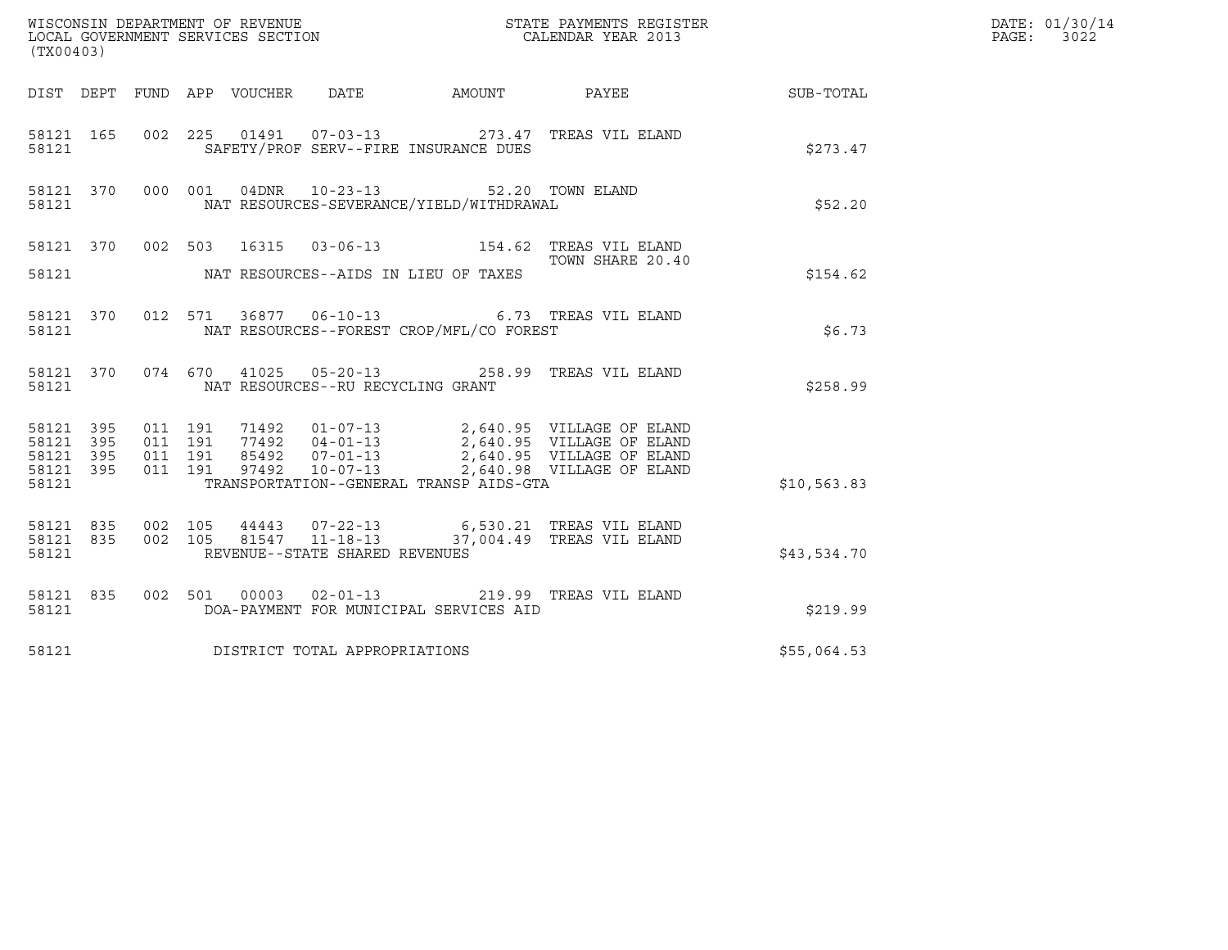| (TX00403)                                                 |                               |         |                                |                                                                                               | % WISCONSIN DEPARTMENT OF REVENUE $$\tt STATE~PAYMEMTS~REGISTER~LOCAL~GOVERNMENT~SERVICES~SECTION~CALENDAR~YEAR~2013$                                                                    |             | DATE: 01/30/14<br>PAGE: 3022 |
|-----------------------------------------------------------|-------------------------------|---------|--------------------------------|-----------------------------------------------------------------------------------------------|------------------------------------------------------------------------------------------------------------------------------------------------------------------------------------------|-------------|------------------------------|
|                                                           |                               |         |                                |                                                                                               | DIST DEPT FUND APP VOUCHER DATE AMOUNT PAYEE THE SUB-TOTAL                                                                                                                               |             |                              |
| 58121                                                     |                               |         |                                | SAFETY/PROF SERV--FIRE INSURANCE DUES                                                         | 58121 165 002 225 01491 07-03-13 273.47 TREAS VIL ELAND                                                                                                                                  | \$273.47    |                              |
| 58121                                                     |                               |         |                                | 58121 370 000 001 04DNR 10-23-13 52.20 TOWN ELAND<br>NAT RESOURCES-SEVERANCE/YIELD/WITHDRAWAL |                                                                                                                                                                                          | \$52.20     |                              |
|                                                           |                               |         |                                |                                                                                               | 58121 370 002 503 16315 03-06-13 154.62 TREAS VIL ELAND<br>TOWN SHARE 20.40<br>TOWN SHARE 20.40                                                                                          |             |                              |
|                                                           |                               |         |                                | 58121 NAT RESOURCES--AIDS IN LIEU OF TAXES                                                    |                                                                                                                                                                                          | \$154.62    |                              |
| 58121                                                     |                               |         |                                | NAT RESOURCES--FOREST CROP/MFL/CO FOREST                                                      | 58121 370 012 571 36877 06-10-13 6.73 TREAS VIL ELAND                                                                                                                                    | \$6.73      |                              |
| 58121                                                     |                               |         |                                | NAT RESOURCES--RU RECYCLING GRANT                                                             | 58121 370 074 670 41025 05-20-13 258.99 TREAS VIL ELAND                                                                                                                                  | \$258.99    |                              |
| 58121 395<br>58121 395<br>58121 395<br>58121 395<br>58121 | 011 191<br>011 191<br>011 191 | 011 191 |                                | TRANSPORTATION--GENERAL TRANSP AIDS-GTA                                                       | 71492  01-07-13  2,640.95  VILLAGE OF ELAND<br>77492  04-01-13  2,640.95  VILLAGE OF ELAND<br>85492  07-01-13  2,640.95  VILLAGE OF ELAND<br>97492  10-07-13  2,640.98  VILLAGE OF ELAND | \$10,563.83 |                              |
| 58121                                                     |                               |         | REVENUE--STATE SHARED REVENUES |                                                                                               | 58121 835 002 105 44443 07-22-13 6,530.21 TREAS VIL ELAND<br>58121 835 002 105 81547 11-18-13 37,004.49 TREAS VIL ELAND                                                                  | \$43,534.70 |                              |
| 58121                                                     |                               |         |                                | DOA-PAYMENT FOR MUNICIPAL SERVICES AID                                                        | 58121 835 002 501 00003 02-01-13 219.99 TREAS VIL ELAND                                                                                                                                  | \$219.99    |                              |
| 58121                                                     |                               |         | DISTRICT TOTAL APPROPRIATIONS  |                                                                                               |                                                                                                                                                                                          | \$55,064.53 |                              |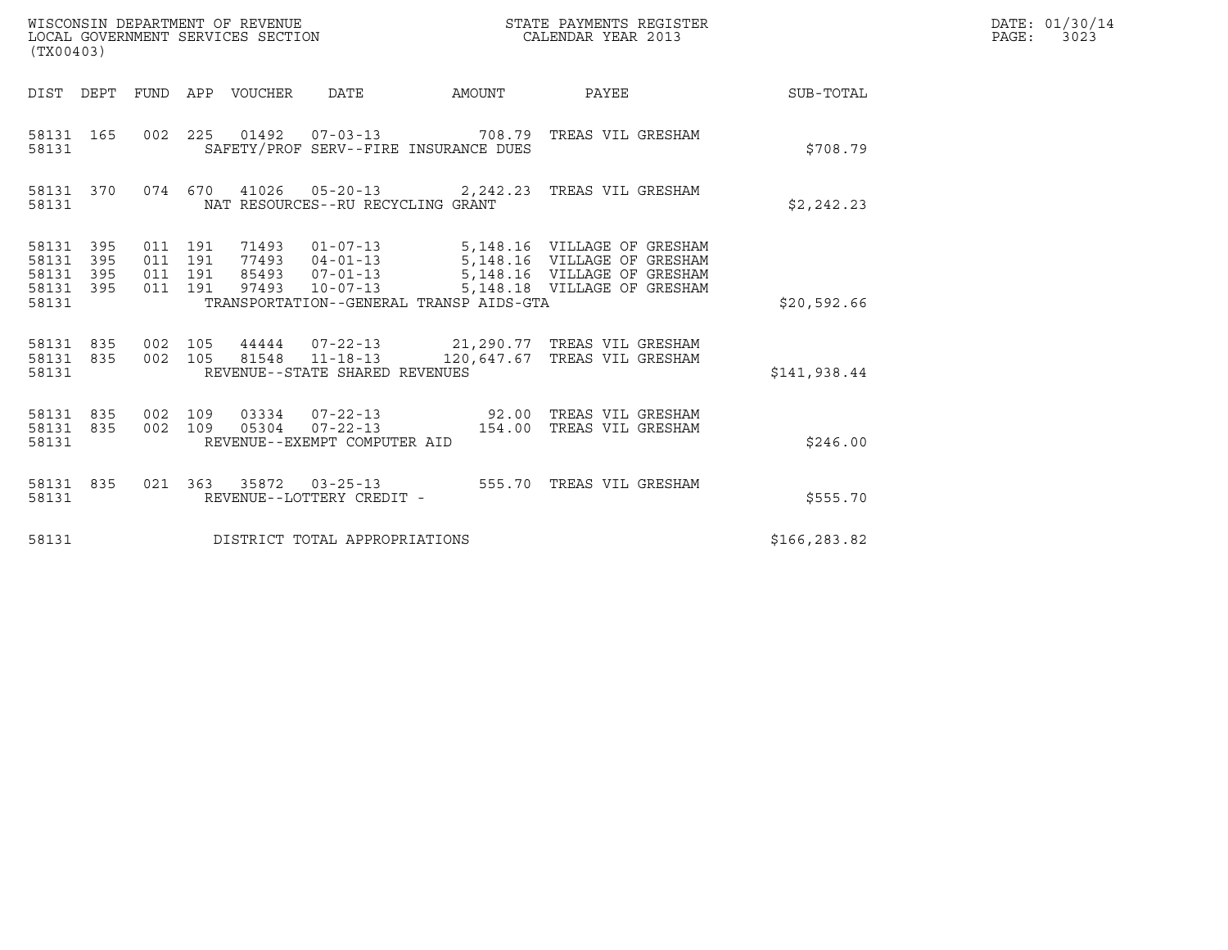| (TX00403)                                 |                          |                    |                    | WISCONSIN DEPARTMENT OF REVENUE<br>LOCAL GOVERNMENT SERVICES SECTION |                                                  |                                         | STATE PAYMENTS REGISTER<br>CALENDAR YEAR 2013                                                                                                                                  |              | DATE: 01/30/14<br>$\mathtt{PAGE:}$<br>3023 |
|-------------------------------------------|--------------------------|--------------------|--------------------|----------------------------------------------------------------------|--------------------------------------------------|-----------------------------------------|--------------------------------------------------------------------------------------------------------------------------------------------------------------------------------|--------------|--------------------------------------------|
|                                           |                          |                    |                    | DIST DEPT FUND APP VOUCHER                                           | DATE                                             | AMOUNT                                  | PAYEE                                                                                                                                                                          | SUB-TOTAL    |                                            |
| 58131 165<br>58131                        |                          |                    |                    |                                                                      |                                                  | SAFETY/PROF SERV--FIRE INSURANCE DUES   | 002  225  01492  07-03-13  708.79  TREAS VIL GRESHAM                                                                                                                           | \$708.79     |                                            |
| 58131 370<br>58131                        |                          |                    |                    |                                                                      | NAT RESOURCES--RU RECYCLING GRANT                |                                         | 074 670 41026 05-20-13 2,242.23 TREAS VIL GRESHAM                                                                                                                              | \$2,242.23   |                                            |
| 58131<br>58131<br>58131<br>58131<br>58131 | 395<br>395<br>395<br>395 | 011 191<br>011 191 | 011 191<br>011 191 |                                                                      | 97493 10-07-13                                   | TRANSPORTATION--GENERAL TRANSP AIDS-GTA | 71493  01-07-13  5,148.16  VILLAGE OF GRESHAM<br>77493  04-01-13  5,148.16  VILLAGE OF GRESHAM<br>85493  07-01-13  5,148.16  VILLAGE OF GRESHAM<br>5,148.18 VILLAGE OF GRESHAM | \$20,592.66  |                                            |
| 58131<br>58131 835<br>58131               | 835                      | 002 105<br>002 105 |                    |                                                                      | 81548 11-18-13<br>REVENUE--STATE SHARED REVENUES |                                         | 44444  07-22-13  21, 290.77  TREAS VIL GRESHAM<br>120,647.67 TREAS VIL GRESHAM                                                                                                 | \$141,938.44 |                                            |
| 58131<br>58131 835<br>58131               | 835                      | 002 109<br>002 109 |                    |                                                                      | 05304 07-22-13<br>REVENUE--EXEMPT COMPUTER AID   |                                         | 03334  07-22-13  92.00  TREAS VIL GRESHAM<br>154.00 TREAS VIL GRESHAM                                                                                                          | \$246.00     |                                            |
| 58131 835<br>58131                        |                          |                    | 021 363            |                                                                      | REVENUE--LOTTERY CREDIT -                        |                                         | 35872  03-25-13  555.70  TREAS VIL GRESHAM                                                                                                                                     | \$555.70     |                                            |
| 58131                                     |                          |                    |                    |                                                                      | DISTRICT TOTAL APPROPRIATIONS                    |                                         |                                                                                                                                                                                | \$166,283.82 |                                            |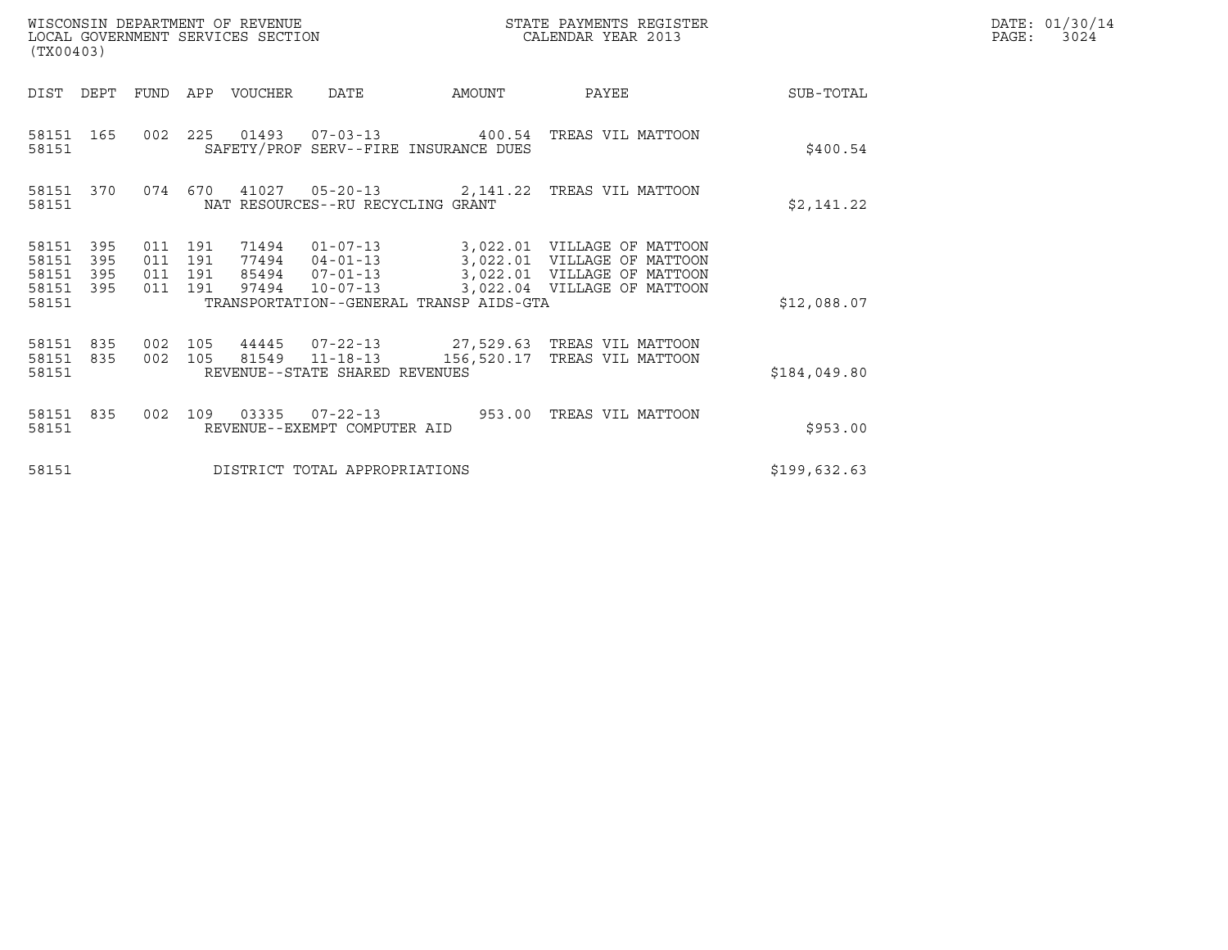| (TX00403)                                     |                   |                               |            | WISCONSIN DEPARTMENT OF REVENUE<br>LOCAL GOVERNMENT SERVICES SECTION |                                                                      |                                         | STATE PAYMENTS REGISTER<br>CALENDAR YEAR 2013                                                                            | DATE: 01/30/14<br>PAGE:<br>3024 |  |
|-----------------------------------------------|-------------------|-------------------------------|------------|----------------------------------------------------------------------|----------------------------------------------------------------------|-----------------------------------------|--------------------------------------------------------------------------------------------------------------------------|---------------------------------|--|
| DIST                                          | DEPT              | <b>FUND</b>                   | APP        | VOUCHER                                                              | <b>DATE</b>                                                          | AMOUNT                                  | PAYEE                                                                                                                    | SUB-TOTAL                       |  |
| 58151 165<br>58151                            |                   | 002                           | 225        |                                                                      |                                                                      | SAFETY/PROF SERV--FIRE INSURANCE DUES   |                                                                                                                          | \$400.54                        |  |
| 58151                                         | 58151 370         |                               | 074 670    | 41027                                                                | NAT RESOURCES--RU RECYCLING GRANT                                    |                                         | 05-20-13 2,141.22 TREAS VIL MATTOON                                                                                      | \$2,141.22                      |  |
| 58151<br>58151<br>58151<br>58151 395<br>58151 | 395<br>395<br>395 | 011 191<br>011 191<br>011 191 | 011 191    | 71494<br>97494                                                       | $01 - 07 - 13$<br>77494 04-01-13<br>85494 07-01-13<br>$10 - 07 - 13$ | TRANSPORTATION--GENERAL TRANSP AIDS-GTA | 3,022.01 VILLAGE OF MATTOON<br>3,022.01 VILLAGE OF MATTOON<br>3,022.01 VILLAGE OF MATTOON<br>3,022.04 VILLAGE OF MATTOON | \$12,088.07                     |  |
| 58151<br>58151 835<br>58151                   | 835               | 002<br>002                    | 105<br>105 | 44445                                                                | $07 - 22 - 13$<br>81549 11-18-13<br>REVENUE--STATE SHARED REVENUES   | 156,520.17                              | 27,529.63   TREAS VIL MATTOON<br>TREAS VIL MATTOON                                                                       | \$184,049.80                    |  |
| 58151 835<br>58151                            |                   | 002                           | 109        | 03335                                                                | $07 - 22 - 13$<br>REVENUE--EXEMPT COMPUTER AID                       |                                         | 953.00 TREAS VIL MATTOON                                                                                                 | \$953.00                        |  |
| 58151                                         |                   |                               |            |                                                                      | DISTRICT TOTAL APPROPRIATIONS                                        |                                         |                                                                                                                          | \$199,632.63                    |  |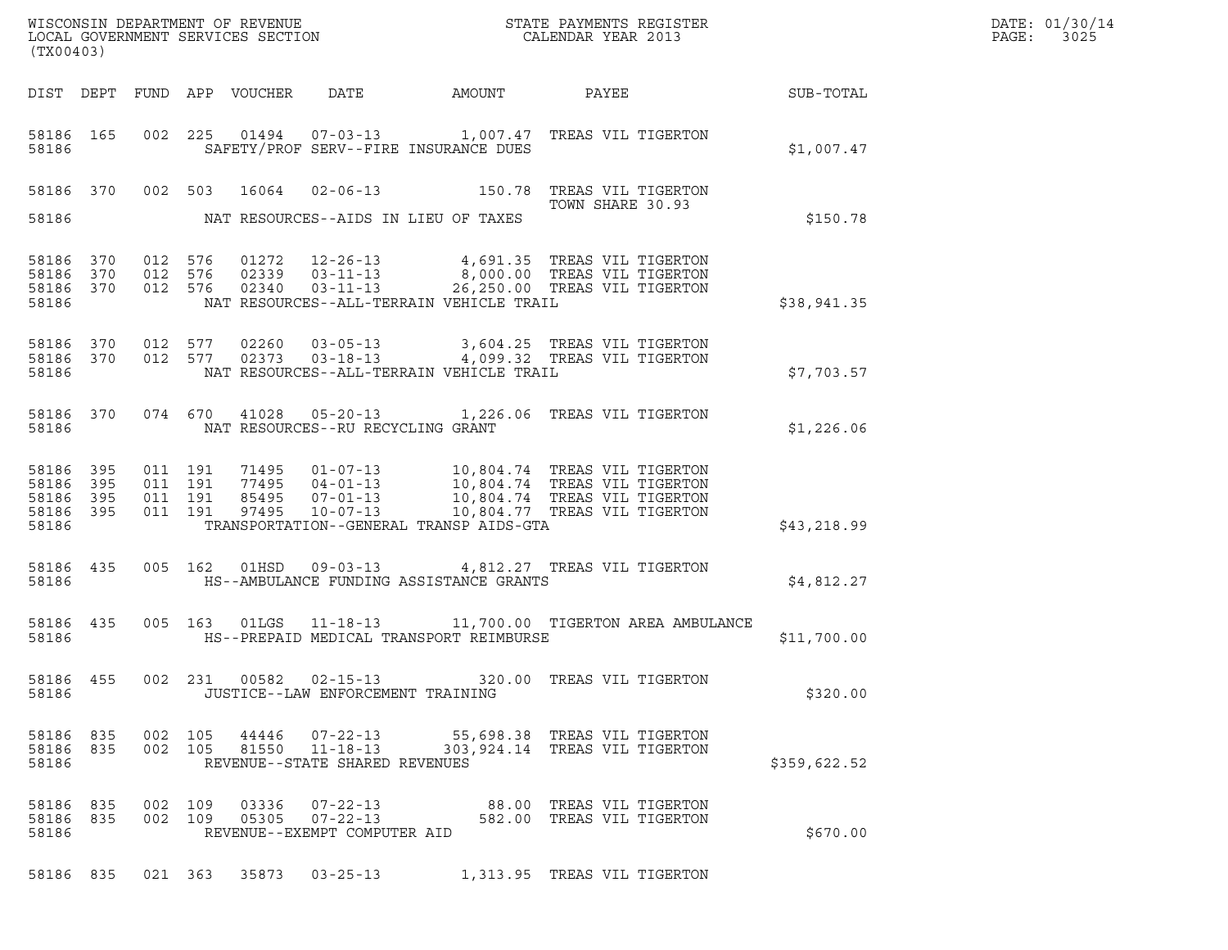|                | (TX00403)                                  |         |                                          |                            |                                                                    |                                                                                                                                                           |                                                       |              | DATE: 01/30/14<br>PAGE:<br>3025 |
|----------------|--------------------------------------------|---------|------------------------------------------|----------------------------|--------------------------------------------------------------------|-----------------------------------------------------------------------------------------------------------------------------------------------------------|-------------------------------------------------------|--------------|---------------------------------|
|                |                                            |         |                                          | DIST DEPT FUND APP VOUCHER | DATE                                                               | AMOUNT                                                                                                                                                    | PAYEE                                                 | SUB-TOTAL    |                                 |
| 58186          | 58186 165                                  |         |                                          |                            |                                                                    | 002  225  01494  07-03-13  1,007.47  TREAS VIL TIGERTON<br>SAFETY/PROF SERV--FIRE INSURANCE DUES                                                          |                                                       | \$1,007.47   |                                 |
|                |                                            |         |                                          | 58186 370 002 503 16064    |                                                                    | 02-06-13 150.78 TREAS VIL TIGERTON                                                                                                                        | TOWN SHARE 30.93                                      |              |                                 |
| 58186          |                                            |         |                                          |                            |                                                                    | NAT RESOURCES--AIDS IN LIEU OF TAXES                                                                                                                      |                                                       | \$150.78     |                                 |
| 58186          | 58186 370<br>58186 370<br>58186 370        | 012 576 | 012 576                                  | 02340                      | 02339   03-11-13<br>$03 - 11 - 13$                                 | 012 576 01272 12-26-13 4,691.35 TREAS VIL TIGERTON<br>8,000.00 TREAS VIL TIGERTON<br>NAT RESOURCES--ALL-TERRAIN VEHICLE TRAIL                             | 26,250.00 TREAS VIL TIGERTON                          | \$38,941.35  |                                 |
| 58186          | 58186 370<br>58186 370                     |         |                                          |                            |                                                                    | 012 577 02260 03-05-13 3,604.25 TREAS VIL TIGERTON<br>012 577 02373 03-18-13 4,099.32 TREAS VIL TIGERTON<br>NAT RESOURCES--ALL-TERRAIN VEHICLE TRAIL      |                                                       | \$7,703.57   |                                 |
| 58186          | 58186 370                                  |         |                                          |                            | NAT RESOURCES--RU RECYCLING GRANT                                  | 074 670 41028 05-20-13 1,226.06 TREAS VIL TIGERTON                                                                                                        |                                                       | \$1,226.06   |                                 |
| 58186<br>58186 | 58186 395<br>395<br>58186 395<br>58186 395 |         | 011 191<br>011 191<br>011 191<br>011 191 | 97495                      | 77495 04-01-13<br>85495 07-01-13<br>$10 - 07 - 13$                 | 71495  01-07-13  10,804.74  TREAS VIL TIGERTON<br>10,804.74 TREAS VIL TIGERTON<br>10,804.74 TREAS VIL TIGERTON<br>TRANSPORTATION--GENERAL TRANSP AIDS-GTA | 10,804.77 TREAS VIL TIGERTON                          | \$43,218.99  |                                 |
| 58186          | 58186 435                                  |         |                                          |                            | 005 162 01HSD 09-03-13                                             | HS--AMBULANCE FUNDING ASSISTANCE GRANTS                                                                                                                   | 4,812.27 TREAS VIL TIGERTON                           | \$4,812.27   |                                 |
| 58186          | 58186 435                                  |         |                                          |                            |                                                                    | 005 163 01LGS 11-18-13 11,700.00 TIGERTON AREA AMBULANCE<br>HS--PREPAID MEDICAL TRANSPORT REIMBURSE                                                       |                                                       | \$11,700.00  |                                 |
| 58186          | 58186 455                                  |         |                                          |                            | 002 231 00582 02-15-13<br>JUSTICE--LAW ENFORCEMENT TRAINING        | 320.00 TREAS VIL TIGERTON                                                                                                                                 |                                                       | \$320.00     |                                 |
| 58186          | 58186 835<br>58186 835                     |         | 002 105<br>002 105                       | 44446<br>81550             | $07 - 22 - 13$<br>$11 - 18 - 13$<br>REVENUE--STATE SHARED REVENUES | 55,698.38 TREAS VIL TIGERTON<br>303,924.14 TREAS VIL TIGERTON                                                                                             |                                                       | \$359,622.52 |                                 |
| 58186          | 58186 835<br>58186 835                     |         | 002 109<br>002 109                       | 03336<br>05305             | $07 - 22 - 13$<br>$07 - 22 - 13$<br>REVENUE--EXEMPT COMPUTER AID   |                                                                                                                                                           | 88.00 TREAS VIL TIGERTON<br>582.00 TREAS VIL TIGERTON | \$670.00     |                                 |
|                | 58186 835                                  |         |                                          | 021 363 35873              | $03 - 25 - 13$                                                     |                                                                                                                                                           | 1,313.95 TREAS VIL TIGERTON                           |              |                                 |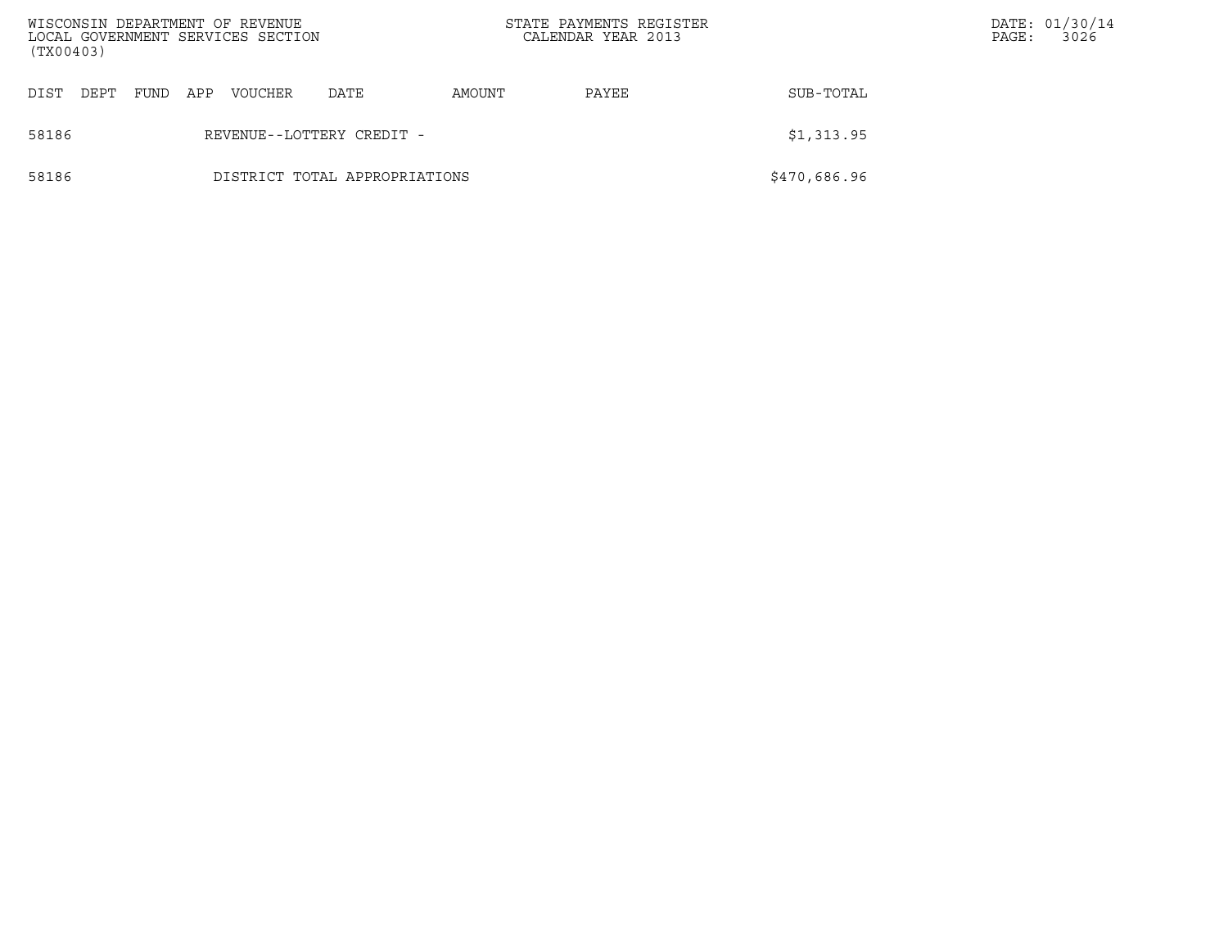| (TX00403) |                                         |      |     | WISCONSIN DEPARTMENT OF REVENUE<br>LOCAL GOVERNMENT SERVICES SECTION |                               | STATE PAYMENTS REGISTER<br>CALENDAR YEAR 2013 |       |              | PAGE: | DATE: 01/30/14<br>3026 |
|-----------|-----------------------------------------|------|-----|----------------------------------------------------------------------|-------------------------------|-----------------------------------------------|-------|--------------|-------|------------------------|
| DIST      | DEPT                                    | FUND | APP | <b>VOUCHER</b>                                                       | DATE                          | AMOUNT                                        | PAYEE | SUB-TOTAL    |       |                        |
| 58186     | \$1,313.95<br>REVENUE--LOTTERY CREDIT - |      |     |                                                                      |                               |                                               |       |              |       |                        |
| 58186     |                                         |      |     |                                                                      | DISTRICT TOTAL APPROPRIATIONS |                                               |       | \$470,686.96 |       |                        |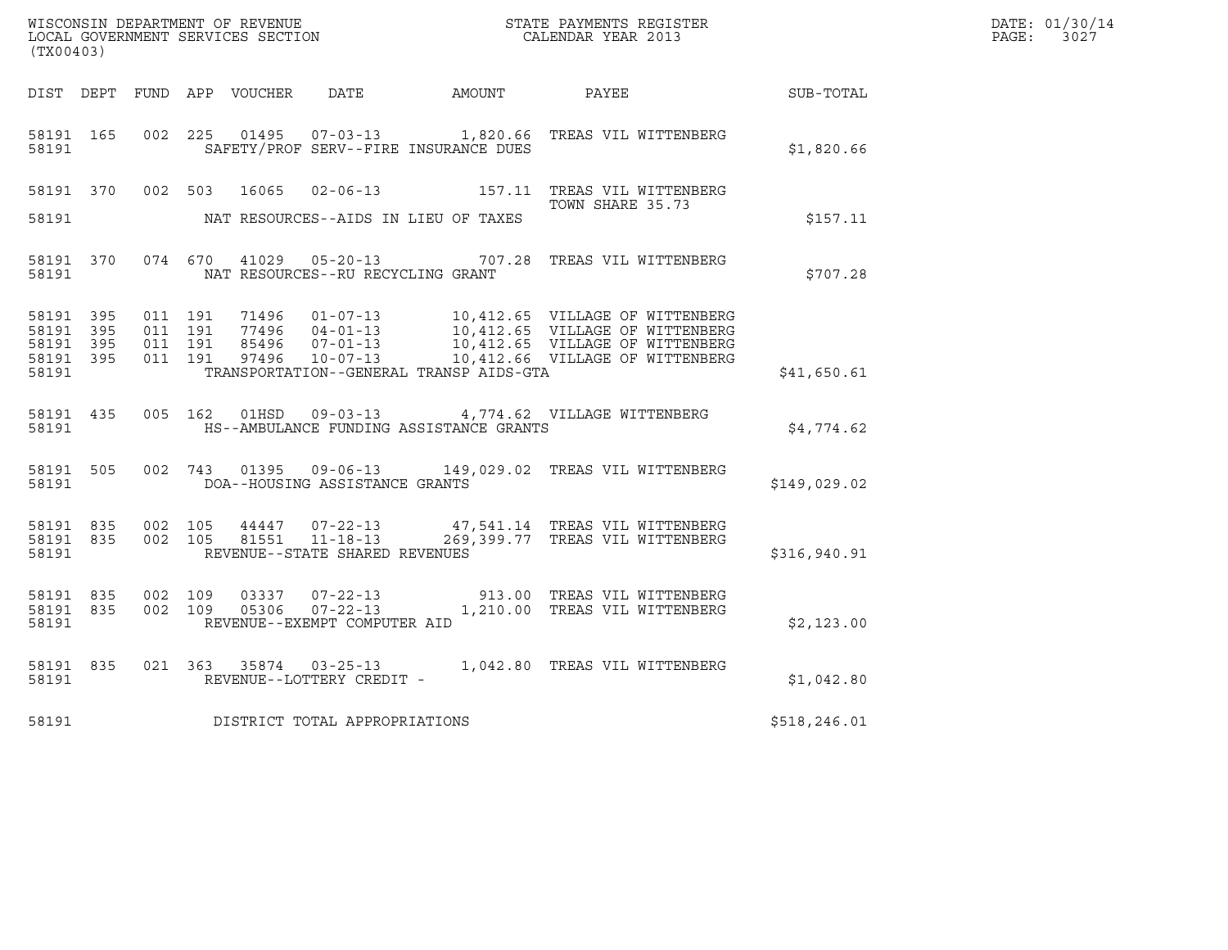| (TX00403)                                    |           |                               |         |                                                                                              |                                         | WISCONSIN DEPARTMENT OF REVENUE<br>LOCAL GOVERNMENT SERVICES SECTION<br>CALENDAR YEAR 2013                                                                                                                       |               | DATE: 01/30/14<br>PAGE: 3027 |
|----------------------------------------------|-----------|-------------------------------|---------|----------------------------------------------------------------------------------------------|-----------------------------------------|------------------------------------------------------------------------------------------------------------------------------------------------------------------------------------------------------------------|---------------|------------------------------|
|                                              |           |                               |         |                                                                                              |                                         | DIST DEPT FUND APP VOUCHER DATE AMOUNT PAYEE THE SUB-TOTAL                                                                                                                                                       |               |                              |
| 58191 165<br>58191                           |           | 002 225                       |         |                                                                                              | SAFETY/PROF SERV--FIRE INSURANCE DUES   |                                                                                                                                                                                                                  | \$1,820.66    |                              |
|                                              |           |                               |         |                                                                                              |                                         | 58191 370 002 503 16065 02-06-13 157.11 TREAS VIL WITTENBERG<br>TOWN SHARE 35.73                                                                                                                                 |               |                              |
| 58191                                        |           |                               |         |                                                                                              | NAT RESOURCES--AIDS IN LIEU OF TAXES    |                                                                                                                                                                                                                  | \$157.11      |                              |
| 58191                                        |           |                               |         | NAT RESOURCES--RU RECYCLING GRANT                                                            |                                         | 58191 370 074 670 41029 05-20-13 707.28 TREAS VIL WITTENBERG                                                                                                                                                     | \$707.28      |                              |
| 58191 395<br>58191 395<br>58191 395<br>58191 | 58191 395 | 011 191<br>011 191<br>011 191 | 011 191 |                                                                                              | TRANSPORTATION--GENERAL TRANSP AIDS-GTA | 71496  01-07-13  10,412.65  VILLAGE OF WITTENBERG<br>77496  04-01-13  10,412.65  VILLAGE OF WITTENBERG<br>85496  07-01-13  10,412.65  VILLAGE OF WITTENBERG<br>97496  10-07-13  10,412.66  VILLAGE OF WITTENBERG | \$41,650.61   |                              |
|                                              | 58191     |                               |         |                                                                                              | HS--AMBULANCE FUNDING ASSISTANCE GRANTS | 58191 435 005 162 01HSD 09-03-13 4,774.62 VILLAGE WITTENBERG                                                                                                                                                     | \$4,774.62    |                              |
|                                              |           |                               |         | 58191 DOA--HOUSING ASSISTANCE GRANTS                                                         |                                         | 58191 505 002 743 01395 09-06-13 149,029.02 TREAS VIL WITTENBERG                                                                                                                                                 | \$149,029.02  |                              |
| 58191                                        | 58191 835 |                               |         | 58191 835 002 105 44447 07-22-13<br>002 105 81551 11-18-13<br>REVENUE--STATE SHARED REVENUES |                                         | 47,541.14 TREAS VIL WITTENBERG<br>269,399.77 TREAS VIL WITTENBERG                                                                                                                                                | \$316,940.91  |                              |
| 58191                                        | 58191 835 | 58191 835 002 109             |         | REVENUE--EXEMPT COMPUTER AID                                                                 |                                         | 002 109 03337 07-22-13 913.00 TREAS VIL WITTENBERG<br>002 109 05306 07-22-13 1,210.00 TREAS VIL WITTENBERG                                                                                                       | \$2,123.00    |                              |
| 58191                                        | 58191 835 |                               |         | REVENUE--LOTTERY CREDIT -                                                                    |                                         | 021 363 35874 03-25-13 1,042.80 TREAS VIL WITTENBERG                                                                                                                                                             | \$1,042.80    |                              |
| 58191                                        |           |                               |         | DISTRICT TOTAL APPROPRIATIONS                                                                |                                         |                                                                                                                                                                                                                  | \$518, 246.01 |                              |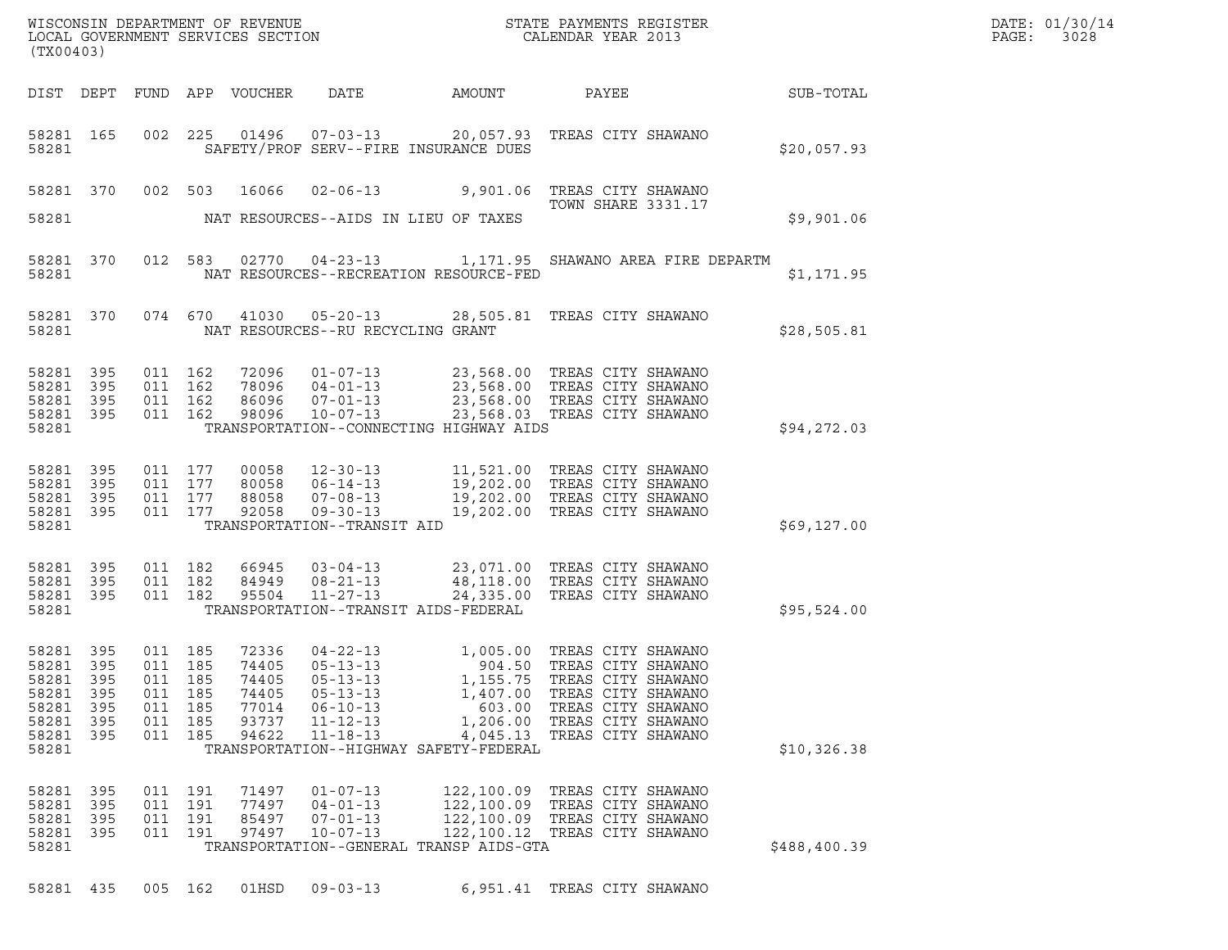| (TX00403)                                                                    |                                   |                                                           |                          |                                                             |                                                                                                                            |                                                                                      |                                                                                                                                                                                                  |                  | DATE: 01/30/14<br>$\mathtt{PAGE:}$<br>3028 |
|------------------------------------------------------------------------------|-----------------------------------|-----------------------------------------------------------|--------------------------|-------------------------------------------------------------|----------------------------------------------------------------------------------------------------------------------------|--------------------------------------------------------------------------------------|--------------------------------------------------------------------------------------------------------------------------------------------------------------------------------------------------|------------------|--------------------------------------------|
|                                                                              |                                   |                                                           |                          | DIST DEPT FUND APP VOUCHER                                  | DATE                                                                                                                       | AMOUNT                                                                               | PAYEE                                                                                                                                                                                            | <b>SUB-TOTAL</b> |                                            |
| 58281                                                                        | 58281 165                         |                                                           |                          |                                                             |                                                                                                                            | SAFETY/PROF SERV--FIRE INSURANCE DUES                                                | 002 225 01496 07-03-13 20,057.93 TREAS CITY SHAWANO                                                                                                                                              | \$20,057.93      |                                            |
| 58281                                                                        |                                   | 58281 370 002 503                                         |                          |                                                             |                                                                                                                            | NAT RESOURCES--AIDS IN LIEU OF TAXES                                                 | 16066  02-06-13  9,901.06  TREAS CITY SHAWANO<br><b>TOWN SHARE 3331.17</b>                                                                                                                       | \$9,901.06       |                                            |
| 58281 370<br>58281                                                           |                                   |                                                           |                          |                                                             |                                                                                                                            | NAT RESOURCES--RECREATION RESOURCE-FED                                               | 012 583 02770 04-23-13 1,171.95 SHAWANO AREA FIRE DEPARTM                                                                                                                                        | \$1,171.95       |                                            |
| 58281                                                                        | 58281 370                         |                                                           |                          |                                                             | NAT RESOURCES--RU RECYCLING GRANT                                                                                          |                                                                                      | 074 670 41030 05-20-13 28,505.81 TREAS CITY SHAWANO                                                                                                                                              | \$28,505.81      |                                            |
| 58281<br>58281 395<br>58281<br>58281 395<br>58281                            | 395<br>395                        | 011 162<br>011 162<br>011 162<br>011 162                  |                          |                                                             |                                                                                                                            | TRANSPORTATION--CONNECTING HIGHWAY AIDS                                              | 72096  01-07-13  23,568.00 TREAS CITY SHAWANO<br>78096  04-01-13  23,568.00 TREAS CITY SHAWANO<br>86096  07-01-13  23,568.00 TREAS CITY SHAWANO<br>98096  10-07-13  23,568.03 TREAS CITY SHAWANO | \$94,272.03      |                                            |
| 58281 395<br>58281<br>58281 395<br>58281 395<br>58281                        | 395                               | 011 177<br>011 177<br>011 177<br>011 177                  |                          |                                                             | TRANSPORTATION--TRANSIT AID                                                                                                |                                                                                      | 00058 12-30-13 11,521.00 TREAS CITY SHAWANO<br>80058 06-14-13 19,202.00 TREAS CITY SHAWANO<br>88058 07-08-13 19,202.00 TREAS CITY SHAWANO<br>92058 09-30-13 19,202.00 TREAS CITY SHAWANO         | \$69,127.00      |                                            |
| 58281 395<br>58281 395<br>58281 395<br>58281                                 |                                   | 011 182<br>011 182<br>011 182                             |                          | 66945<br>95504                                              | $03 - 04 - 13$<br>84949 08-21-13                                                                                           | TRANSPORTATION--TRANSIT AIDS-FEDERAL                                                 | 03-04-13 23,071.00 TREAS CITY SHAWANO<br>08-21-13 48,118.00 TREAS CITY SHAWANO<br>11-27-13 24,335.00 TREAS CITY SHAWANO                                                                          | \$95,524.00      |                                            |
| 58281 395<br>58281 395<br>58281<br>58281<br>58281<br>58281<br>58281<br>58281 | 395<br>395<br>395<br>395<br>- 395 | 011 185<br>011 185<br>011<br>011<br>011<br>011<br>011 185 | 185<br>185<br>185<br>185 | 72336<br>74405<br>74405<br>74405<br>77014<br>93737<br>94622 | $04 - 22 - 13$<br>$05 - 13 - 13$<br>$05 - 13 - 13$<br>$05 - 13 - 13$<br>$06 - 10 - 13$<br>$11 - 12 - 13$<br>$11 - 18 - 13$ | 1,155.75<br>1,407.00<br>603.00<br>4,045.13<br>TRANSPORTATION--HIGHWAY SAFETY-FEDERAL | 1,005.00 TREAS CITY SHAWANO<br>904.50 TREAS CITY SHAWANO<br>TREAS CITY SHAWANO<br>TREAS CITY SHAWANO<br>TREAS CITY SHAWANO<br>1,206.00 TREAS CITY SHAWANO<br>TREAS CITY SHAWANO                  | \$10,326.38      |                                            |
| 58281<br>58281<br>58281<br>58281<br>58281                                    | 395<br>395<br>395<br>395          | 011 191<br>011 191<br>011<br>011 191                      | 191                      | 71497<br>77497<br>85497<br>97497                            | $01 - 07 - 13$<br>$04 - 01 - 13$<br>$07 - 01 - 13$<br>$10 - 07 - 13$                                                       | 122,100.09<br>122,100.09<br>122,100.09<br>TRANSPORTATION--GENERAL TRANSP AIDS-GTA    | TREAS CITY SHAWANO<br>TREAS CITY SHAWANO<br>TREAS CITY SHAWANO<br>122,100.12 TREAS CITY SHAWANO                                                                                                  | \$488,400.39     |                                            |
| 58281 435                                                                    |                                   | 005 162                                                   |                          | 01HSD                                                       | $09 - 03 - 13$                                                                                                             |                                                                                      | 6,951.41 TREAS CITY SHAWANO                                                                                                                                                                      |                  |                                            |